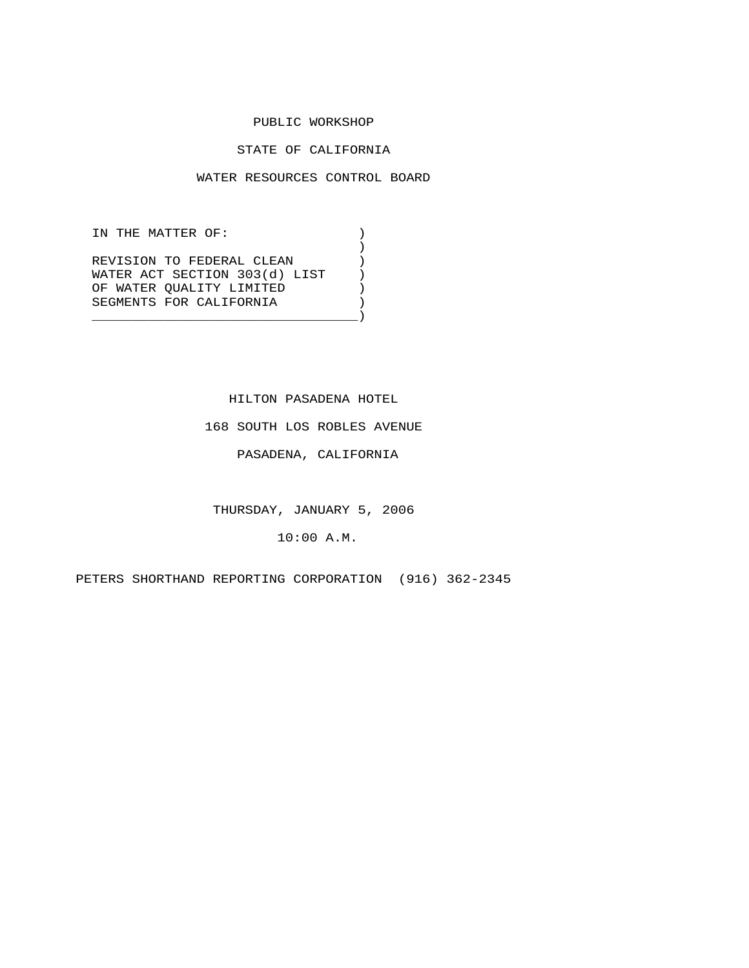### PUBLIC WORKSHOP

## STATE OF CALIFORNIA

#### WATER RESOURCES CONTROL BOARD

IN THE MATTER OF: ) REVISION TO FEDERAL CLEAN ) WATER ACT SECTION 303(d) LIST ) OF WATER QUALITY LIMITED  $)$ SEGMENTS FOR CALIFORNIA  $)$ \_\_\_\_\_\_\_\_\_\_\_\_\_\_\_\_\_\_\_\_\_\_\_\_\_\_\_\_\_\_\_\_\_)

#### HILTON PASADENA HOTEL

# 168 SOUTH LOS ROBLES AVENUE

PASADENA, CALIFORNIA

THURSDAY, JANUARY 5, 2006

10:00 A.M.

PETERS SHORTHAND REPORTING CORPORATION (916) 362-2345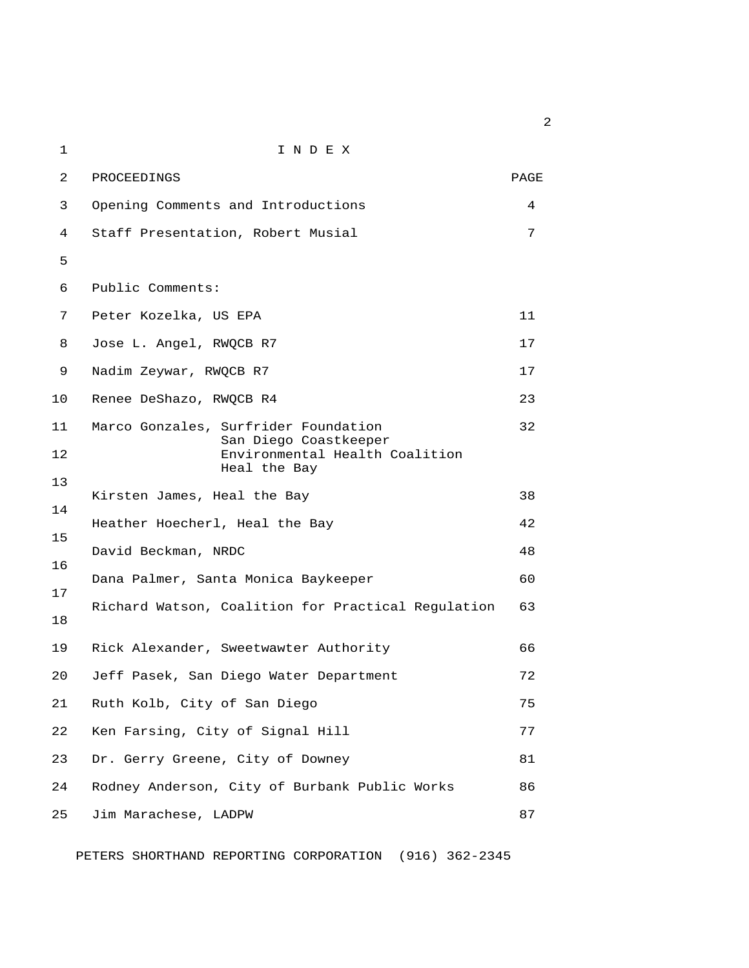| 1  | INDEX                                                         |      |
|----|---------------------------------------------------------------|------|
| 2  | PROCEEDINGS                                                   | PAGE |
| 3  | Opening Comments and Introductions                            | 4    |
| 4  | Staff Presentation, Robert Musial                             | 7    |
| 5  |                                                               |      |
| 6  | Public Comments:                                              |      |
| 7  | Peter Kozelka, US EPA                                         | 11   |
| 8  | Jose L. Angel, RWOCB R7                                       | 17   |
| 9  | Nadim Zeywar, RWQCB R7                                        | 17   |
| 10 | Renee DeShazo, RWQCB R4                                       | 23   |
| 11 | Marco Gonzales, Surfrider Foundation<br>San Diego Coastkeeper | 32   |
| 12 | Environmental Health Coalition<br>Heal the Bay                |      |
| 13 |                                                               |      |
| 14 | Kirsten James, Heal the Bay                                   | 38   |
| 15 | Heather Hoecherl, Heal the Bay                                | 42   |
| 16 | David Beckman, NRDC                                           | 48   |
| 17 | Dana Palmer, Santa Monica Baykeeper                           | 60   |
| 18 | Richard Watson, Coalition for Practical Regulation            | 63   |
| 19 | Rick Alexander, Sweetwawter Authority                         | 66   |
| 20 | Jeff Pasek, San Diego Water Department                        | 72   |
| 21 | Ruth Kolb, City of San Diego                                  | 75   |
| 22 | Ken Farsing, City of Signal Hill                              | 77   |
| 23 | Dr. Gerry Greene, City of Downey                              | 81   |
| 24 | Rodney Anderson, City of Burbank Public Works                 | 86   |
| 25 | Jim Marachese, LADPW                                          | 87   |
|    |                                                               |      |

PETERS SHORTHAND REPORTING CORPORATION (916) 362-2345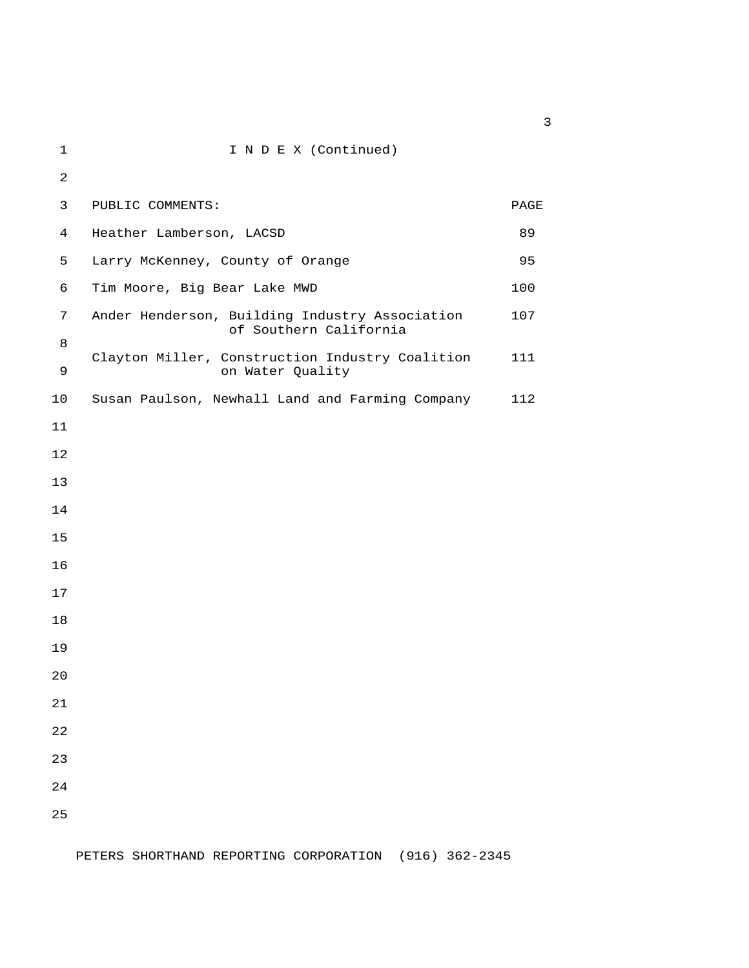| $\mathbf 1$    | I N D E X (Continued)                                                    |      |
|----------------|--------------------------------------------------------------------------|------|
| $\overline{a}$ |                                                                          |      |
| 3              | PUBLIC COMMENTS:                                                         | PAGE |
| 4              | Heather Lamberson, LACSD                                                 | 89   |
| 5              | Larry McKenney, County of Orange                                         | 95   |
| 6              | Tim Moore, Big Bear Lake MWD                                             | 100  |
| 7              | Ander Henderson, Building Industry Association<br>of Southern California | 107  |
| 8<br>9         | Clayton Miller, Construction Industry Coalition<br>on Water Quality      | 111  |
| 10             | Susan Paulson, Newhall Land and Farming Company                          | 112  |
| 11             |                                                                          |      |
| 12             |                                                                          |      |
| 13             |                                                                          |      |
| 14             |                                                                          |      |
| 15             |                                                                          |      |
| 16             |                                                                          |      |
| 17             |                                                                          |      |
| 18             |                                                                          |      |
| 19             |                                                                          |      |
| 20             |                                                                          |      |
| 21             |                                                                          |      |
| 22             |                                                                          |      |
| 23             |                                                                          |      |
| 24             |                                                                          |      |
| 25             |                                                                          |      |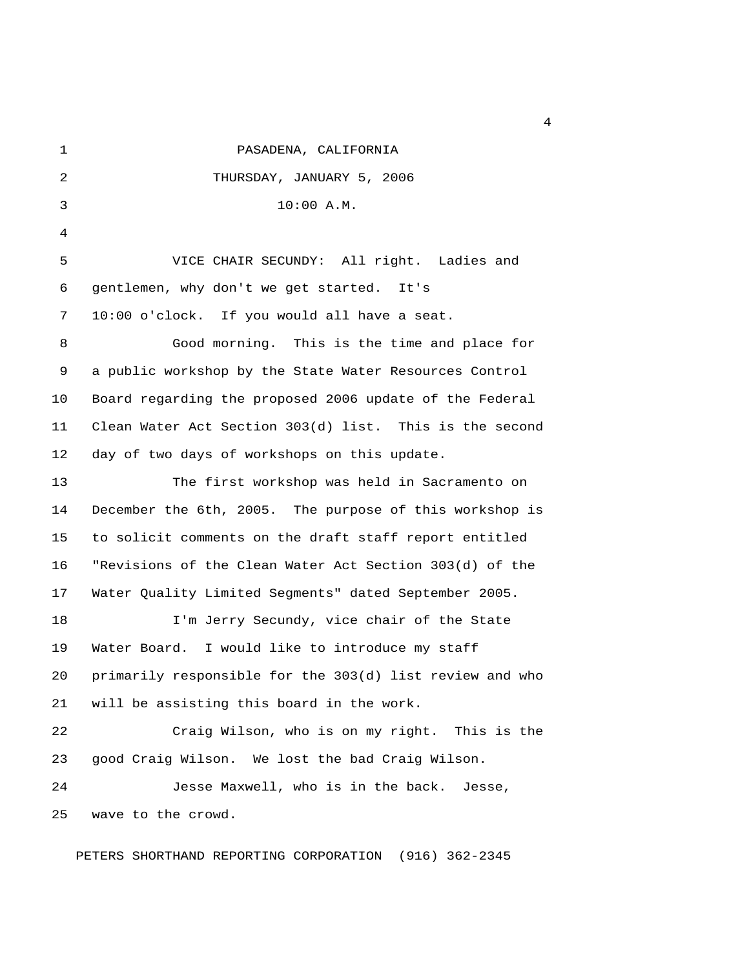1 PASADENA, CALIFORNIA 2 THURSDAY, JANUARY 5, 2006 3 10:00 A.M. 4 5 VICE CHAIR SECUNDY: All right. Ladies and 6 gentlemen, why don't we get started. It's 7 10:00 o'clock. If you would all have a seat. 8 Good morning. This is the time and place for 9 a public workshop by the State Water Resources Control 10 Board regarding the proposed 2006 update of the Federal 11 Clean Water Act Section 303(d) list. This is the second 12 day of two days of workshops on this update. 13 The first workshop was held in Sacramento on 14 December the 6th, 2005. The purpose of this workshop is 15 to solicit comments on the draft staff report entitled 16 "Revisions of the Clean Water Act Section 303(d) of the 17 Water Quality Limited Segments" dated September 2005. 18 I'm Jerry Secundy, vice chair of the State 19 Water Board. I would like to introduce my staff 20 primarily responsible for the 303(d) list review and who 21 will be assisting this board in the work. 22 Craig Wilson, who is on my right. This is the 23 good Craig Wilson. We lost the bad Craig Wilson. 24 Jesse Maxwell, who is in the back. Jesse, 25 wave to the crowd.

PETERS SHORTHAND REPORTING CORPORATION (916) 362-2345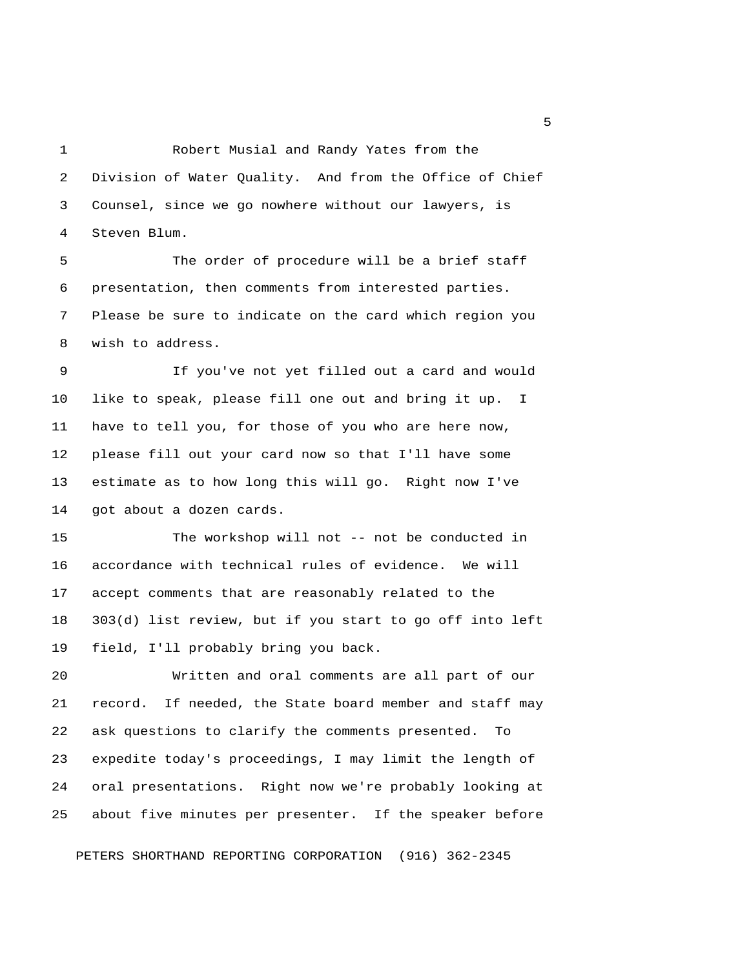1 Robert Musial and Randy Yates from the 2 Division of Water Quality. And from the Office of Chief 3 Counsel, since we go nowhere without our lawyers, is 4 Steven Blum.

 5 The order of procedure will be a brief staff 6 presentation, then comments from interested parties. 7 Please be sure to indicate on the card which region you 8 wish to address.

 9 If you've not yet filled out a card and would 10 like to speak, please fill one out and bring it up. I 11 have to tell you, for those of you who are here now, 12 please fill out your card now so that I'll have some 13 estimate as to how long this will go. Right now I've 14 got about a dozen cards.

15 The workshop will not -- not be conducted in 16 accordance with technical rules of evidence. We will 17 accept comments that are reasonably related to the 18 303(d) list review, but if you start to go off into left 19 field, I'll probably bring you back.

20 Written and oral comments are all part of our 21 record. If needed, the State board member and staff may 22 ask questions to clarify the comments presented. To 23 expedite today's proceedings, I may limit the length of 24 oral presentations. Right now we're probably looking at 25 about five minutes per presenter. If the speaker before

PETERS SHORTHAND REPORTING CORPORATION (916) 362-2345

 $\sim$  5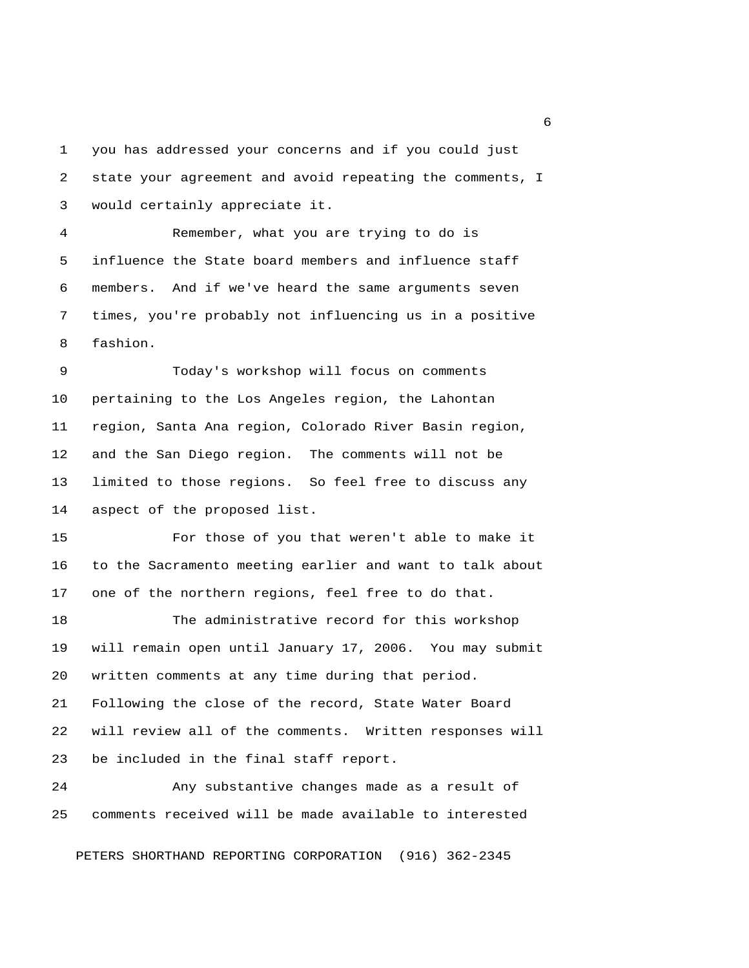1 you has addressed your concerns and if you could just 2 state your agreement and avoid repeating the comments, I 3 would certainly appreciate it.

 4 Remember, what you are trying to do is 5 influence the State board members and influence staff 6 members. And if we've heard the same arguments seven 7 times, you're probably not influencing us in a positive 8 fashion.

 9 Today's workshop will focus on comments 10 pertaining to the Los Angeles region, the Lahontan 11 region, Santa Ana region, Colorado River Basin region, 12 and the San Diego region. The comments will not be 13 limited to those regions. So feel free to discuss any 14 aspect of the proposed list.

15 For those of you that weren't able to make it 16 to the Sacramento meeting earlier and want to talk about 17 one of the northern regions, feel free to do that.

18 The administrative record for this workshop 19 will remain open until January 17, 2006. You may submit 20 written comments at any time during that period. 21 Following the close of the record, State Water Board 22 will review all of the comments. Written responses will 23 be included in the final staff report.

24 Any substantive changes made as a result of 25 comments received will be made available to interested

PETERS SHORTHAND REPORTING CORPORATION (916) 362-2345

 $\overline{6}$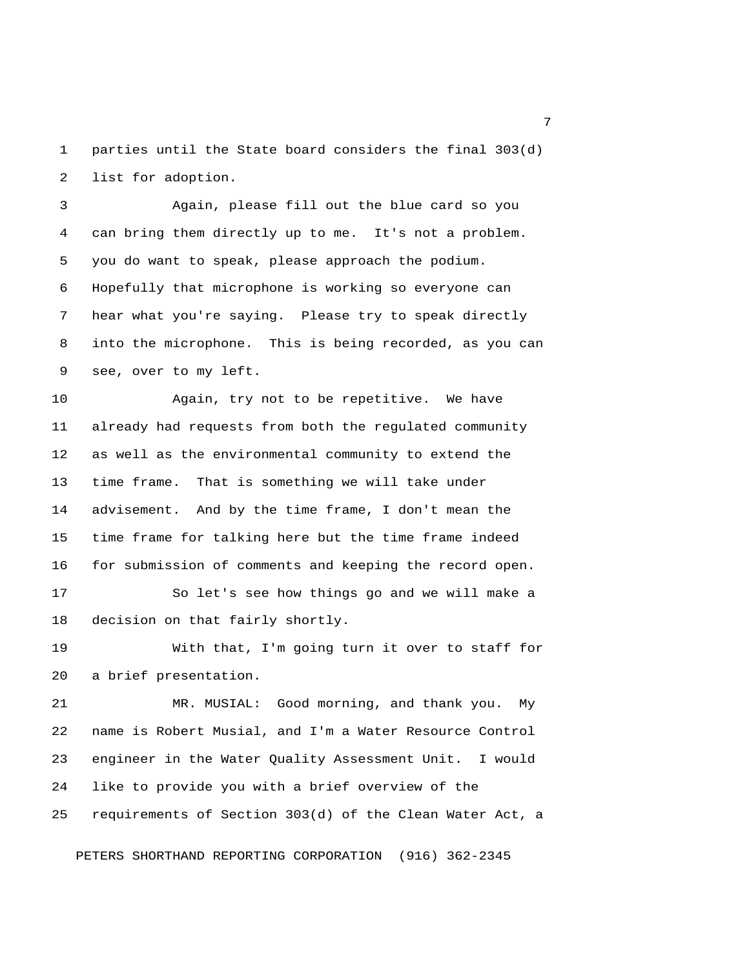1 parties until the State board considers the final 303(d) 2 list for adoption.

 3 Again, please fill out the blue card so you 4 can bring them directly up to me. It's not a problem. 5 you do want to speak, please approach the podium. 6 Hopefully that microphone is working so everyone can 7 hear what you're saying. Please try to speak directly 8 into the microphone. This is being recorded, as you can 9 see, over to my left.

10 Again, try not to be repetitive. We have 11 already had requests from both the regulated community 12 as well as the environmental community to extend the 13 time frame. That is something we will take under 14 advisement. And by the time frame, I don't mean the 15 time frame for talking here but the time frame indeed 16 for submission of comments and keeping the record open.

17 So let's see how things go and we will make a 18 decision on that fairly shortly.

19 With that, I'm going turn it over to staff for 20 a brief presentation.

21 MR. MUSIAL: Good morning, and thank you. My 22 name is Robert Musial, and I'm a Water Resource Control 23 engineer in the Water Quality Assessment Unit. I would 24 like to provide you with a brief overview of the 25 requirements of Section 303(d) of the Clean Water Act, a

PETERS SHORTHAND REPORTING CORPORATION (916) 362-2345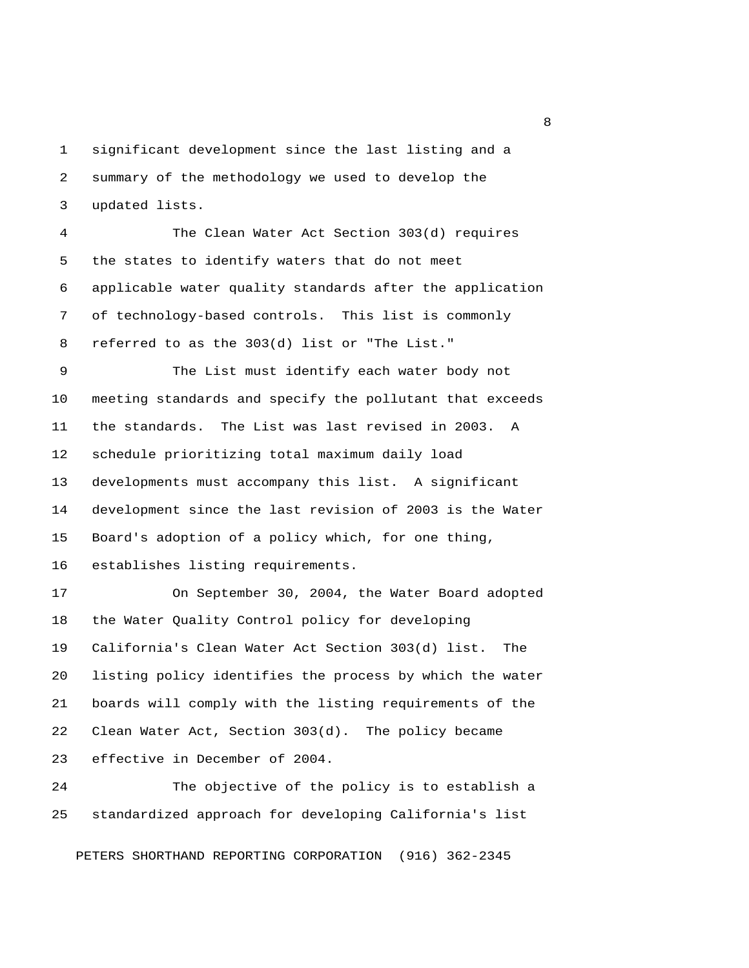1 significant development since the last listing and a 2 summary of the methodology we used to develop the 3 updated lists.

 4 The Clean Water Act Section 303(d) requires 5 the states to identify waters that do not meet 6 applicable water quality standards after the application 7 of technology-based controls. This list is commonly 8 referred to as the 303(d) list or "The List."

 9 The List must identify each water body not 10 meeting standards and specify the pollutant that exceeds 11 the standards. The List was last revised in 2003. A 12 schedule prioritizing total maximum daily load 13 developments must accompany this list. A significant 14 development since the last revision of 2003 is the Water 15 Board's adoption of a policy which, for one thing, 16 establishes listing requirements.

17 On September 30, 2004, the Water Board adopted 18 the Water Quality Control policy for developing 19 California's Clean Water Act Section 303(d) list. The 20 listing policy identifies the process by which the water 21 boards will comply with the listing requirements of the 22 Clean Water Act, Section 303(d). The policy became 23 effective in December of 2004.

24 The objective of the policy is to establish a 25 standardized approach for developing California's list

PETERS SHORTHAND REPORTING CORPORATION (916) 362-2345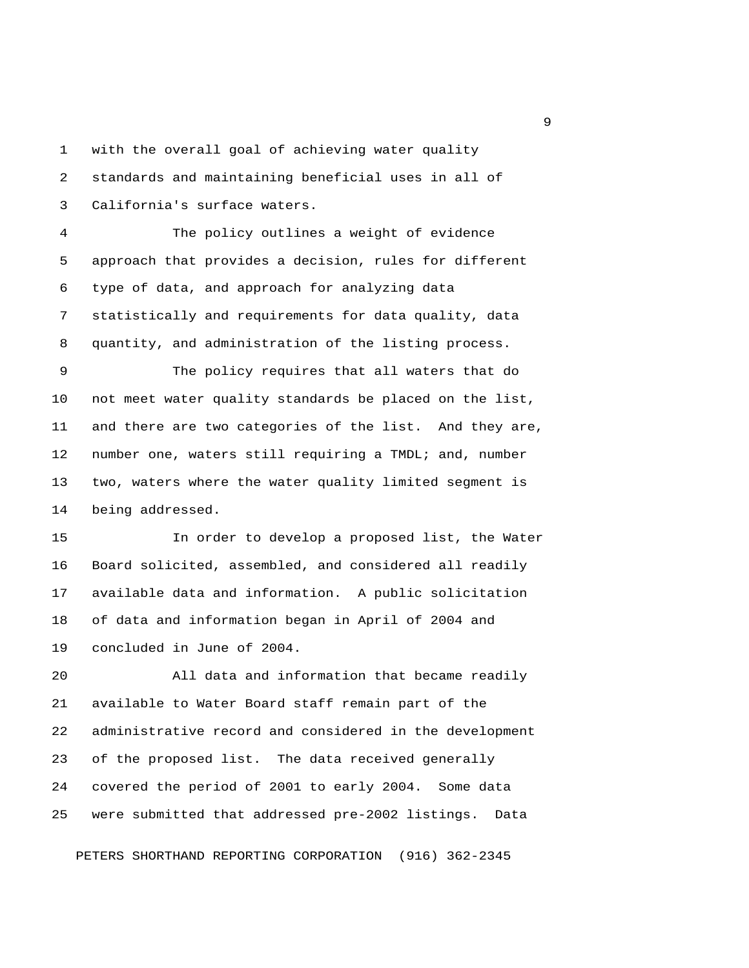1 with the overall goal of achieving water quality 2 standards and maintaining beneficial uses in all of 3 California's surface waters.

 4 The policy outlines a weight of evidence 5 approach that provides a decision, rules for different 6 type of data, and approach for analyzing data 7 statistically and requirements for data quality, data 8 quantity, and administration of the listing process.

 9 The policy requires that all waters that do 10 not meet water quality standards be placed on the list, 11 and there are two categories of the list. And they are, 12 number one, waters still requiring a TMDL; and, number 13 two, waters where the water quality limited segment is 14 being addressed.

15 In order to develop a proposed list, the Water 16 Board solicited, assembled, and considered all readily 17 available data and information. A public solicitation 18 of data and information began in April of 2004 and 19 concluded in June of 2004.

20 All data and information that became readily 21 available to Water Board staff remain part of the 22 administrative record and considered in the development 23 of the proposed list. The data received generally 24 covered the period of 2001 to early 2004. Some data 25 were submitted that addressed pre-2002 listings. Data

PETERS SHORTHAND REPORTING CORPORATION (916) 362-2345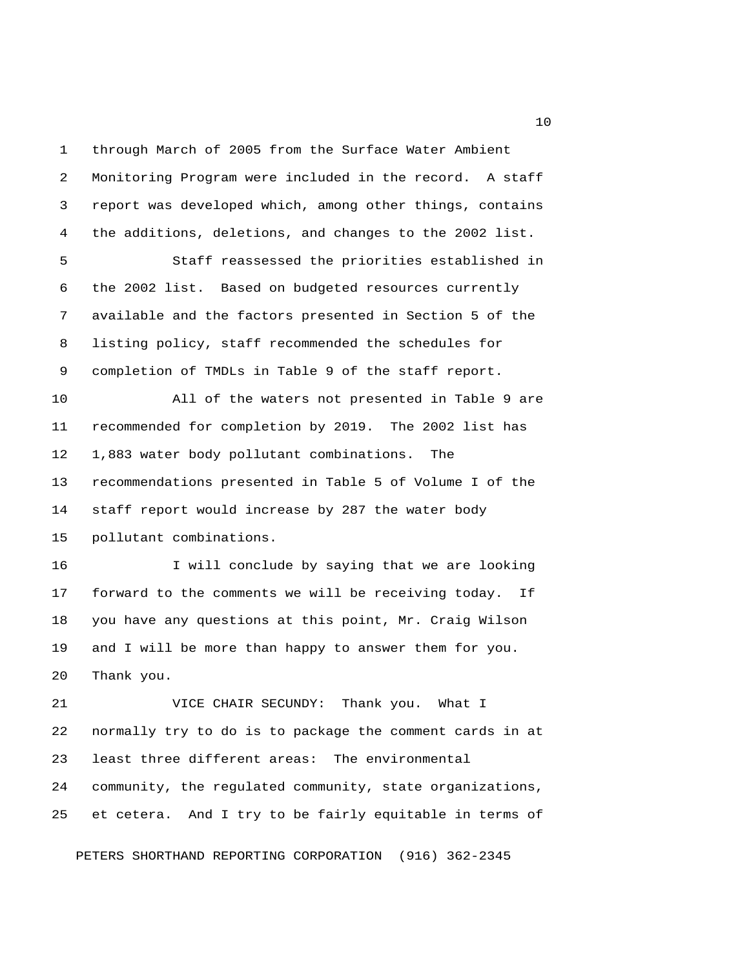1 through March of 2005 from the Surface Water Ambient 2 Monitoring Program were included in the record. A staff 3 report was developed which, among other things, contains 4 the additions, deletions, and changes to the 2002 list. 5 Staff reassessed the priorities established in 6 the 2002 list. Based on budgeted resources currently 7 available and the factors presented in Section 5 of the 8 listing policy, staff recommended the schedules for 9 completion of TMDLs in Table 9 of the staff report. 10 All of the waters not presented in Table 9 are 11 recommended for completion by 2019. The 2002 list has 12 1,883 water body pollutant combinations. The 13 recommendations presented in Table 5 of Volume I of the 14 staff report would increase by 287 the water body 15 pollutant combinations. 16 I will conclude by saying that we are looking 17 forward to the comments we will be receiving today. If 18 you have any questions at this point, Mr. Craig Wilson 19 and I will be more than happy to answer them for you. 20 Thank you. 21 VICE CHAIR SECUNDY: Thank you. What I 22 normally try to do is to package the comment cards in at 23 least three different areas: The environmental 24 community, the regulated community, state organizations, 25 et cetera. And I try to be fairly equitable in terms of

PETERS SHORTHAND REPORTING CORPORATION (916) 362-2345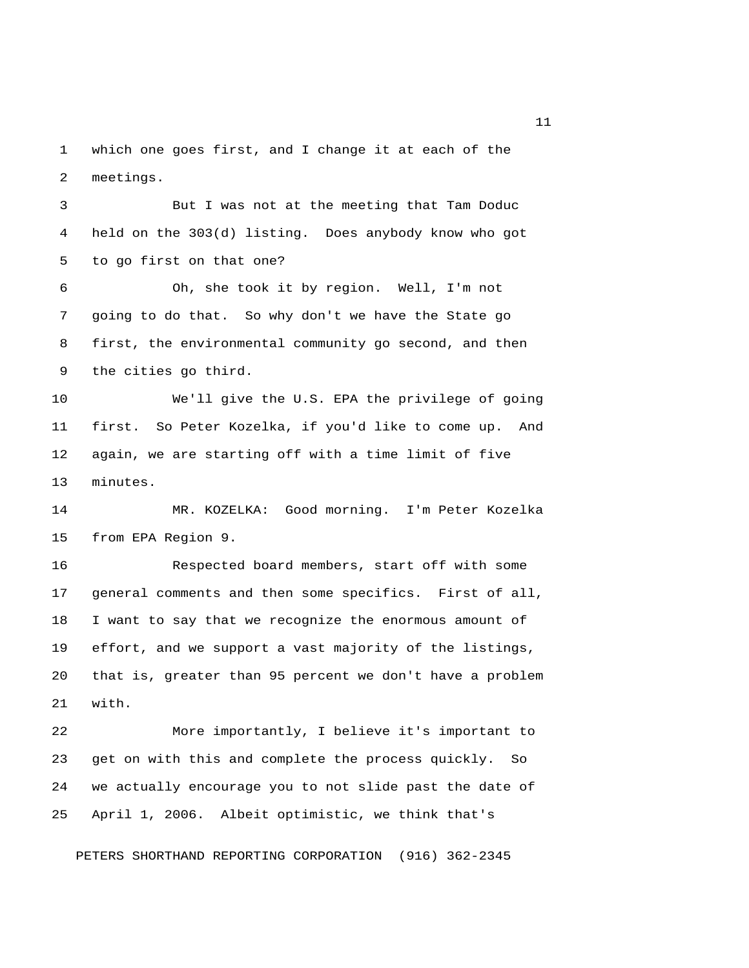1 which one goes first, and I change it at each of the 2 meetings.

 3 But I was not at the meeting that Tam Doduc 4 held on the 303(d) listing. Does anybody know who got 5 to go first on that one?

 6 Oh, she took it by region. Well, I'm not 7 going to do that. So why don't we have the State go 8 first, the environmental community go second, and then 9 the cities go third.

10 We'll give the U.S. EPA the privilege of going 11 first. So Peter Kozelka, if you'd like to come up. And 12 again, we are starting off with a time limit of five 13 minutes.

14 MR. KOZELKA: Good morning. I'm Peter Kozelka 15 from EPA Region 9.

16 Respected board members, start off with some 17 general comments and then some specifics. First of all, 18 I want to say that we recognize the enormous amount of 19 effort, and we support a vast majority of the listings, 20 that is, greater than 95 percent we don't have a problem 21 with.

22 More importantly, I believe it's important to 23 get on with this and complete the process quickly. So 24 we actually encourage you to not slide past the date of 25 April 1, 2006. Albeit optimistic, we think that's

PETERS SHORTHAND REPORTING CORPORATION (916) 362-2345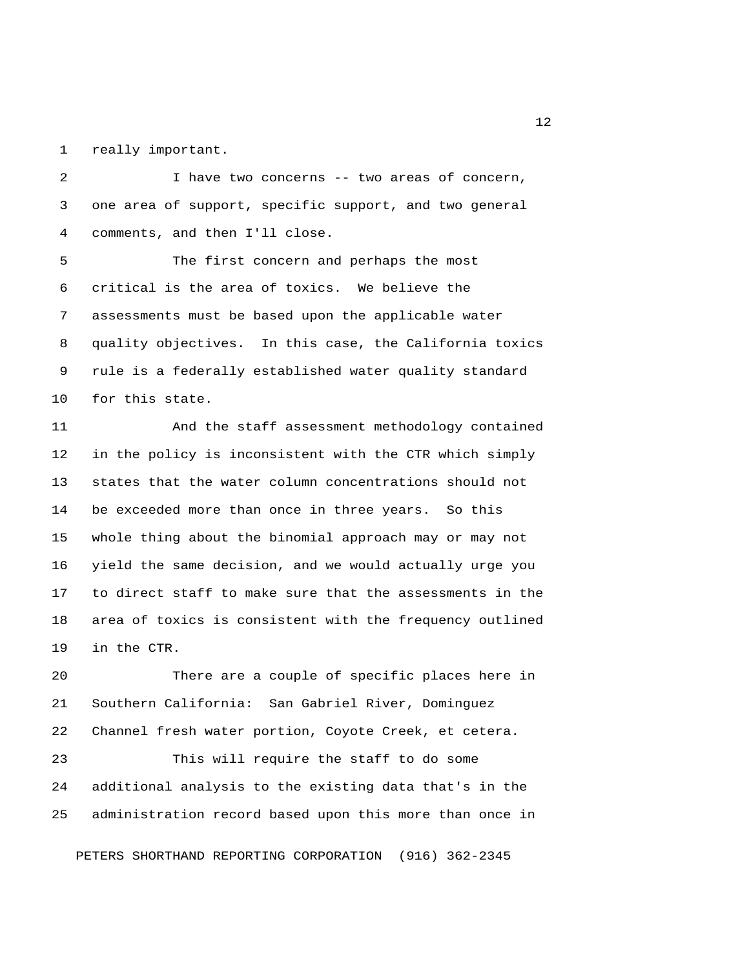1 really important.

 2 I have two concerns -- two areas of concern, 3 one area of support, specific support, and two general 4 comments, and then I'll close.

 5 The first concern and perhaps the most 6 critical is the area of toxics. We believe the 7 assessments must be based upon the applicable water 8 quality objectives. In this case, the California toxics 9 rule is a federally established water quality standard 10 for this state.

11 And the staff assessment methodology contained 12 in the policy is inconsistent with the CTR which simply 13 states that the water column concentrations should not 14 be exceeded more than once in three years. So this 15 whole thing about the binomial approach may or may not 16 yield the same decision, and we would actually urge you 17 to direct staff to make sure that the assessments in the 18 area of toxics is consistent with the frequency outlined 19 in the CTR.

20 There are a couple of specific places here in 21 Southern California: San Gabriel River, Dominguez 22 Channel fresh water portion, Coyote Creek, et cetera.

23 This will require the staff to do some 24 additional analysis to the existing data that's in the 25 administration record based upon this more than once in

PETERS SHORTHAND REPORTING CORPORATION (916) 362-2345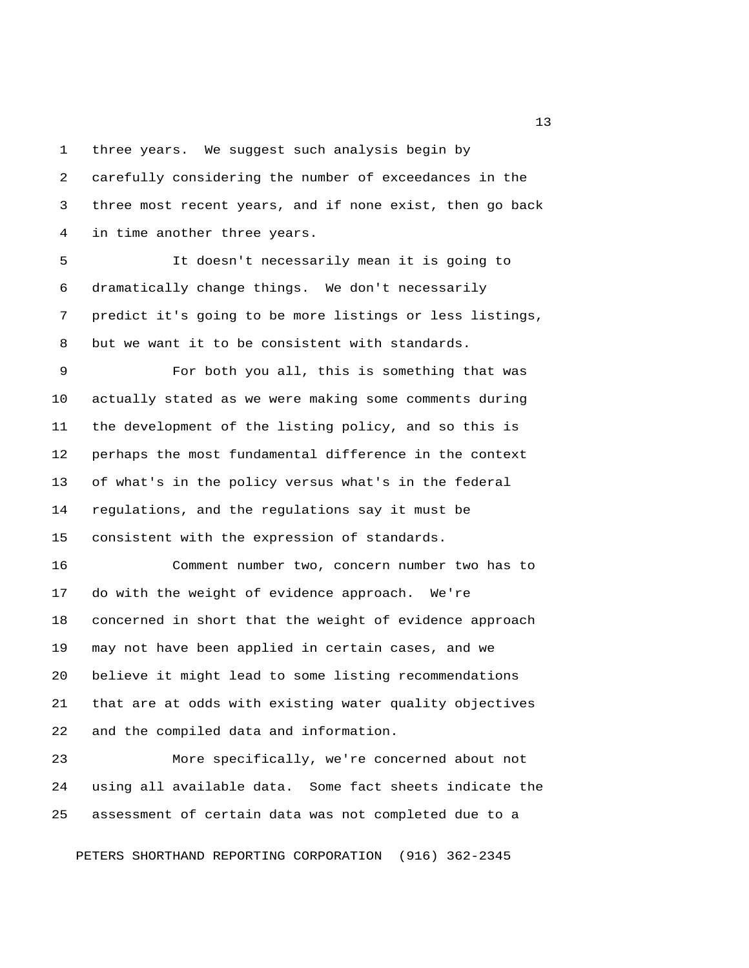1 three years. We suggest such analysis begin by 2 carefully considering the number of exceedances in the 3 three most recent years, and if none exist, then go back 4 in time another three years.

 5 It doesn't necessarily mean it is going to 6 dramatically change things. We don't necessarily 7 predict it's going to be more listings or less listings, 8 but we want it to be consistent with standards.

 9 For both you all, this is something that was 10 actually stated as we were making some comments during 11 the development of the listing policy, and so this is 12 perhaps the most fundamental difference in the context 13 of what's in the policy versus what's in the federal 14 regulations, and the regulations say it must be 15 consistent with the expression of standards.

16 Comment number two, concern number two has to 17 do with the weight of evidence approach. We're 18 concerned in short that the weight of evidence approach 19 may not have been applied in certain cases, and we 20 believe it might lead to some listing recommendations 21 that are at odds with existing water quality objectives 22 and the compiled data and information.

23 More specifically, we're concerned about not 24 using all available data. Some fact sheets indicate the 25 assessment of certain data was not completed due to a

PETERS SHORTHAND REPORTING CORPORATION (916) 362-2345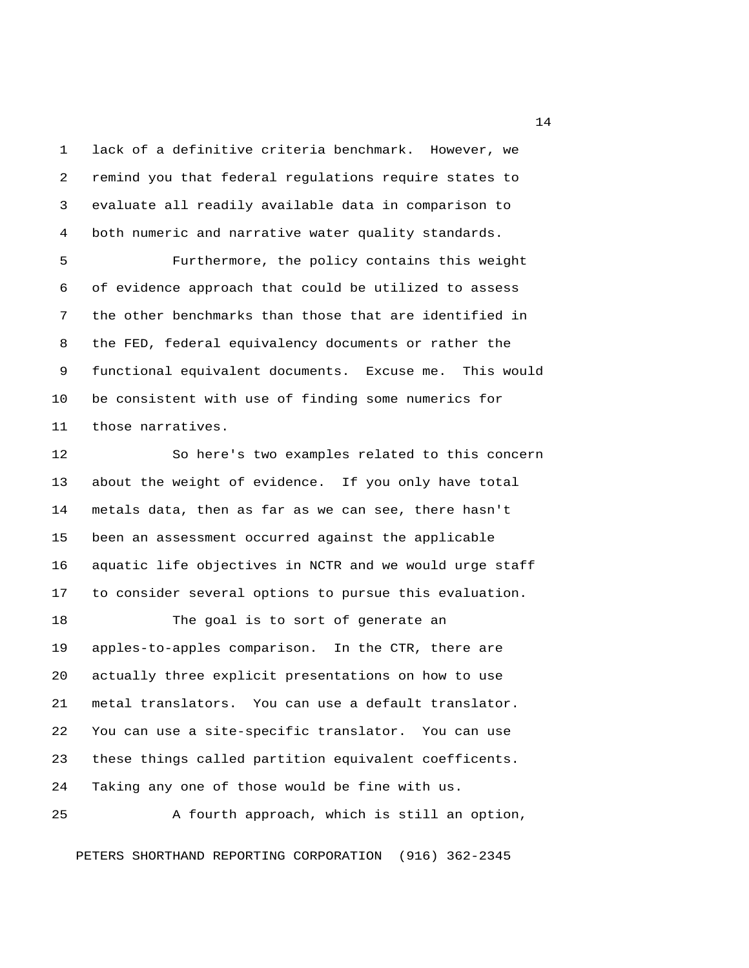1 lack of a definitive criteria benchmark. However, we 2 remind you that federal regulations require states to 3 evaluate all readily available data in comparison to 4 both numeric and narrative water quality standards.

 5 Furthermore, the policy contains this weight 6 of evidence approach that could be utilized to assess 7 the other benchmarks than those that are identified in 8 the FED, federal equivalency documents or rather the 9 functional equivalent documents. Excuse me. This would 10 be consistent with use of finding some numerics for 11 those narratives.

12 So here's two examples related to this concern 13 about the weight of evidence. If you only have total 14 metals data, then as far as we can see, there hasn't 15 been an assessment occurred against the applicable 16 aquatic life objectives in NCTR and we would urge staff 17 to consider several options to pursue this evaluation.

18 The goal is to sort of generate an 19 apples-to-apples comparison. In the CTR, there are 20 actually three explicit presentations on how to use 21 metal translators. You can use a default translator. 22 You can use a site-specific translator. You can use 23 these things called partition equivalent coefficents. 24 Taking any one of those would be fine with us.

25 A fourth approach, which is still an option, PETERS SHORTHAND REPORTING CORPORATION (916) 362-2345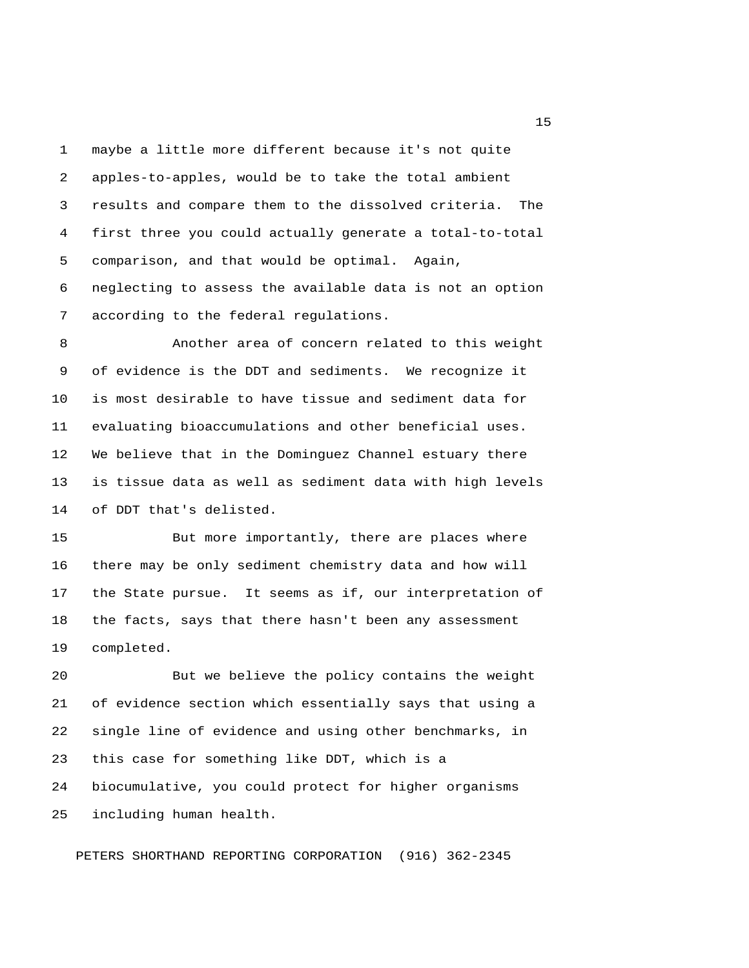1 maybe a little more different because it's not quite 2 apples-to-apples, would be to take the total ambient 3 results and compare them to the dissolved criteria. The 4 first three you could actually generate a total-to-total 5 comparison, and that would be optimal. Again, 6 neglecting to assess the available data is not an option 7 according to the federal regulations.

 8 Another area of concern related to this weight 9 of evidence is the DDT and sediments. We recognize it 10 is most desirable to have tissue and sediment data for 11 evaluating bioaccumulations and other beneficial uses. 12 We believe that in the Dominguez Channel estuary there 13 is tissue data as well as sediment data with high levels 14 of DDT that's delisted.

15 But more importantly, there are places where 16 there may be only sediment chemistry data and how will 17 the State pursue. It seems as if, our interpretation of 18 the facts, says that there hasn't been any assessment 19 completed.

20 But we believe the policy contains the weight 21 of evidence section which essentially says that using a 22 single line of evidence and using other benchmarks, in 23 this case for something like DDT, which is a 24 biocumulative, you could protect for higher organisms 25 including human health.

PETERS SHORTHAND REPORTING CORPORATION (916) 362-2345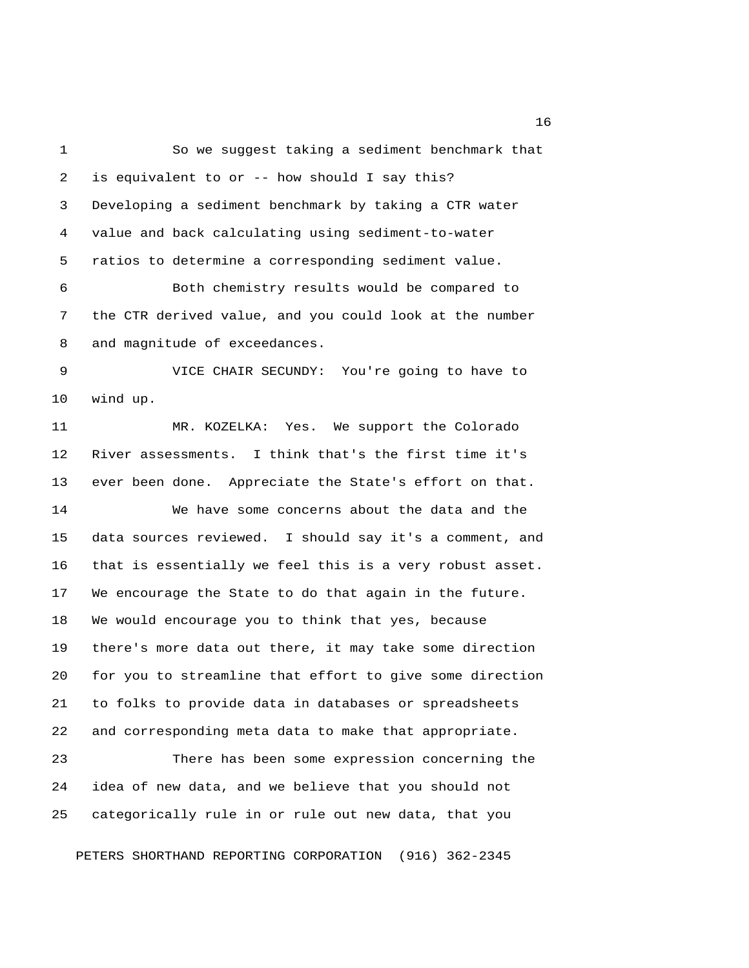1 So we suggest taking a sediment benchmark that 2 is equivalent to or -- how should I say this? 3 Developing a sediment benchmark by taking a CTR water 4 value and back calculating using sediment-to-water 5 ratios to determine a corresponding sediment value. 6 Both chemistry results would be compared to 7 the CTR derived value, and you could look at the number 8 and magnitude of exceedances. 9 VICE CHAIR SECUNDY: You're going to have to 10 wind up. 11 MR. KOZELKA: Yes. We support the Colorado 12 River assessments. I think that's the first time it's 13 ever been done. Appreciate the State's effort on that. 14 We have some concerns about the data and the 15 data sources reviewed. I should say it's a comment, and 16 that is essentially we feel this is a very robust asset. 17 We encourage the State to do that again in the future. 18 We would encourage you to think that yes, because 19 there's more data out there, it may take some direction 20 for you to streamline that effort to give some direction 21 to folks to provide data in databases or spreadsheets 22 and corresponding meta data to make that appropriate. 23 There has been some expression concerning the 24 idea of new data, and we believe that you should not

PETERS SHORTHAND REPORTING CORPORATION (916) 362-2345

25 categorically rule in or rule out new data, that you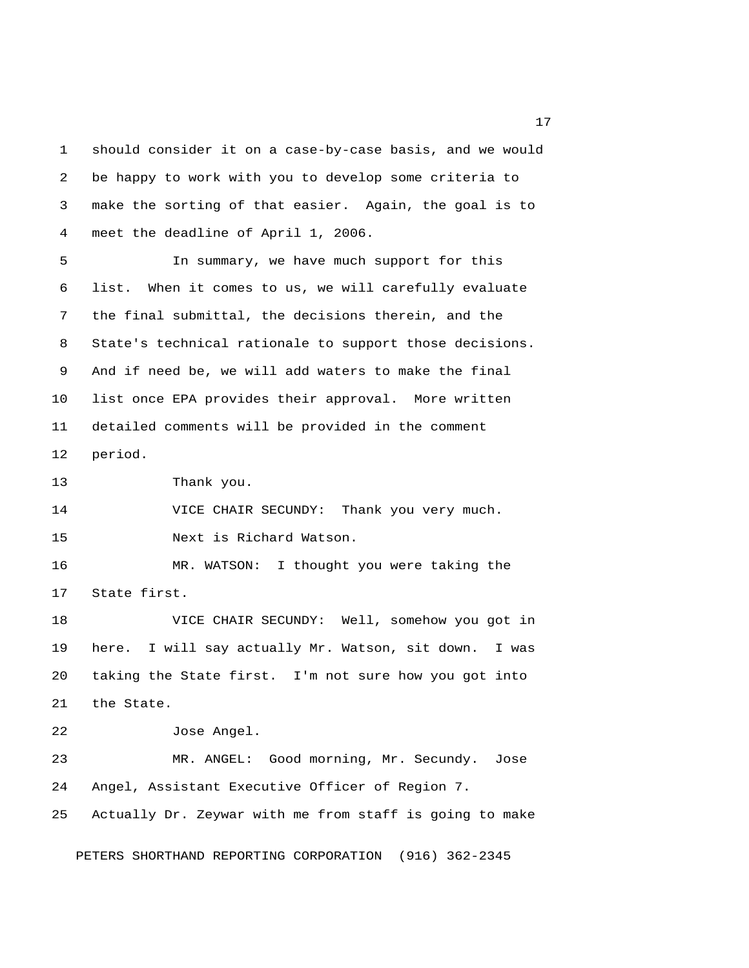1 should consider it on a case-by-case basis, and we would 2 be happy to work with you to develop some criteria to 3 make the sorting of that easier. Again, the goal is to 4 meet the deadline of April 1, 2006.

 5 In summary, we have much support for this 6 list. When it comes to us, we will carefully evaluate 7 the final submittal, the decisions therein, and the 8 State's technical rationale to support those decisions. 9 And if need be, we will add waters to make the final 10 list once EPA provides their approval. More written 11 detailed comments will be provided in the comment 12 period.

13 Thank you.

14 VICE CHAIR SECUNDY: Thank you very much. 15 Next is Richard Watson.

16 MR. WATSON: I thought you were taking the 17 State first.

18 VICE CHAIR SECUNDY: Well, somehow you got in 19 here. I will say actually Mr. Watson, sit down. I was 20 taking the State first. I'm not sure how you got into 21 the State.

22 Jose Angel.

23 MR. ANGEL: Good morning, Mr. Secundy. Jose 24 Angel, Assistant Executive Officer of Region 7. 25 Actually Dr. Zeywar with me from staff is going to make

PETERS SHORTHAND REPORTING CORPORATION (916) 362-2345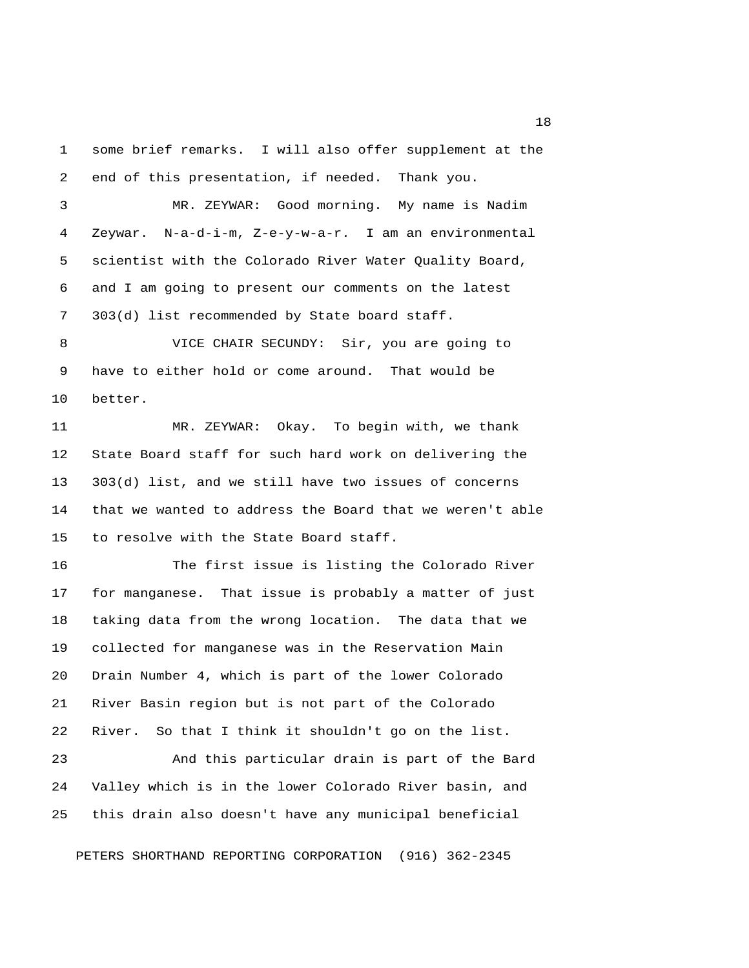1 some brief remarks. I will also offer supplement at the 2 end of this presentation, if needed. Thank you.

 3 MR. ZEYWAR: Good morning. My name is Nadim 4 Zeywar. N-a-d-i-m, Z-e-y-w-a-r. I am an environmental 5 scientist with the Colorado River Water Quality Board, 6 and I am going to present our comments on the latest 7 303(d) list recommended by State board staff.

 8 VICE CHAIR SECUNDY: Sir, you are going to 9 have to either hold or come around. That would be 10 better.

11 MR. ZEYWAR: Okay. To begin with, we thank 12 State Board staff for such hard work on delivering the 13 303(d) list, and we still have two issues of concerns 14 that we wanted to address the Board that we weren't able 15 to resolve with the State Board staff.

16 The first issue is listing the Colorado River 17 for manganese. That issue is probably a matter of just 18 taking data from the wrong location. The data that we 19 collected for manganese was in the Reservation Main 20 Drain Number 4, which is part of the lower Colorado 21 River Basin region but is not part of the Colorado 22 River. So that I think it shouldn't go on the list.

23 And this particular drain is part of the Bard 24 Valley which is in the lower Colorado River basin, and 25 this drain also doesn't have any municipal beneficial

PETERS SHORTHAND REPORTING CORPORATION (916) 362-2345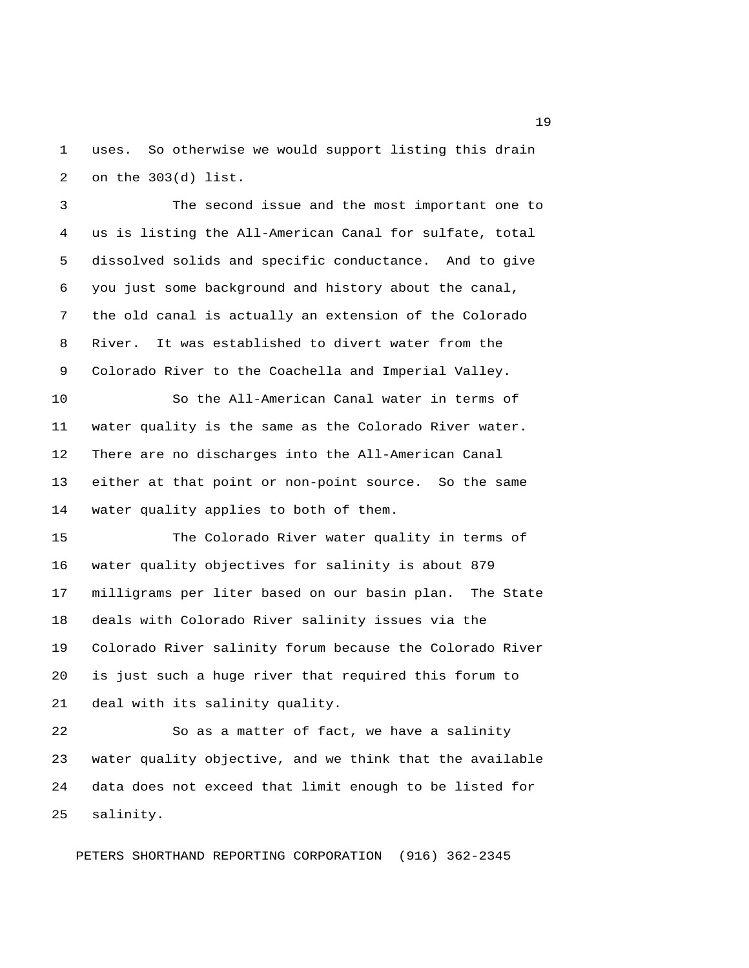1 uses. So otherwise we would support listing this drain 2 on the 303(d) list.

 3 The second issue and the most important one to 4 us is listing the All-American Canal for sulfate, total 5 dissolved solids and specific conductance. And to give 6 you just some background and history about the canal, 7 the old canal is actually an extension of the Colorado 8 River. It was established to divert water from the 9 Colorado River to the Coachella and Imperial Valley.

10 So the All-American Canal water in terms of 11 water quality is the same as the Colorado River water. 12 There are no discharges into the All-American Canal 13 either at that point or non-point source. So the same 14 water quality applies to both of them.

15 The Colorado River water quality in terms of 16 water quality objectives for salinity is about 879 17 milligrams per liter based on our basin plan. The State 18 deals with Colorado River salinity issues via the 19 Colorado River salinity forum because the Colorado River 20 is just such a huge river that required this forum to 21 deal with its salinity quality.

22 So as a matter of fact, we have a salinity 23 water quality objective, and we think that the available 24 data does not exceed that limit enough to be listed for 25 salinity.

PETERS SHORTHAND REPORTING CORPORATION (916) 362-2345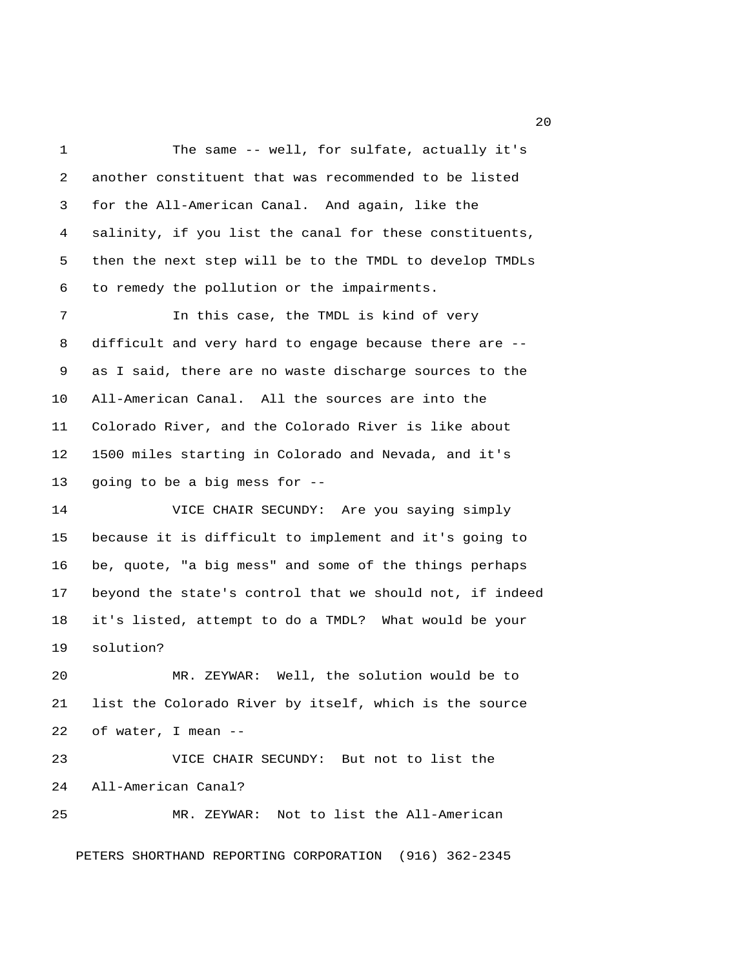1 The same -- well, for sulfate, actually it's 2 another constituent that was recommended to be listed 3 for the All-American Canal. And again, like the 4 salinity, if you list the canal for these constituents, 5 then the next step will be to the TMDL to develop TMDLs 6 to remedy the pollution or the impairments. 7 In this case, the TMDL is kind of very 8 difficult and very hard to engage because there are -- 9 as I said, there are no waste discharge sources to the 10 All-American Canal. All the sources are into the 11 Colorado River, and the Colorado River is like about 12 1500 miles starting in Colorado and Nevada, and it's 13 going to be a big mess for -- 14 VICE CHAIR SECUNDY: Are you saying simply 15 because it is difficult to implement and it's going to 16 be, quote, "a big mess" and some of the things perhaps 17 beyond the state's control that we should not, if indeed 18 it's listed, attempt to do a TMDL? What would be your 19 solution? 20 MR. ZEYWAR: Well, the solution would be to 21 list the Colorado River by itself, which is the source 22 of water, I mean -- 23 VICE CHAIR SECUNDY: But not to list the 24 All-American Canal? 25 MR. ZEYWAR: Not to list the All-American

PETERS SHORTHAND REPORTING CORPORATION (916) 362-2345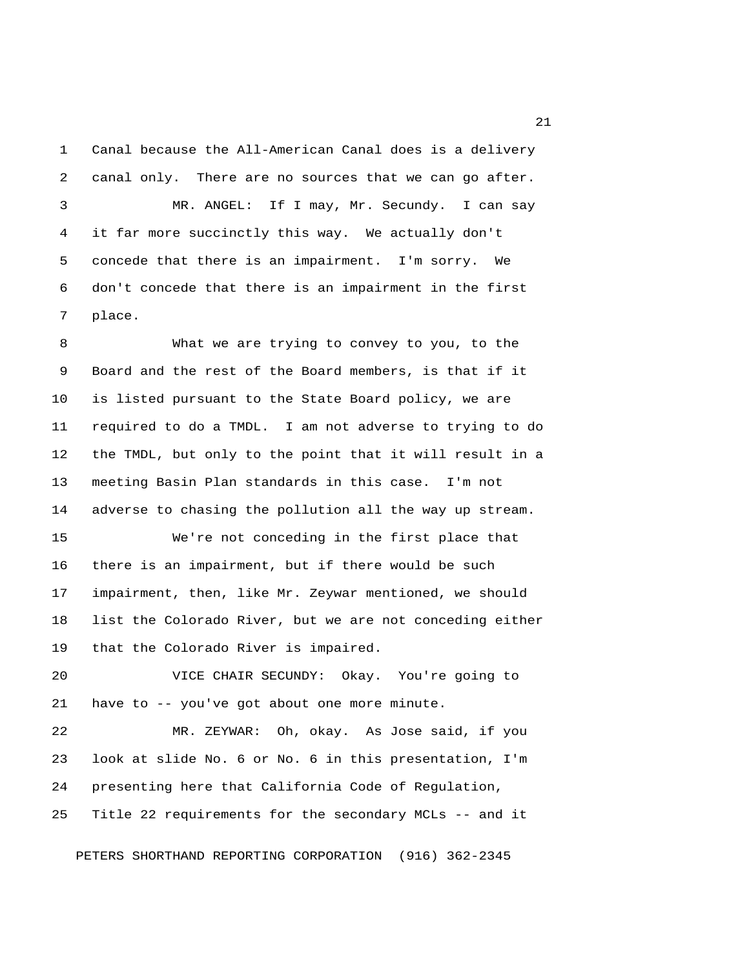1 Canal because the All-American Canal does is a delivery 2 canal only. There are no sources that we can go after. 3 MR. ANGEL: If I may, Mr. Secundy. I can say 4 it far more succinctly this way. We actually don't 5 concede that there is an impairment. I'm sorry. We 6 don't concede that there is an impairment in the first 7 place.

 8 What we are trying to convey to you, to the 9 Board and the rest of the Board members, is that if it 10 is listed pursuant to the State Board policy, we are 11 required to do a TMDL. I am not adverse to trying to do 12 the TMDL, but only to the point that it will result in a 13 meeting Basin Plan standards in this case. I'm not 14 adverse to chasing the pollution all the way up stream.

15 We're not conceding in the first place that 16 there is an impairment, but if there would be such 17 impairment, then, like Mr. Zeywar mentioned, we should 18 list the Colorado River, but we are not conceding either 19 that the Colorado River is impaired.

20 VICE CHAIR SECUNDY: Okay. You're going to 21 have to -- you've got about one more minute.

22 MR. ZEYWAR: Oh, okay. As Jose said, if you 23 look at slide No. 6 or No. 6 in this presentation, I'm 24 presenting here that California Code of Regulation, 25 Title 22 requirements for the secondary MCLs -- and it

PETERS SHORTHAND REPORTING CORPORATION (916) 362-2345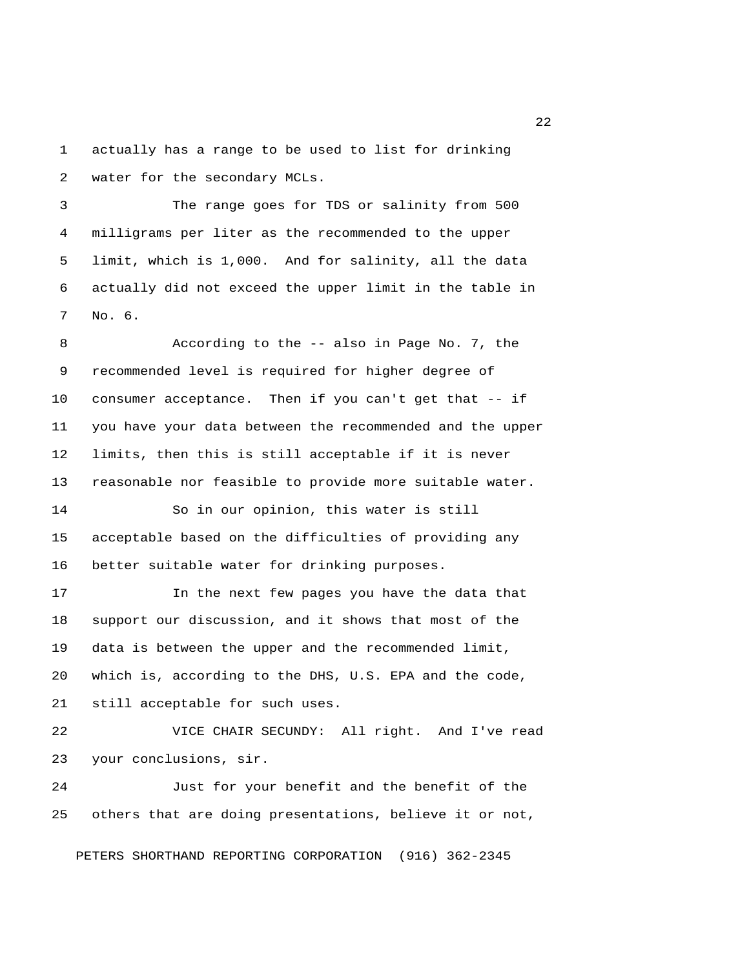1 actually has a range to be used to list for drinking 2 water for the secondary MCLs.

 3 The range goes for TDS or salinity from 500 4 milligrams per liter as the recommended to the upper 5 limit, which is 1,000. And for salinity, all the data 6 actually did not exceed the upper limit in the table in 7 No. 6.

 8 According to the -- also in Page No. 7, the 9 recommended level is required for higher degree of 10 consumer acceptance. Then if you can't get that -- if 11 you have your data between the recommended and the upper 12 limits, then this is still acceptable if it is never 13 reasonable nor feasible to provide more suitable water.

14 So in our opinion, this water is still 15 acceptable based on the difficulties of providing any 16 better suitable water for drinking purposes.

17 In the next few pages you have the data that 18 support our discussion, and it shows that most of the 19 data is between the upper and the recommended limit, 20 which is, according to the DHS, U.S. EPA and the code, 21 still acceptable for such uses.

22 VICE CHAIR SECUNDY: All right. And I've read 23 your conclusions, sir.

24 Just for your benefit and the benefit of the 25 others that are doing presentations, believe it or not,

PETERS SHORTHAND REPORTING CORPORATION (916) 362-2345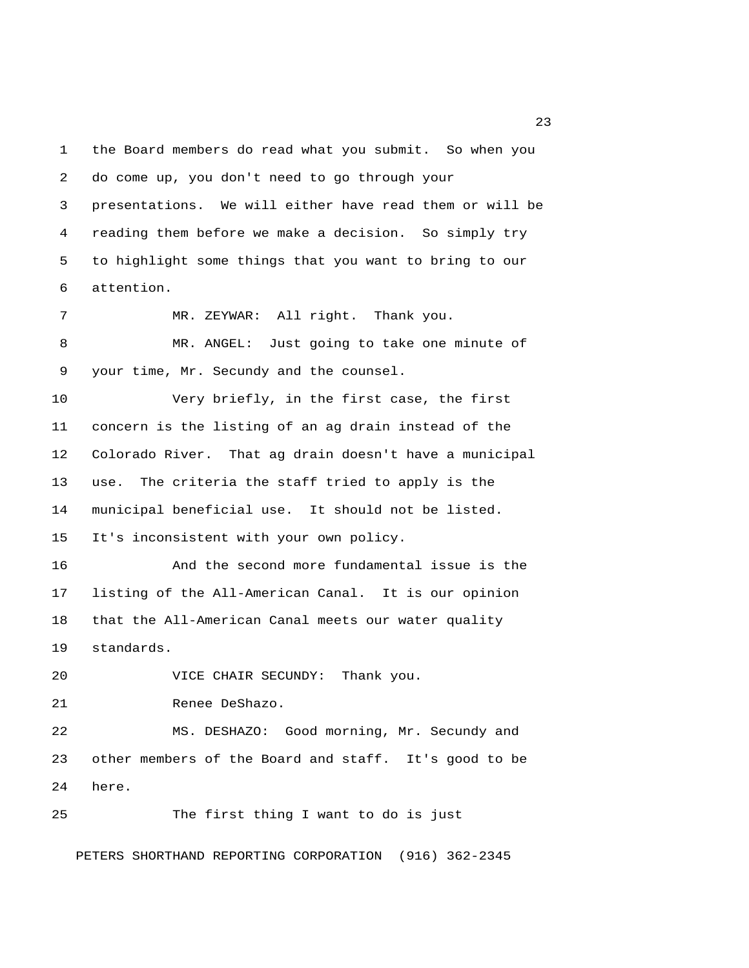1 the Board members do read what you submit. So when you 2 do come up, you don't need to go through your 3 presentations. We will either have read them or will be 4 reading them before we make a decision. So simply try 5 to highlight some things that you want to bring to our 6 attention.

7 MR. ZEYWAR: All right. Thank you.

 8 MR. ANGEL: Just going to take one minute of 9 your time, Mr. Secundy and the counsel. 10 Very briefly, in the first case, the first 11 concern is the listing of an ag drain instead of the 12 Colorado River. That ag drain doesn't have a municipal 13 use. The criteria the staff tried to apply is the 14 municipal beneficial use. It should not be listed. 15 It's inconsistent with your own policy. 16 And the second more fundamental issue is the 17 listing of the All-American Canal. It is our opinion 18 that the All-American Canal meets our water quality 19 standards. 20 VICE CHAIR SECUNDY: Thank you. 21 Renee DeShazo. 22 MS. DESHAZO: Good morning, Mr. Secundy and 23 other members of the Board and staff. It's good to be 24 here. 25 The first thing I want to do is just

PETERS SHORTHAND REPORTING CORPORATION (916) 362-2345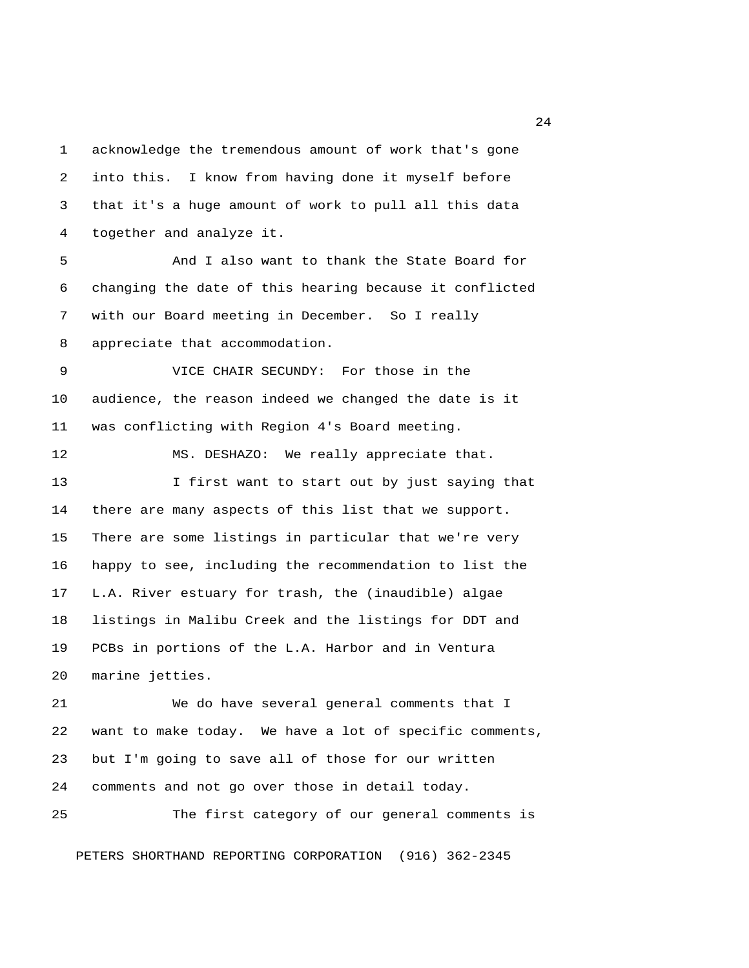1 acknowledge the tremendous amount of work that's gone 2 into this. I know from having done it myself before 3 that it's a huge amount of work to pull all this data 4 together and analyze it.

 5 And I also want to thank the State Board for 6 changing the date of this hearing because it conflicted 7 with our Board meeting in December. So I really 8 appreciate that accommodation.

 9 VICE CHAIR SECUNDY: For those in the 10 audience, the reason indeed we changed the date is it 11 was conflicting with Region 4's Board meeting.

12 MS. DESHAZO: We really appreciate that. 13 I first want to start out by just saying that 14 there are many aspects of this list that we support. 15 There are some listings in particular that we're very 16 happy to see, including the recommendation to list the 17 L.A. River estuary for trash, the (inaudible) algae 18 listings in Malibu Creek and the listings for DDT and 19 PCBs in portions of the L.A. Harbor and in Ventura 20 marine jetties.

21 We do have several general comments that I 22 want to make today. We have a lot of specific comments, 23 but I'm going to save all of those for our written 24 comments and not go over those in detail today.

25 The first category of our general comments is

PETERS SHORTHAND REPORTING CORPORATION (916) 362-2345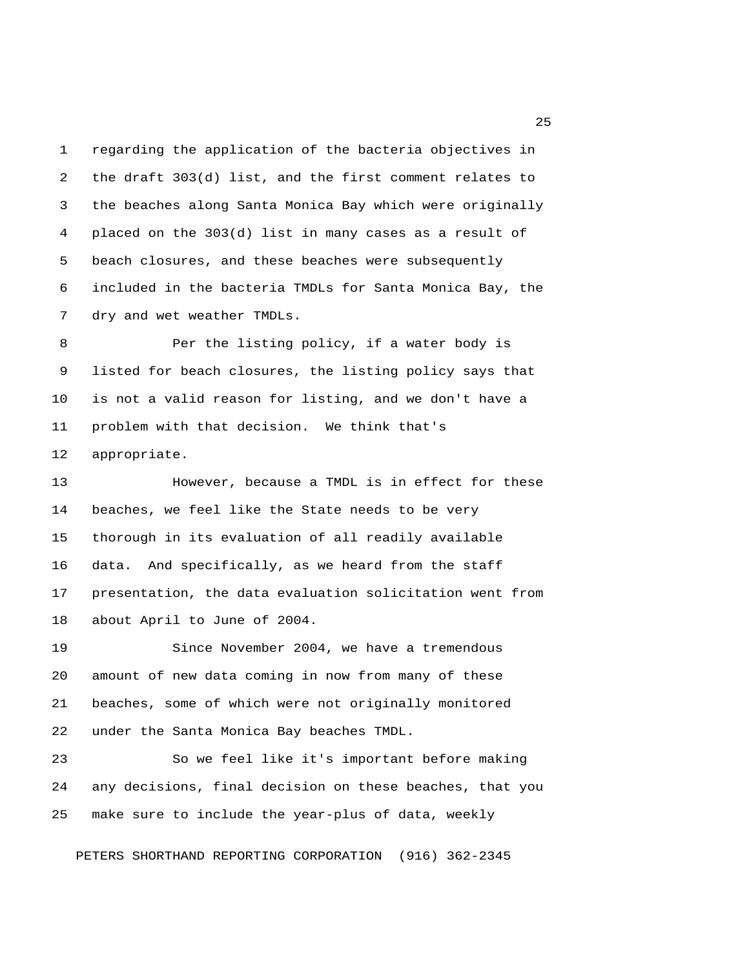1 regarding the application of the bacteria objectives in 2 the draft 303(d) list, and the first comment relates to 3 the beaches along Santa Monica Bay which were originally 4 placed on the 303(d) list in many cases as a result of 5 beach closures, and these beaches were subsequently 6 included in the bacteria TMDLs for Santa Monica Bay, the 7 dry and wet weather TMDLs.

8 Per the listing policy, if a water body is 9 listed for beach closures, the listing policy says that 10 is not a valid reason for listing, and we don't have a 11 problem with that decision. We think that's 12 appropriate.

13 However, because a TMDL is in effect for these 14 beaches, we feel like the State needs to be very 15 thorough in its evaluation of all readily available 16 data. And specifically, as we heard from the staff 17 presentation, the data evaluation solicitation went from 18 about April to June of 2004.

19 Since November 2004, we have a tremendous 20 amount of new data coming in now from many of these 21 beaches, some of which were not originally monitored 22 under the Santa Monica Bay beaches TMDL.

23 So we feel like it's important before making 24 any decisions, final decision on these beaches, that you 25 make sure to include the year-plus of data, weekly

PETERS SHORTHAND REPORTING CORPORATION (916) 362-2345

<u>25</u>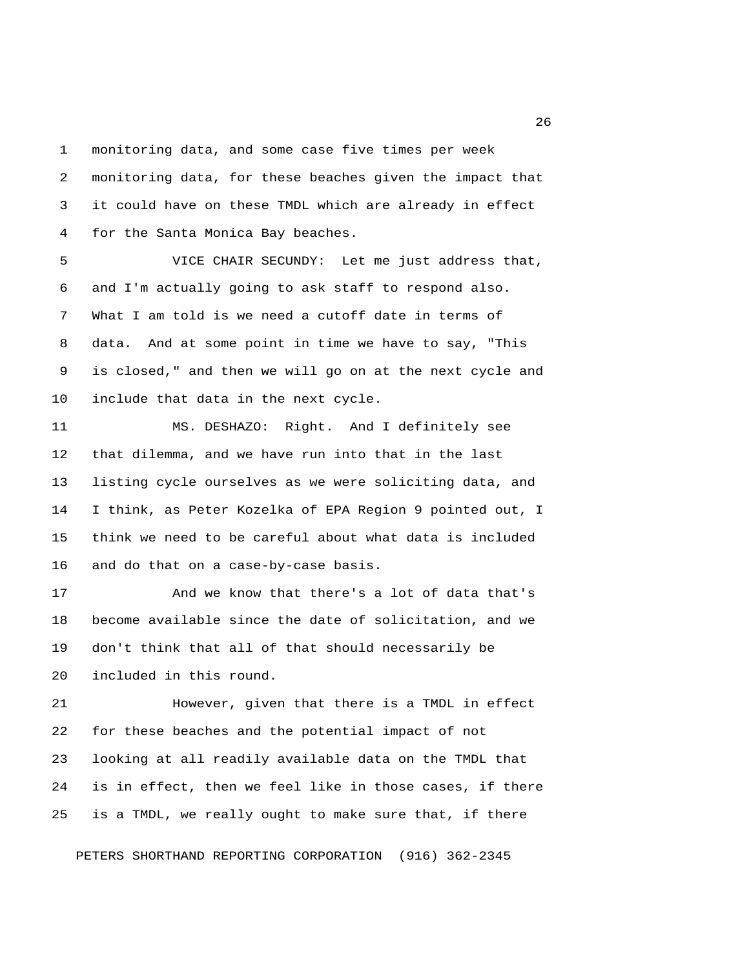1 monitoring data, and some case five times per week 2 monitoring data, for these beaches given the impact that 3 it could have on these TMDL which are already in effect 4 for the Santa Monica Bay beaches.

 5 VICE CHAIR SECUNDY: Let me just address that, 6 and I'm actually going to ask staff to respond also. 7 What I am told is we need a cutoff date in terms of 8 data. And at some point in time we have to say, "This 9 is closed," and then we will go on at the next cycle and 10 include that data in the next cycle.

11 MS. DESHAZO: Right. And I definitely see 12 that dilemma, and we have run into that in the last 13 listing cycle ourselves as we were soliciting data, and 14 I think, as Peter Kozelka of EPA Region 9 pointed out, I 15 think we need to be careful about what data is included 16 and do that on a case-by-case basis.

17 And we know that there's a lot of data that's 18 become available since the date of solicitation, and we 19 don't think that all of that should necessarily be 20 included in this round.

21 However, given that there is a TMDL in effect 22 for these beaches and the potential impact of not 23 looking at all readily available data on the TMDL that 24 is in effect, then we feel like in those cases, if there 25 is a TMDL, we really ought to make sure that, if there

PETERS SHORTHAND REPORTING CORPORATION (916) 362-2345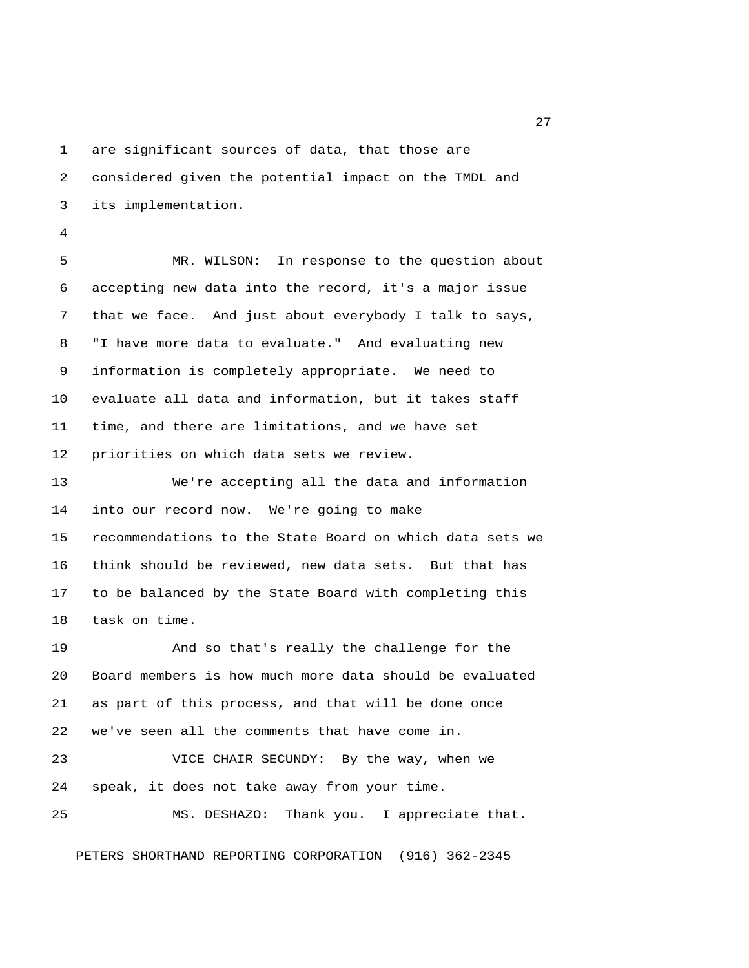1 are significant sources of data, that those are 2 considered given the potential impact on the TMDL and 3 its implementation.

4

 5 MR. WILSON: In response to the question about 6 accepting new data into the record, it's a major issue 7 that we face. And just about everybody I talk to says, 8 "I have more data to evaluate." And evaluating new 9 information is completely appropriate. We need to 10 evaluate all data and information, but it takes staff 11 time, and there are limitations, and we have set 12 priorities on which data sets we review.

13 We're accepting all the data and information 14 into our record now. We're going to make 15 recommendations to the State Board on which data sets we 16 think should be reviewed, new data sets. But that has 17 to be balanced by the State Board with completing this 18 task on time.

19 And so that's really the challenge for the 20 Board members is how much more data should be evaluated 21 as part of this process, and that will be done once 22 we've seen all the comments that have come in.

23 VICE CHAIR SECUNDY: By the way, when we 24 speak, it does not take away from your time.

25 MS. DESHAZO: Thank you. I appreciate that.

PETERS SHORTHAND REPORTING CORPORATION (916) 362-2345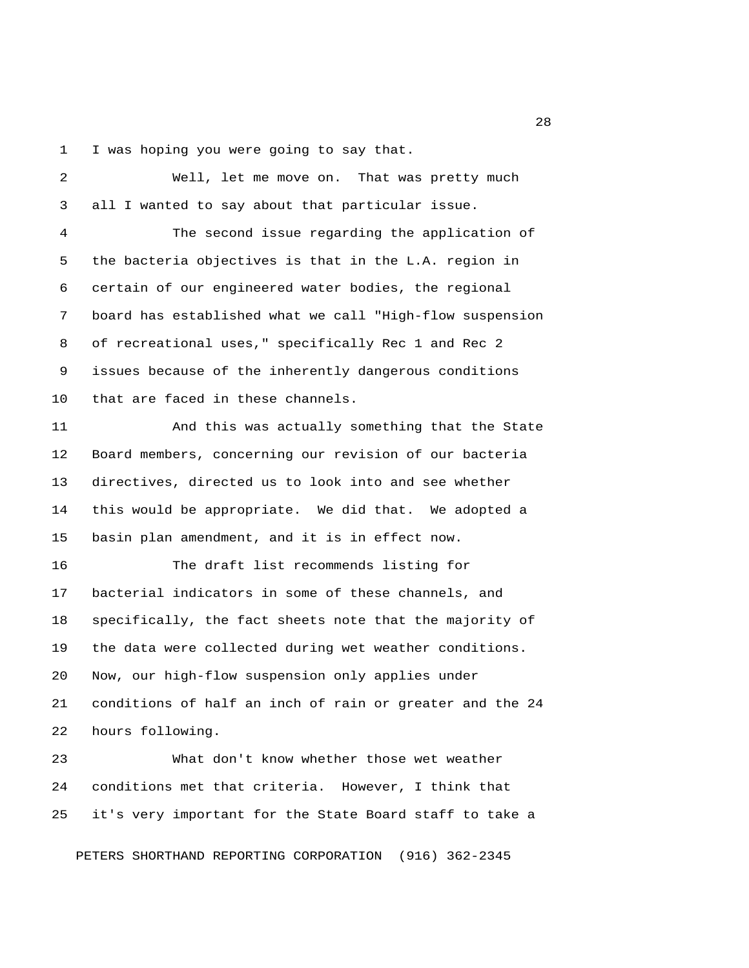1 I was hoping you were going to say that.

 2 Well, let me move on. That was pretty much 3 all I wanted to say about that particular issue. 4 The second issue regarding the application of 5 the bacteria objectives is that in the L.A. region in 6 certain of our engineered water bodies, the regional 7 board has established what we call "High-flow suspension 8 of recreational uses," specifically Rec 1 and Rec 2 9 issues because of the inherently dangerous conditions 10 that are faced in these channels. 11 And this was actually something that the State 12 Board members, concerning our revision of our bacteria 13 directives, directed us to look into and see whether 14 this would be appropriate. We did that. We adopted a 15 basin plan amendment, and it is in effect now. 16 The draft list recommends listing for 17 bacterial indicators in some of these channels, and 18 specifically, the fact sheets note that the majority of 19 the data were collected during wet weather conditions. 20 Now, our high-flow suspension only applies under 21 conditions of half an inch of rain or greater and the 24 22 hours following. 23 What don't know whether those wet weather 24 conditions met that criteria. However, I think that 25 it's very important for the State Board staff to take a

PETERS SHORTHAND REPORTING CORPORATION (916) 362-2345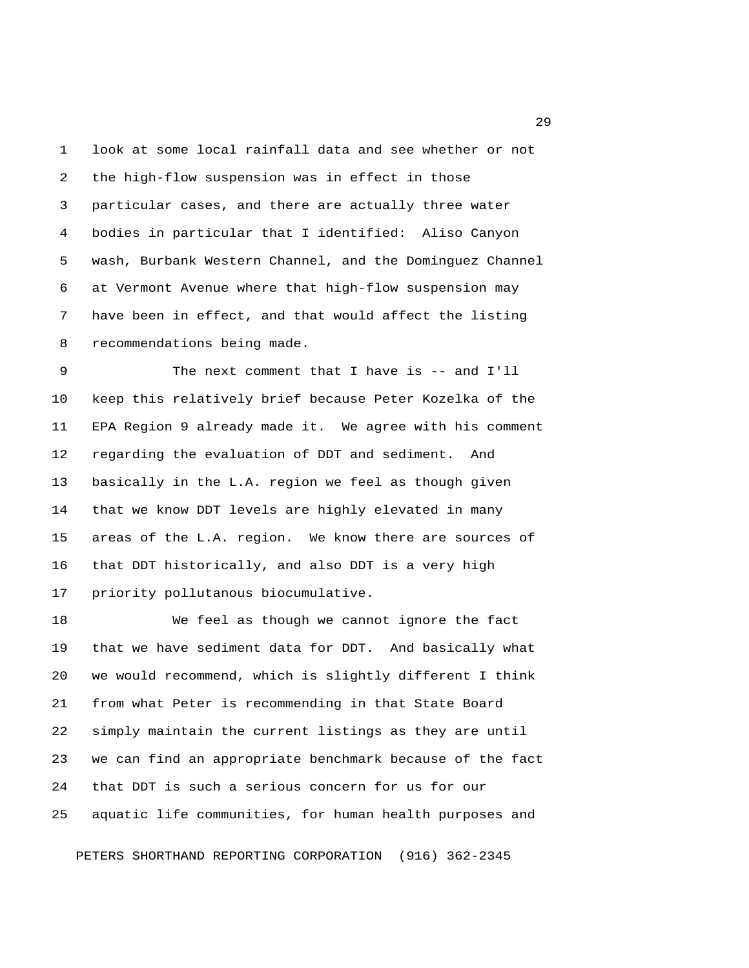1 look at some local rainfall data and see whether or not 2 the high-flow suspension was in effect in those 3 particular cases, and there are actually three water 4 bodies in particular that I identified: Aliso Canyon 5 wash, Burbank Western Channel, and the Dominguez Channel 6 at Vermont Avenue where that high-flow suspension may 7 have been in effect, and that would affect the listing 8 recommendations being made.

9 The next comment that I have is -- and I'll 10 keep this relatively brief because Peter Kozelka of the 11 EPA Region 9 already made it. We agree with his comment 12 regarding the evaluation of DDT and sediment. And 13 basically in the L.A. region we feel as though given 14 that we know DDT levels are highly elevated in many 15 areas of the L.A. region. We know there are sources of 16 that DDT historically, and also DDT is a very high 17 priority pollutanous biocumulative.

18 We feel as though we cannot ignore the fact 19 that we have sediment data for DDT. And basically what 20 we would recommend, which is slightly different I think 21 from what Peter is recommending in that State Board 22 simply maintain the current listings as they are until 23 we can find an appropriate benchmark because of the fact 24 that DDT is such a serious concern for us for our 25 aquatic life communities, for human health purposes and

PETERS SHORTHAND REPORTING CORPORATION (916) 362-2345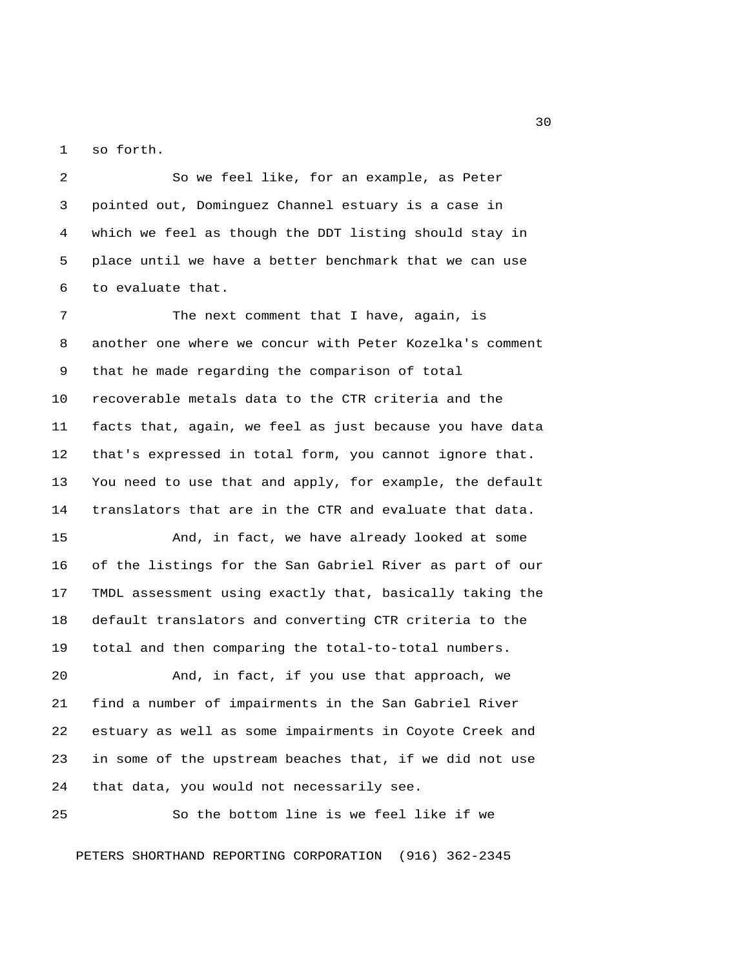1 so forth.

 2 So we feel like, for an example, as Peter 3 pointed out, Dominguez Channel estuary is a case in 4 which we feel as though the DDT listing should stay in 5 place until we have a better benchmark that we can use 6 to evaluate that.

 7 The next comment that I have, again, is 8 another one where we concur with Peter Kozelka's comment 9 that he made regarding the comparison of total 10 recoverable metals data to the CTR criteria and the 11 facts that, again, we feel as just because you have data 12 that's expressed in total form, you cannot ignore that. 13 You need to use that and apply, for example, the default 14 translators that are in the CTR and evaluate that data.

15 And, in fact, we have already looked at some 16 of the listings for the San Gabriel River as part of our 17 TMDL assessment using exactly that, basically taking the 18 default translators and converting CTR criteria to the 19 total and then comparing the total-to-total numbers.

20 And, in fact, if you use that approach, we 21 find a number of impairments in the San Gabriel River 22 estuary as well as some impairments in Coyote Creek and 23 in some of the upstream beaches that, if we did not use 24 that data, you would not necessarily see.

25 So the bottom line is we feel like if we

PETERS SHORTHAND REPORTING CORPORATION (916) 362-2345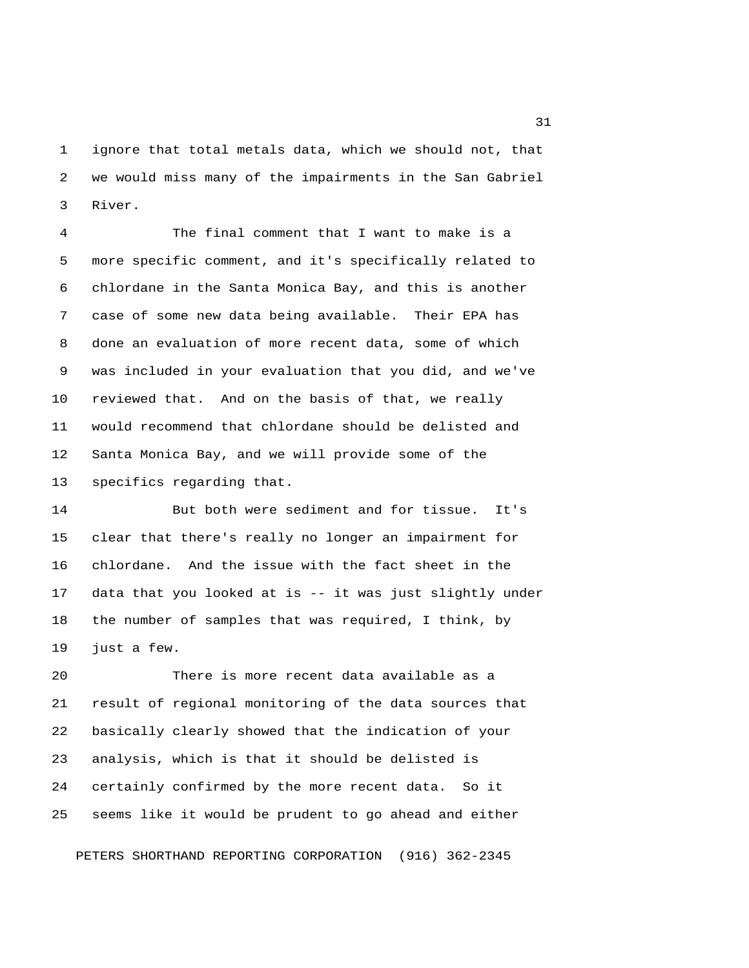1 ignore that total metals data, which we should not, that 2 we would miss many of the impairments in the San Gabriel 3 River.

 4 The final comment that I want to make is a 5 more specific comment, and it's specifically related to 6 chlordane in the Santa Monica Bay, and this is another 7 case of some new data being available. Their EPA has 8 done an evaluation of more recent data, some of which 9 was included in your evaluation that you did, and we've 10 reviewed that. And on the basis of that, we really 11 would recommend that chlordane should be delisted and 12 Santa Monica Bay, and we will provide some of the 13 specifics regarding that.

14 But both were sediment and for tissue. It's 15 clear that there's really no longer an impairment for 16 chlordane. And the issue with the fact sheet in the 17 data that you looked at is -- it was just slightly under 18 the number of samples that was required, I think, by 19 just a few.

20 There is more recent data available as a 21 result of regional monitoring of the data sources that 22 basically clearly showed that the indication of your 23 analysis, which is that it should be delisted is 24 certainly confirmed by the more recent data. So it 25 seems like it would be prudent to go ahead and either

PETERS SHORTHAND REPORTING CORPORATION (916) 362-2345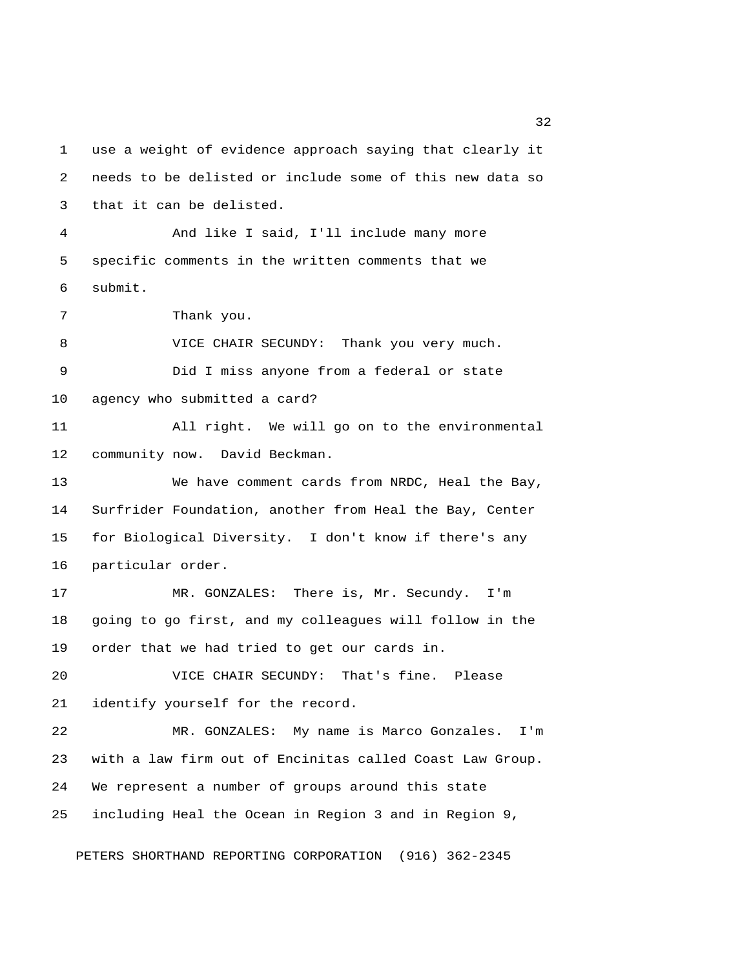1 use a weight of evidence approach saying that clearly it 2 needs to be delisted or include some of this new data so 3 that it can be delisted. 4 And like I said, I'll include many more 5 specific comments in the written comments that we 6 submit. 7 Thank you. 8 VICE CHAIR SECUNDY: Thank you very much. 9 Did I miss anyone from a federal or state 10 agency who submitted a card? 11 All right. We will go on to the environmental 12 community now. David Beckman. 13 We have comment cards from NRDC, Heal the Bay, 14 Surfrider Foundation, another from Heal the Bay, Center 15 for Biological Diversity. I don't know if there's any 16 particular order. 17 MR. GONZALES: There is, Mr. Secundy. I'm 18 going to go first, and my colleagues will follow in the 19 order that we had tried to get our cards in. 20 VICE CHAIR SECUNDY: That's fine. Please 21 identify yourself for the record. 22 MR. GONZALES: My name is Marco Gonzales. I'm 23 with a law firm out of Encinitas called Coast Law Group. 24 We represent a number of groups around this state 25 including Heal the Ocean in Region 3 and in Region 9,

PETERS SHORTHAND REPORTING CORPORATION (916) 362-2345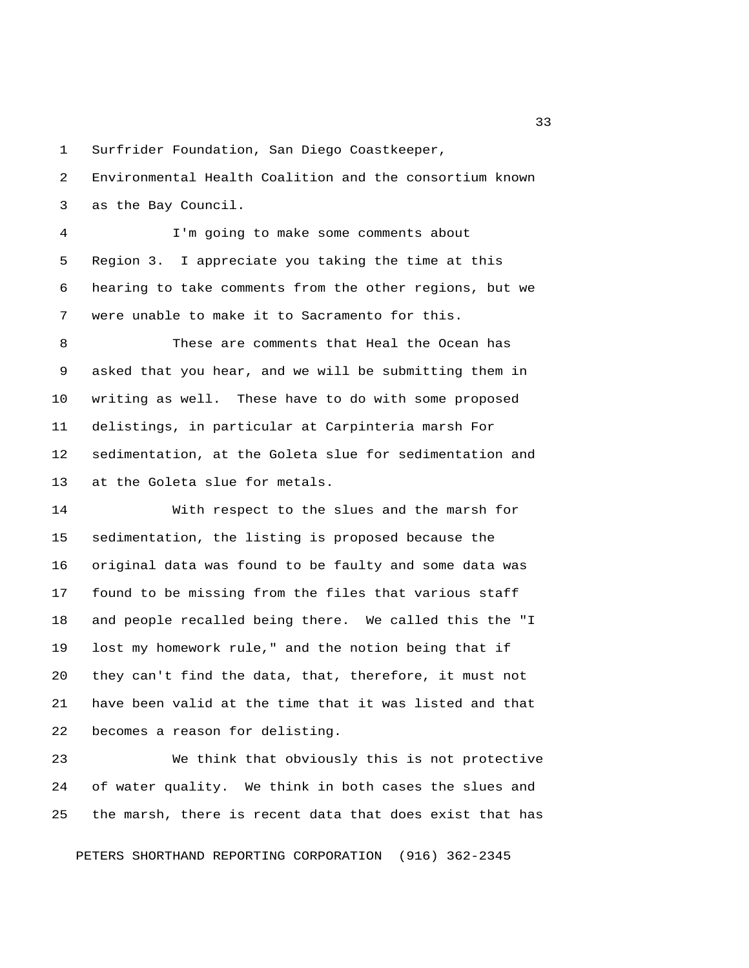1 Surfrider Foundation, San Diego Coastkeeper,

 2 Environmental Health Coalition and the consortium known 3 as the Bay Council.

 4 I'm going to make some comments about 5 Region 3. I appreciate you taking the time at this 6 hearing to take comments from the other regions, but we 7 were unable to make it to Sacramento for this.

 8 These are comments that Heal the Ocean has 9 asked that you hear, and we will be submitting them in 10 writing as well. These have to do with some proposed 11 delistings, in particular at Carpinteria marsh For 12 sedimentation, at the Goleta slue for sedimentation and 13 at the Goleta slue for metals.

14 With respect to the slues and the marsh for 15 sedimentation, the listing is proposed because the 16 original data was found to be faulty and some data was 17 found to be missing from the files that various staff 18 and people recalled being there. We called this the "I 19 lost my homework rule," and the notion being that if 20 they can't find the data, that, therefore, it must not 21 have been valid at the time that it was listed and that 22 becomes a reason for delisting.

23 We think that obviously this is not protective 24 of water quality. We think in both cases the slues and 25 the marsh, there is recent data that does exist that has

PETERS SHORTHAND REPORTING CORPORATION (916) 362-2345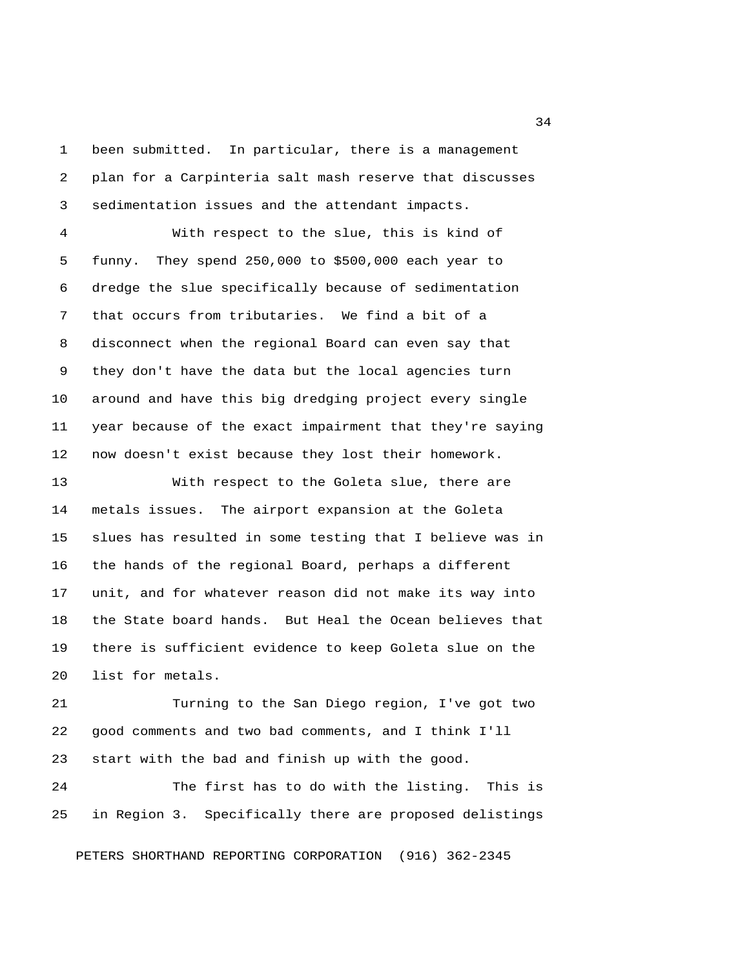1 been submitted. In particular, there is a management 2 plan for a Carpinteria salt mash reserve that discusses 3 sedimentation issues and the attendant impacts.

 4 With respect to the slue, this is kind of 5 funny. They spend 250,000 to \$500,000 each year to 6 dredge the slue specifically because of sedimentation 7 that occurs from tributaries. We find a bit of a 8 disconnect when the regional Board can even say that 9 they don't have the data but the local agencies turn 10 around and have this big dredging project every single 11 year because of the exact impairment that they're saying 12 now doesn't exist because they lost their homework.

13 With respect to the Goleta slue, there are 14 metals issues. The airport expansion at the Goleta 15 slues has resulted in some testing that I believe was in 16 the hands of the regional Board, perhaps a different 17 unit, and for whatever reason did not make its way into 18 the State board hands. But Heal the Ocean believes that 19 there is sufficient evidence to keep Goleta slue on the 20 list for metals.

21 Turning to the San Diego region, I've got two 22 good comments and two bad comments, and I think I'll 23 start with the bad and finish up with the good.

24 The first has to do with the listing. This is 25 in Region 3. Specifically there are proposed delistings

PETERS SHORTHAND REPORTING CORPORATION (916) 362-2345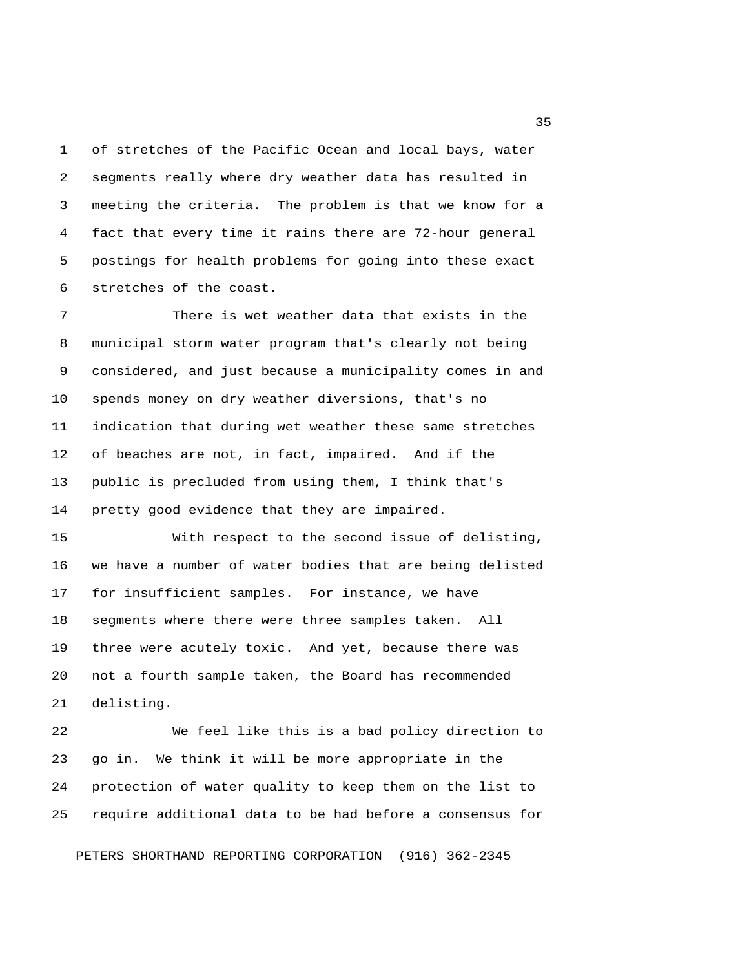1 of stretches of the Pacific Ocean and local bays, water 2 segments really where dry weather data has resulted in 3 meeting the criteria. The problem is that we know for a 4 fact that every time it rains there are 72-hour general 5 postings for health problems for going into these exact 6 stretches of the coast.

 7 There is wet weather data that exists in the 8 municipal storm water program that's clearly not being 9 considered, and just because a municipality comes in and 10 spends money on dry weather diversions, that's no 11 indication that during wet weather these same stretches 12 of beaches are not, in fact, impaired. And if the 13 public is precluded from using them, I think that's 14 pretty good evidence that they are impaired.

15 With respect to the second issue of delisting, 16 we have a number of water bodies that are being delisted 17 for insufficient samples. For instance, we have 18 segments where there were three samples taken. All 19 three were acutely toxic. And yet, because there was 20 not a fourth sample taken, the Board has recommended 21 delisting.

22 We feel like this is a bad policy direction to 23 go in. We think it will be more appropriate in the 24 protection of water quality to keep them on the list to 25 require additional data to be had before a consensus for

PETERS SHORTHAND REPORTING CORPORATION (916) 362-2345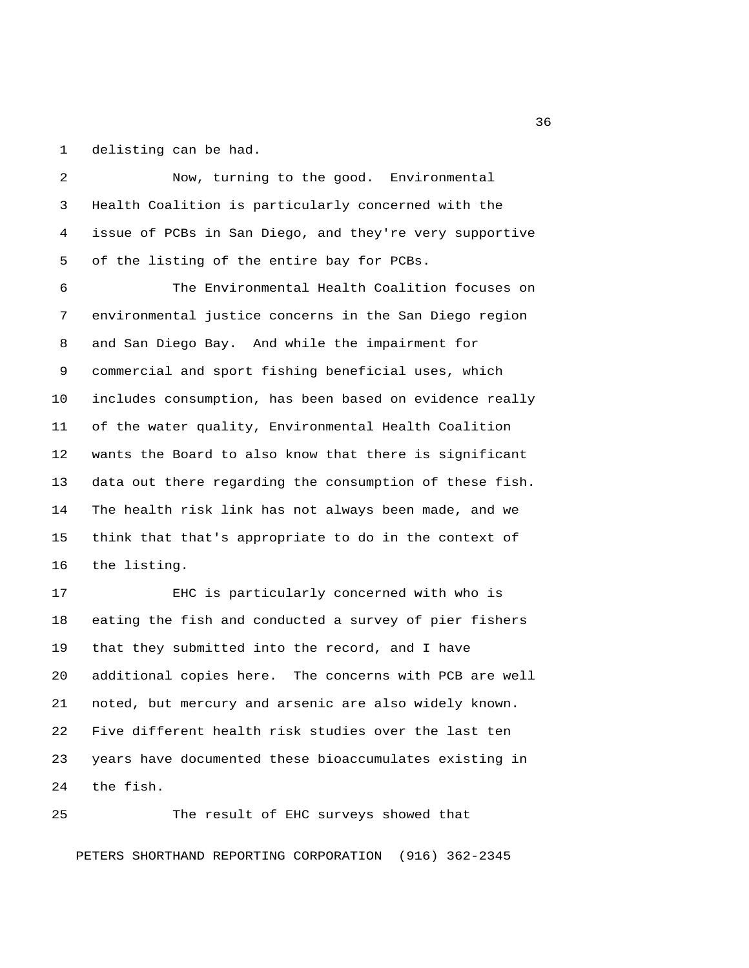1 delisting can be had.

 2 Now, turning to the good. Environmental 3 Health Coalition is particularly concerned with the 4 issue of PCBs in San Diego, and they're very supportive 5 of the listing of the entire bay for PCBs. 6 The Environmental Health Coalition focuses on 7 environmental justice concerns in the San Diego region 8 and San Diego Bay. And while the impairment for 9 commercial and sport fishing beneficial uses, which 10 includes consumption, has been based on evidence really 11 of the water quality, Environmental Health Coalition 12 wants the Board to also know that there is significant 13 data out there regarding the consumption of these fish. 14 The health risk link has not always been made, and we 15 think that that's appropriate to do in the context of 16 the listing.

17 EHC is particularly concerned with who is 18 eating the fish and conducted a survey of pier fishers 19 that they submitted into the record, and I have 20 additional copies here. The concerns with PCB are well 21 noted, but mercury and arsenic are also widely known. 22 Five different health risk studies over the last ten 23 years have documented these bioaccumulates existing in 24 the fish.

25 The result of EHC surveys showed that

PETERS SHORTHAND REPORTING CORPORATION (916) 362-2345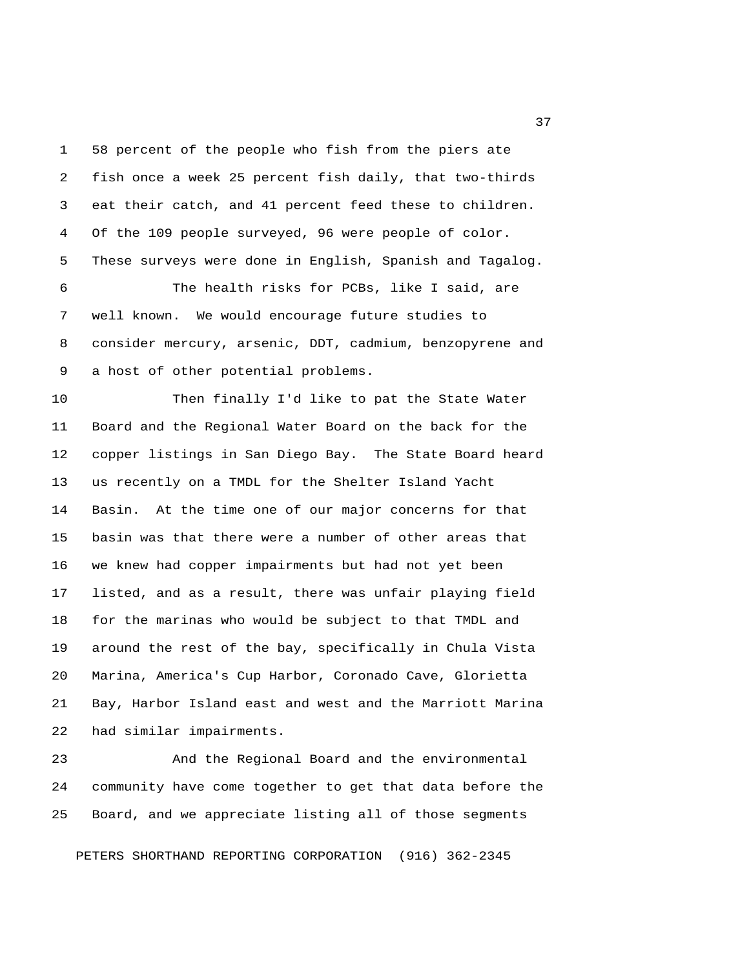1 58 percent of the people who fish from the piers ate 2 fish once a week 25 percent fish daily, that two-thirds 3 eat their catch, and 41 percent feed these to children. 4 Of the 109 people surveyed, 96 were people of color. 5 These surveys were done in English, Spanish and Tagalog.

 6 The health risks for PCBs, like I said, are 7 well known. We would encourage future studies to 8 consider mercury, arsenic, DDT, cadmium, benzopyrene and 9 a host of other potential problems.

10 Then finally I'd like to pat the State Water 11 Board and the Regional Water Board on the back for the 12 copper listings in San Diego Bay. The State Board heard 13 us recently on a TMDL for the Shelter Island Yacht 14 Basin. At the time one of our major concerns for that 15 basin was that there were a number of other areas that 16 we knew had copper impairments but had not yet been 17 listed, and as a result, there was unfair playing field 18 for the marinas who would be subject to that TMDL and 19 around the rest of the bay, specifically in Chula Vista 20 Marina, America's Cup Harbor, Coronado Cave, Glorietta 21 Bay, Harbor Island east and west and the Marriott Marina 22 had similar impairments.

23 And the Regional Board and the environmental 24 community have come together to get that data before the 25 Board, and we appreciate listing all of those segments

PETERS SHORTHAND REPORTING CORPORATION (916) 362-2345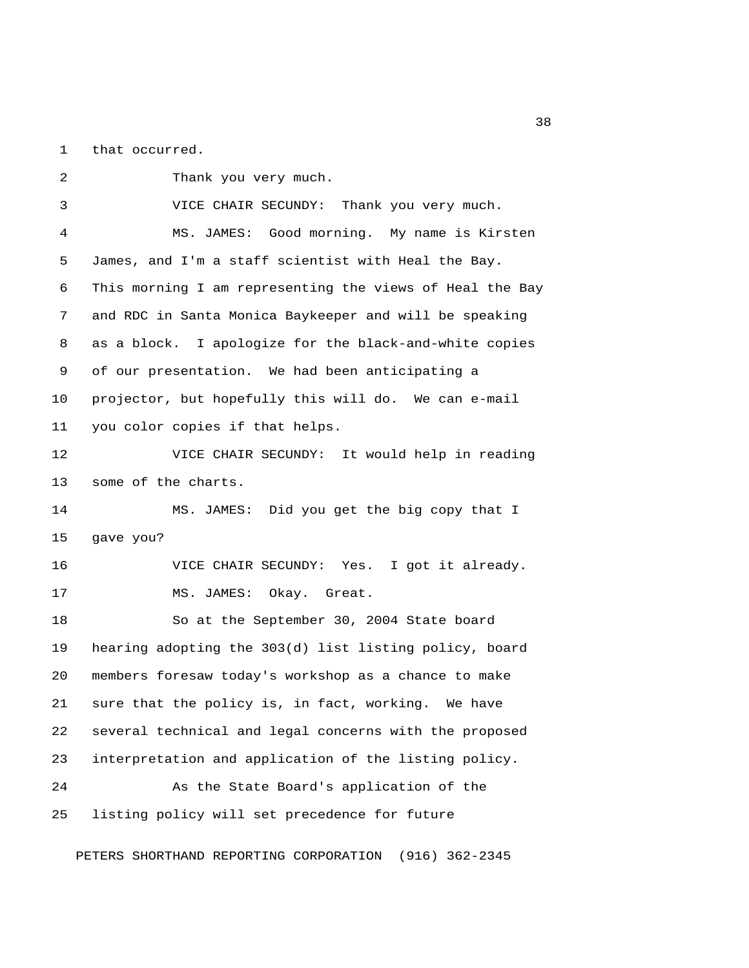1 that occurred.

 2 Thank you very much. 3 VICE CHAIR SECUNDY: Thank you very much. 4 MS. JAMES: Good morning. My name is Kirsten 5 James, and I'm a staff scientist with Heal the Bay. 6 This morning I am representing the views of Heal the Bay 7 and RDC in Santa Monica Baykeeper and will be speaking 8 as a block. I apologize for the black-and-white copies 9 of our presentation. We had been anticipating a 10 projector, but hopefully this will do. We can e-mail 11 you color copies if that helps. 12 VICE CHAIR SECUNDY: It would help in reading 13 some of the charts. 14 MS. JAMES: Did you get the big copy that I 15 gave you? 16 VICE CHAIR SECUNDY: Yes. I got it already. 17 MS. JAMES: Okay. Great. 18 So at the September 30, 2004 State board 19 hearing adopting the 303(d) list listing policy, board 20 members foresaw today's workshop as a chance to make 21 sure that the policy is, in fact, working. We have 22 several technical and legal concerns with the proposed 23 interpretation and application of the listing policy. 24 As the State Board's application of the 25 listing policy will set precedence for future

PETERS SHORTHAND REPORTING CORPORATION (916) 362-2345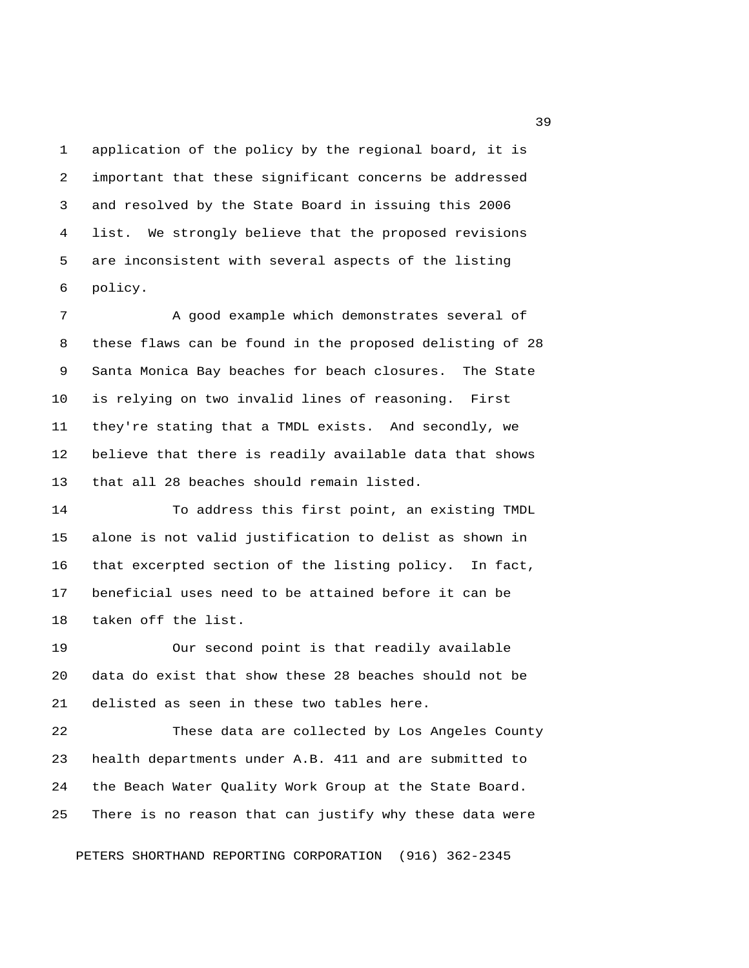1 application of the policy by the regional board, it is 2 important that these significant concerns be addressed 3 and resolved by the State Board in issuing this 2006 4 list. We strongly believe that the proposed revisions 5 are inconsistent with several aspects of the listing 6 policy.

 7 A good example which demonstrates several of 8 these flaws can be found in the proposed delisting of 28 9 Santa Monica Bay beaches for beach closures. The State 10 is relying on two invalid lines of reasoning. First 11 they're stating that a TMDL exists. And secondly, we 12 believe that there is readily available data that shows 13 that all 28 beaches should remain listed.

14 To address this first point, an existing TMDL 15 alone is not valid justification to delist as shown in 16 that excerpted section of the listing policy. In fact, 17 beneficial uses need to be attained before it can be 18 taken off the list.

19 Our second point is that readily available 20 data do exist that show these 28 beaches should not be 21 delisted as seen in these two tables here.

22 These data are collected by Los Angeles County 23 health departments under A.B. 411 and are submitted to 24 the Beach Water Quality Work Group at the State Board. 25 There is no reason that can justify why these data were

PETERS SHORTHAND REPORTING CORPORATION (916) 362-2345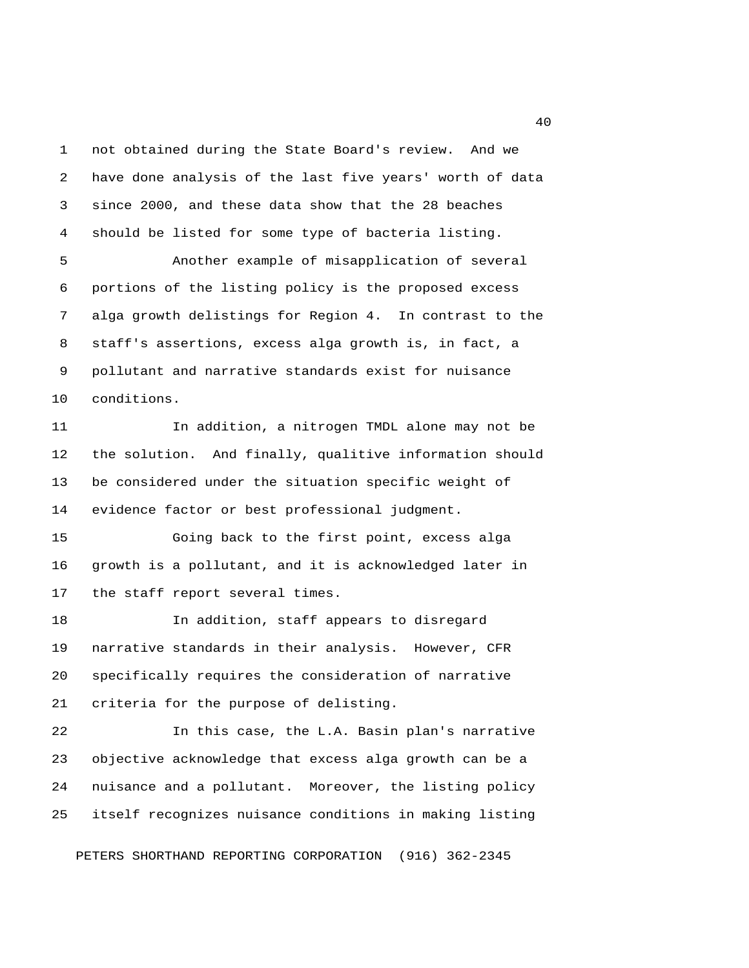1 not obtained during the State Board's review. And we 2 have done analysis of the last five years' worth of data 3 since 2000, and these data show that the 28 beaches 4 should be listed for some type of bacteria listing. 5 Another example of misapplication of several 6 portions of the listing policy is the proposed excess 7 alga growth delistings for Region 4. In contrast to the

 8 staff's assertions, excess alga growth is, in fact, a 9 pollutant and narrative standards exist for nuisance 10 conditions.

11 In addition, a nitrogen TMDL alone may not be 12 the solution. And finally, qualitive information should 13 be considered under the situation specific weight of 14 evidence factor or best professional judgment.

15 Going back to the first point, excess alga 16 growth is a pollutant, and it is acknowledged later in 17 the staff report several times.

18 In addition, staff appears to disregard 19 narrative standards in their analysis. However, CFR 20 specifically requires the consideration of narrative 21 criteria for the purpose of delisting.

22 In this case, the L.A. Basin plan's narrative 23 objective acknowledge that excess alga growth can be a 24 nuisance and a pollutant. Moreover, the listing policy 25 itself recognizes nuisance conditions in making listing

PETERS SHORTHAND REPORTING CORPORATION (916) 362-2345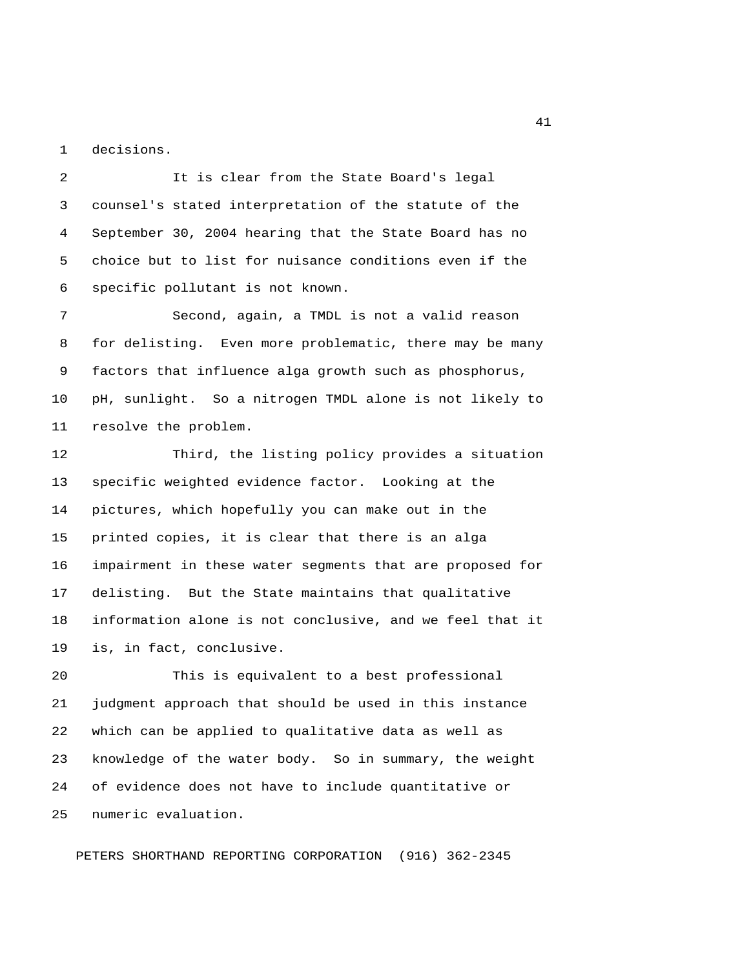1 decisions.

 2 It is clear from the State Board's legal 3 counsel's stated interpretation of the statute of the 4 September 30, 2004 hearing that the State Board has no 5 choice but to list for nuisance conditions even if the 6 specific pollutant is not known.

 7 Second, again, a TMDL is not a valid reason 8 for delisting. Even more problematic, there may be many 9 factors that influence alga growth such as phosphorus, 10 pH, sunlight. So a nitrogen TMDL alone is not likely to 11 resolve the problem.

12 Third, the listing policy provides a situation 13 specific weighted evidence factor. Looking at the 14 pictures, which hopefully you can make out in the 15 printed copies, it is clear that there is an alga 16 impairment in these water segments that are proposed for 17 delisting. But the State maintains that qualitative 18 information alone is not conclusive, and we feel that it 19 is, in fact, conclusive.

20 This is equivalent to a best professional 21 judgment approach that should be used in this instance 22 which can be applied to qualitative data as well as 23 knowledge of the water body. So in summary, the weight 24 of evidence does not have to include quantitative or 25 numeric evaluation.

PETERS SHORTHAND REPORTING CORPORATION (916) 362-2345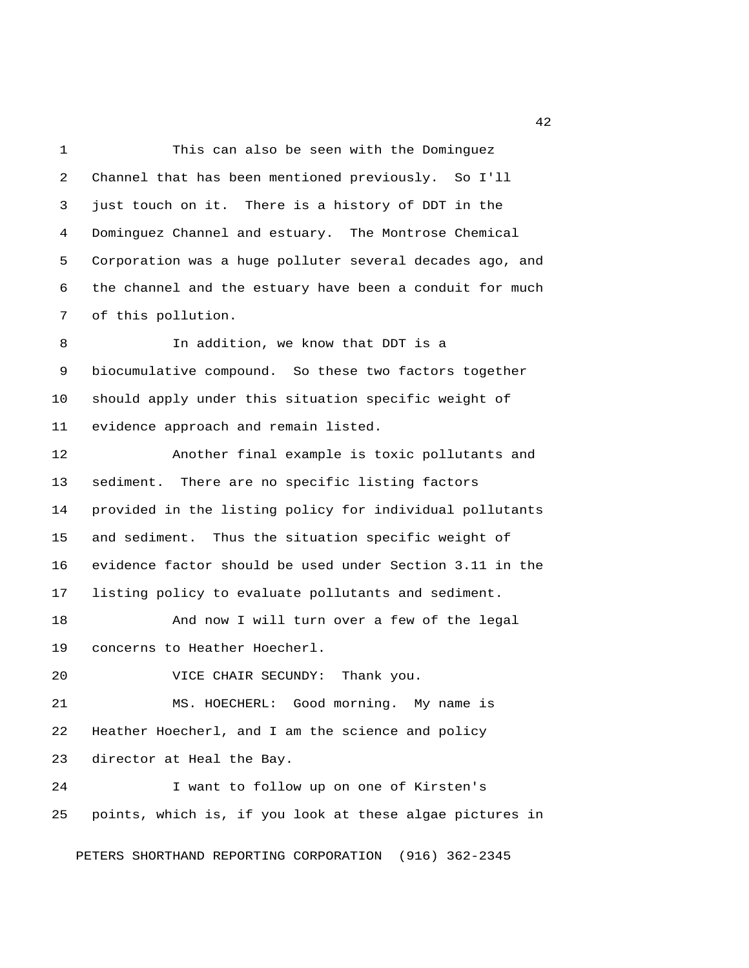1 This can also be seen with the Dominguez 2 Channel that has been mentioned previously. So I'll 3 just touch on it. There is a history of DDT in the 4 Dominguez Channel and estuary. The Montrose Chemical 5 Corporation was a huge polluter several decades ago, and 6 the channel and the estuary have been a conduit for much 7 of this pollution. 8 In addition, we know that DDT is a 9 biocumulative compound. So these two factors together 10 should apply under this situation specific weight of 11 evidence approach and remain listed. 12 Another final example is toxic pollutants and 13 sediment. There are no specific listing factors 14 provided in the listing policy for individual pollutants 15 and sediment. Thus the situation specific weight of 16 evidence factor should be used under Section 3.11 in the 17 listing policy to evaluate pollutants and sediment. 18 And now I will turn over a few of the legal 19 concerns to Heather Hoecherl. 20 VICE CHAIR SECUNDY: Thank you. 21 MS. HOECHERL: Good morning. My name is 22 Heather Hoecherl, and I am the science and policy 23 director at Heal the Bay. 24 I want to follow up on one of Kirsten's 25 points, which is, if you look at these algae pictures in

PETERS SHORTHAND REPORTING CORPORATION (916) 362-2345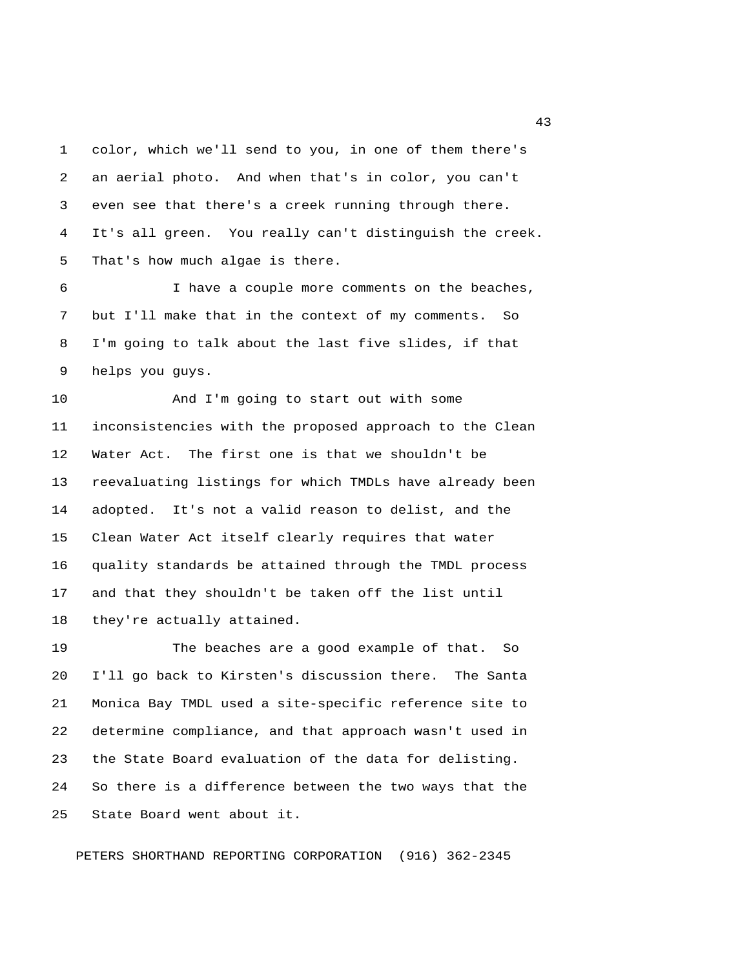1 color, which we'll send to you, in one of them there's 2 an aerial photo. And when that's in color, you can't 3 even see that there's a creek running through there. 4 It's all green. You really can't distinguish the creek. 5 That's how much algae is there.

 6 I have a couple more comments on the beaches, 7 but I'll make that in the context of my comments. So 8 I'm going to talk about the last five slides, if that 9 helps you guys.

10 And I'm going to start out with some 11 inconsistencies with the proposed approach to the Clean 12 Water Act. The first one is that we shouldn't be 13 reevaluating listings for which TMDLs have already been 14 adopted. It's not a valid reason to delist, and the 15 Clean Water Act itself clearly requires that water 16 quality standards be attained through the TMDL process 17 and that they shouldn't be taken off the list until 18 they're actually attained.

19 The beaches are a good example of that. So 20 I'll go back to Kirsten's discussion there. The Santa 21 Monica Bay TMDL used a site-specific reference site to 22 determine compliance, and that approach wasn't used in 23 the State Board evaluation of the data for delisting. 24 So there is a difference between the two ways that the 25 State Board went about it.

PETERS SHORTHAND REPORTING CORPORATION (916) 362-2345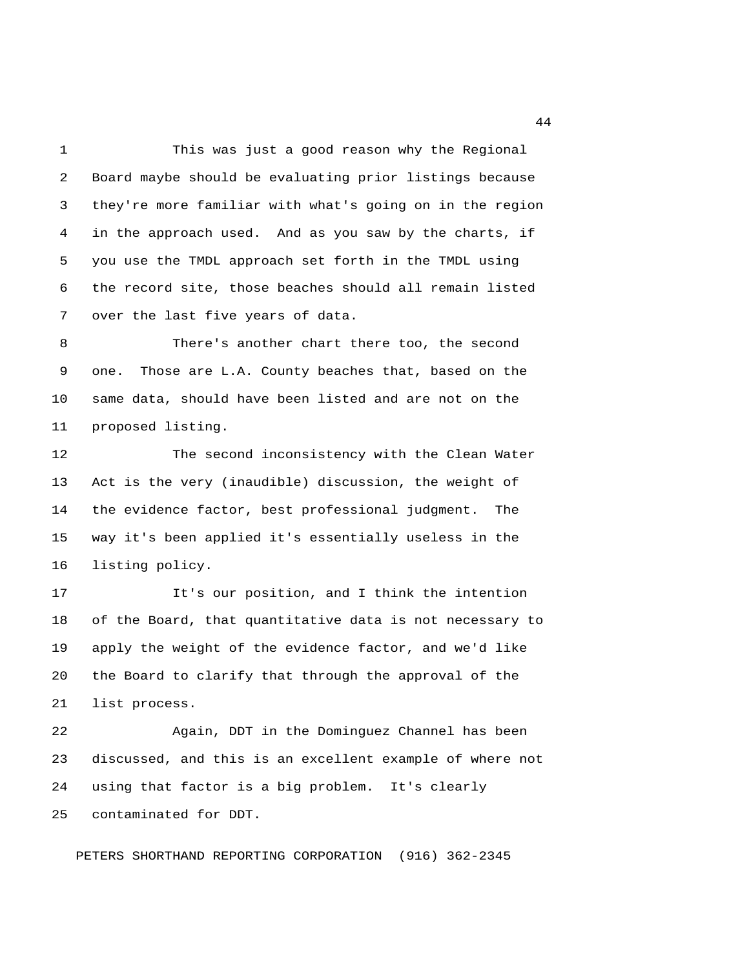1 This was just a good reason why the Regional 2 Board maybe should be evaluating prior listings because 3 they're more familiar with what's going on in the region 4 in the approach used. And as you saw by the charts, if 5 you use the TMDL approach set forth in the TMDL using 6 the record site, those beaches should all remain listed 7 over the last five years of data.

 8 There's another chart there too, the second 9 one. Those are L.A. County beaches that, based on the 10 same data, should have been listed and are not on the 11 proposed listing.

12 The second inconsistency with the Clean Water 13 Act is the very (inaudible) discussion, the weight of 14 the evidence factor, best professional judgment. The 15 way it's been applied it's essentially useless in the 16 listing policy.

17 It's our position, and I think the intention 18 of the Board, that quantitative data is not necessary to 19 apply the weight of the evidence factor, and we'd like 20 the Board to clarify that through the approval of the 21 list process.

22 Again, DDT in the Dominguez Channel has been 23 discussed, and this is an excellent example of where not 24 using that factor is a big problem. It's clearly 25 contaminated for DDT.

PETERS SHORTHAND REPORTING CORPORATION (916) 362-2345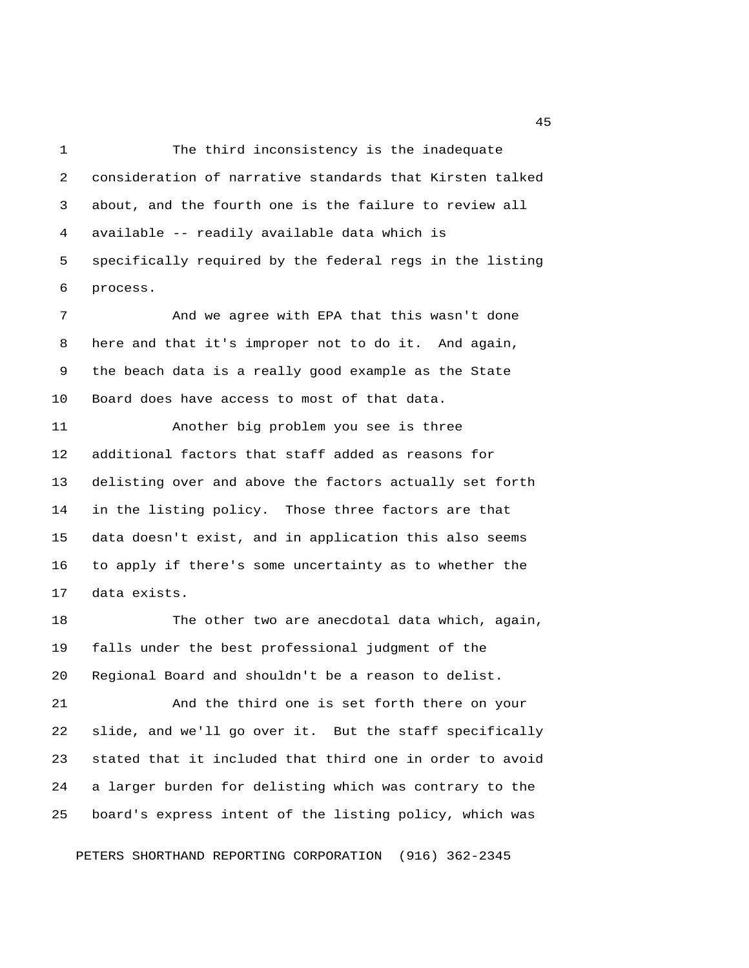1 The third inconsistency is the inadequate 2 consideration of narrative standards that Kirsten talked 3 about, and the fourth one is the failure to review all 4 available -- readily available data which is 5 specifically required by the federal regs in the listing 6 process.

7 And we agree with EPA that this wasn't done 8 here and that it's improper not to do it. And again, 9 the beach data is a really good example as the State 10 Board does have access to most of that data.

11 Another big problem you see is three 12 additional factors that staff added as reasons for 13 delisting over and above the factors actually set forth 14 in the listing policy. Those three factors are that 15 data doesn't exist, and in application this also seems 16 to apply if there's some uncertainty as to whether the 17 data exists.

18 The other two are anecdotal data which, again, 19 falls under the best professional judgment of the 20 Regional Board and shouldn't be a reason to delist.

21 And the third one is set forth there on your 22 slide, and we'll go over it. But the staff specifically 23 stated that it included that third one in order to avoid 24 a larger burden for delisting which was contrary to the 25 board's express intent of the listing policy, which was

PETERS SHORTHAND REPORTING CORPORATION (916) 362-2345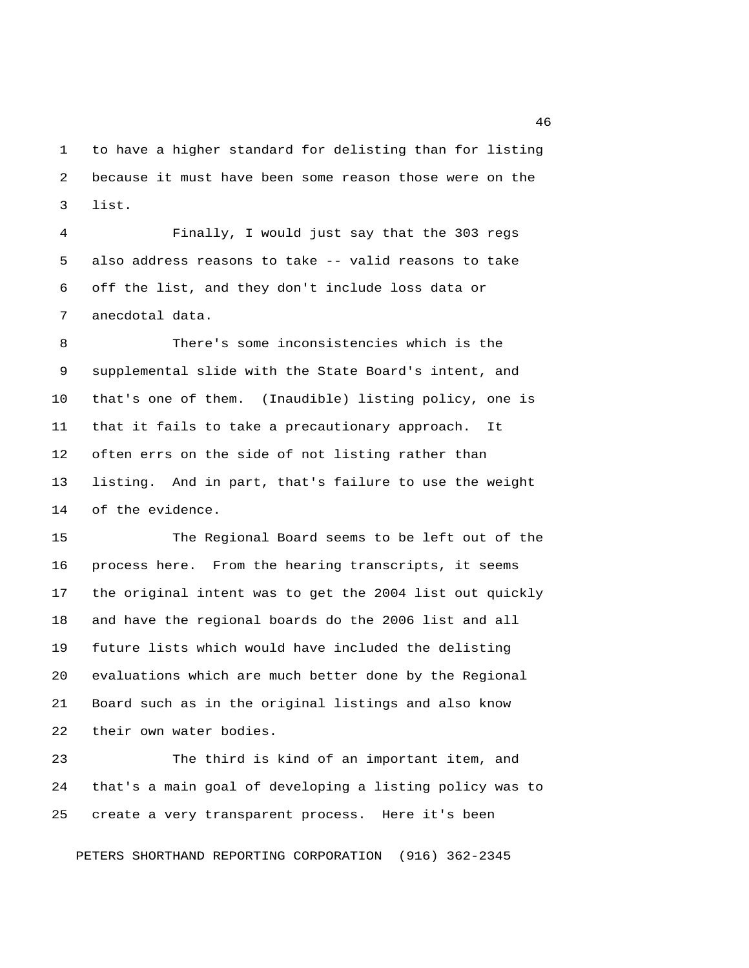1 to have a higher standard for delisting than for listing 2 because it must have been some reason those were on the 3 list.

 4 Finally, I would just say that the 303 regs 5 also address reasons to take -- valid reasons to take 6 off the list, and they don't include loss data or 7 anecdotal data.

 8 There's some inconsistencies which is the 9 supplemental slide with the State Board's intent, and 10 that's one of them. (Inaudible) listing policy, one is 11 that it fails to take a precautionary approach. It 12 often errs on the side of not listing rather than 13 listing. And in part, that's failure to use the weight 14 of the evidence.

15 The Regional Board seems to be left out of the 16 process here. From the hearing transcripts, it seems 17 the original intent was to get the 2004 list out quickly 18 and have the regional boards do the 2006 list and all 19 future lists which would have included the delisting 20 evaluations which are much better done by the Regional 21 Board such as in the original listings and also know 22 their own water bodies.

23 The third is kind of an important item, and 24 that's a main goal of developing a listing policy was to 25 create a very transparent process. Here it's been

PETERS SHORTHAND REPORTING CORPORATION (916) 362-2345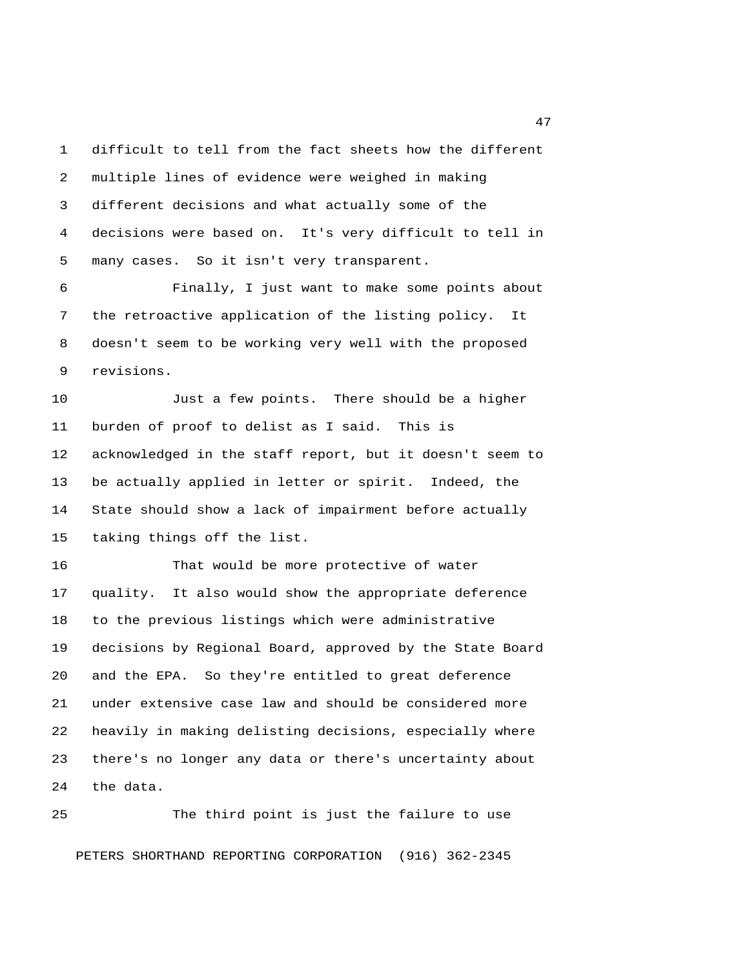1 difficult to tell from the fact sheets how the different 2 multiple lines of evidence were weighed in making 3 different decisions and what actually some of the 4 decisions were based on. It's very difficult to tell in 5 many cases. So it isn't very transparent.

 6 Finally, I just want to make some points about 7 the retroactive application of the listing policy. It 8 doesn't seem to be working very well with the proposed 9 revisions.

10 Just a few points. There should be a higher 11 burden of proof to delist as I said. This is 12 acknowledged in the staff report, but it doesn't seem to 13 be actually applied in letter or spirit. Indeed, the 14 State should show a lack of impairment before actually 15 taking things off the list.

16 That would be more protective of water 17 quality. It also would show the appropriate deference 18 to the previous listings which were administrative 19 decisions by Regional Board, approved by the State Board 20 and the EPA. So they're entitled to great deference 21 under extensive case law and should be considered more 22 heavily in making delisting decisions, especially where 23 there's no longer any data or there's uncertainty about 24 the data.

25 The third point is just the failure to use PETERS SHORTHAND REPORTING CORPORATION (916) 362-2345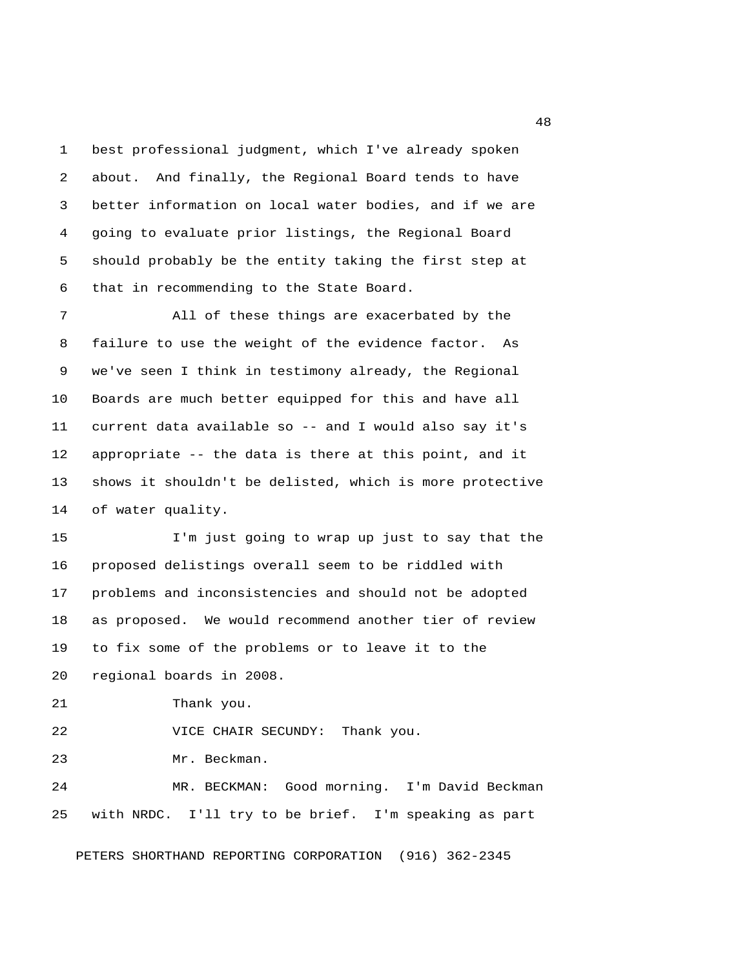1 best professional judgment, which I've already spoken 2 about. And finally, the Regional Board tends to have 3 better information on local water bodies, and if we are 4 going to evaluate prior listings, the Regional Board 5 should probably be the entity taking the first step at 6 that in recommending to the State Board.

 7 All of these things are exacerbated by the 8 failure to use the weight of the evidence factor. As 9 we've seen I think in testimony already, the Regional 10 Boards are much better equipped for this and have all 11 current data available so -- and I would also say it's 12 appropriate -- the data is there at this point, and it 13 shows it shouldn't be delisted, which is more protective 14 of water quality.

15 I'm just going to wrap up just to say that the 16 proposed delistings overall seem to be riddled with 17 problems and inconsistencies and should not be adopted 18 as proposed. We would recommend another tier of review 19 to fix some of the problems or to leave it to the 20 regional boards in 2008.

21 Thank you.

22 VICE CHAIR SECUNDY: Thank you.

23 Mr. Beckman.

24 MR. BECKMAN: Good morning. I'm David Beckman 25 with NRDC. I'll try to be brief. I'm speaking as part

PETERS SHORTHAND REPORTING CORPORATION (916) 362-2345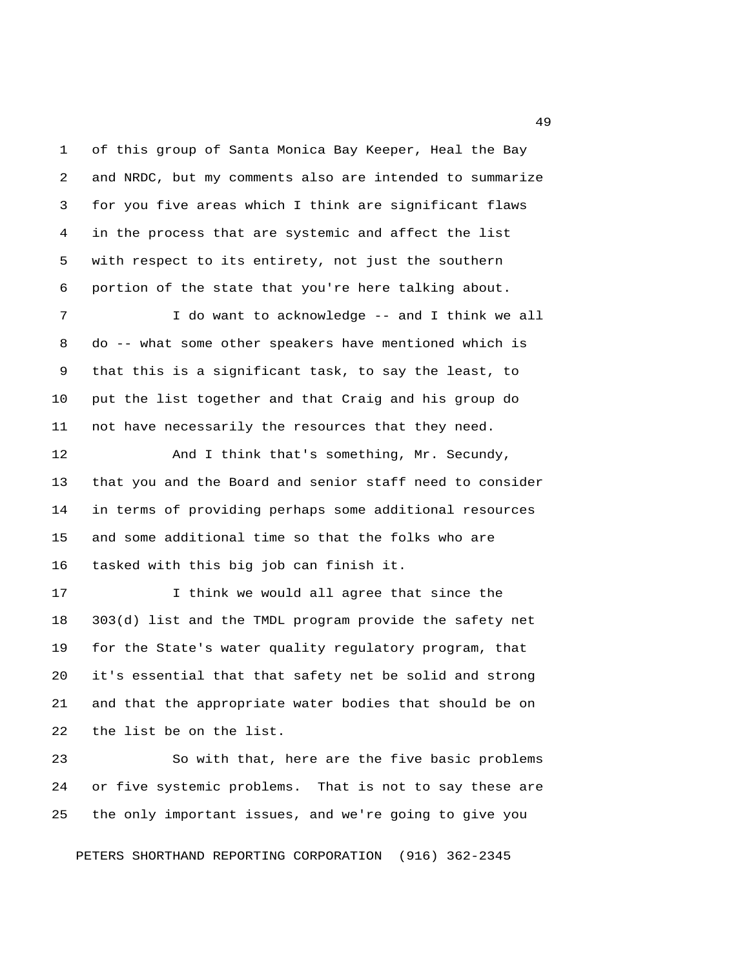1 of this group of Santa Monica Bay Keeper, Heal the Bay 2 and NRDC, but my comments also are intended to summarize 3 for you five areas which I think are significant flaws 4 in the process that are systemic and affect the list 5 with respect to its entirety, not just the southern 6 portion of the state that you're here talking about.

 7 I do want to acknowledge -- and I think we all 8 do -- what some other speakers have mentioned which is 9 that this is a significant task, to say the least, to 10 put the list together and that Craig and his group do 11 not have necessarily the resources that they need.

12 And I think that's something, Mr. Secundy, 13 that you and the Board and senior staff need to consider 14 in terms of providing perhaps some additional resources 15 and some additional time so that the folks who are 16 tasked with this big job can finish it.

17 I think we would all agree that since the 18 303(d) list and the TMDL program provide the safety net 19 for the State's water quality regulatory program, that 20 it's essential that that safety net be solid and strong 21 and that the appropriate water bodies that should be on 22 the list be on the list.

23 So with that, here are the five basic problems 24 or five systemic problems. That is not to say these are 25 the only important issues, and we're going to give you

PETERS SHORTHAND REPORTING CORPORATION (916) 362-2345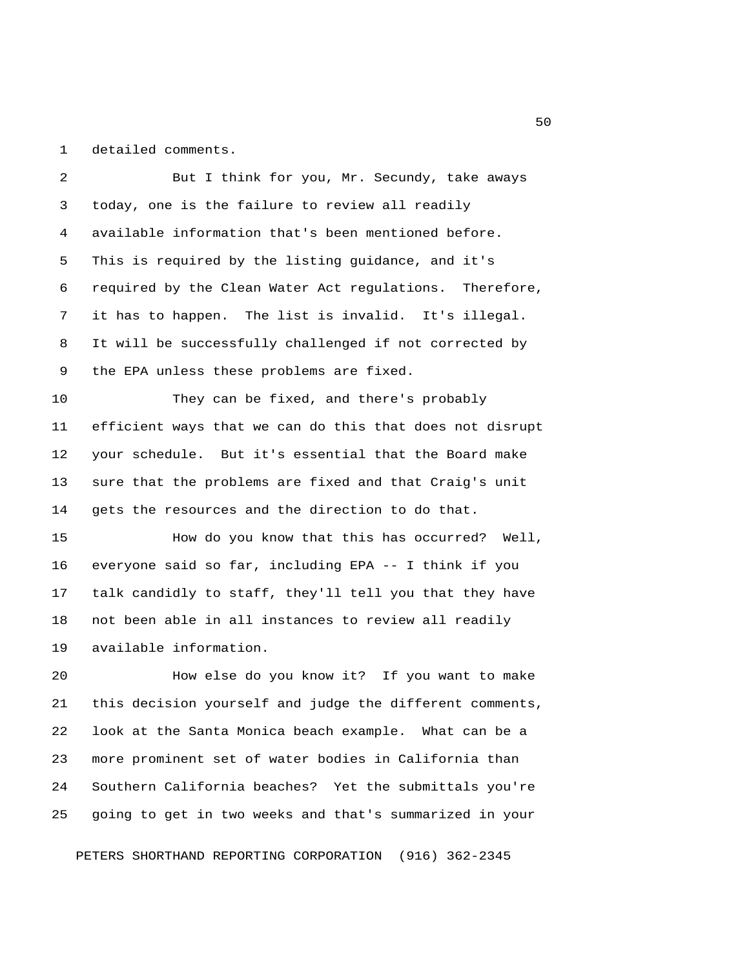1 detailed comments.

 2 But I think for you, Mr. Secundy, take aways 3 today, one is the failure to review all readily 4 available information that's been mentioned before. 5 This is required by the listing guidance, and it's 6 required by the Clean Water Act regulations. Therefore, 7 it has to happen. The list is invalid. It's illegal. 8 It will be successfully challenged if not corrected by 9 the EPA unless these problems are fixed. 10 They can be fixed, and there's probably 11 efficient ways that we can do this that does not disrupt 12 your schedule. But it's essential that the Board make 13 sure that the problems are fixed and that Craig's unit 14 gets the resources and the direction to do that. 15 How do you know that this has occurred? Well, 16 everyone said so far, including EPA -- I think if you 17 talk candidly to staff, they'll tell you that they have 18 not been able in all instances to review all readily 19 available information. 20 How else do you know it? If you want to make 21 this decision yourself and judge the different comments, 22 look at the Santa Monica beach example. What can be a 23 more prominent set of water bodies in California than 24 Southern California beaches? Yet the submittals you're 25 going to get in two weeks and that's summarized in your

PETERS SHORTHAND REPORTING CORPORATION (916) 362-2345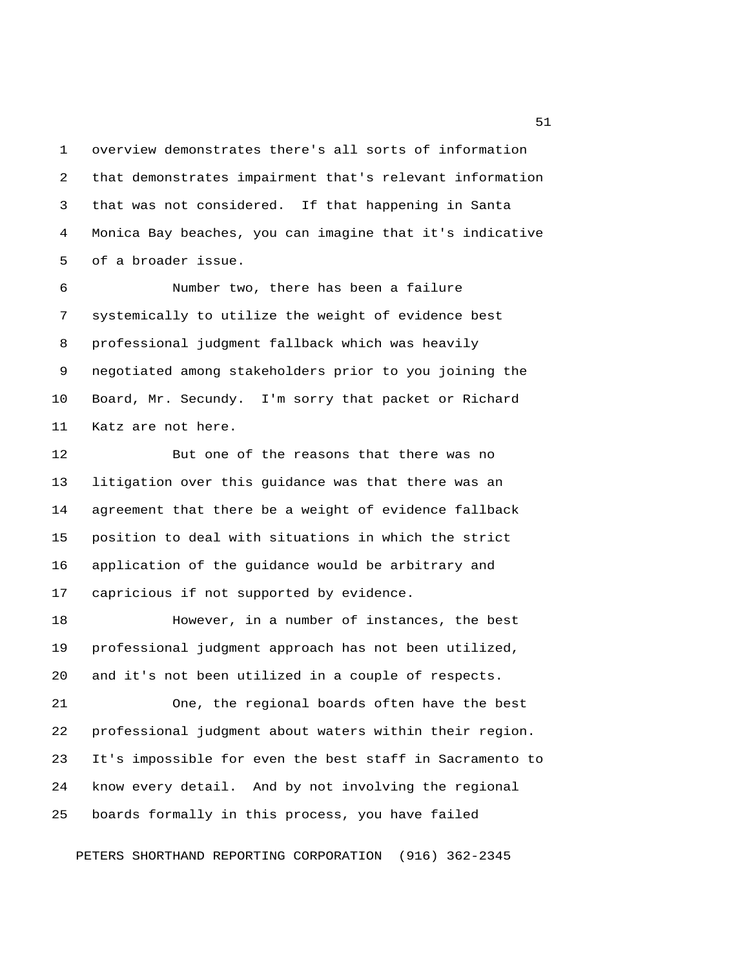1 overview demonstrates there's all sorts of information 2 that demonstrates impairment that's relevant information 3 that was not considered. If that happening in Santa 4 Monica Bay beaches, you can imagine that it's indicative 5 of a broader issue.

 6 Number two, there has been a failure 7 systemically to utilize the weight of evidence best 8 professional judgment fallback which was heavily 9 negotiated among stakeholders prior to you joining the 10 Board, Mr. Secundy. I'm sorry that packet or Richard 11 Katz are not here.

12 But one of the reasons that there was no 13 litigation over this guidance was that there was an 14 agreement that there be a weight of evidence fallback 15 position to deal with situations in which the strict 16 application of the guidance would be arbitrary and 17 capricious if not supported by evidence.

18 However, in a number of instances, the best 19 professional judgment approach has not been utilized, 20 and it's not been utilized in a couple of respects.

21 One, the regional boards often have the best 22 professional judgment about waters within their region. 23 It's impossible for even the best staff in Sacramento to 24 know every detail. And by not involving the regional 25 boards formally in this process, you have failed

PETERS SHORTHAND REPORTING CORPORATION (916) 362-2345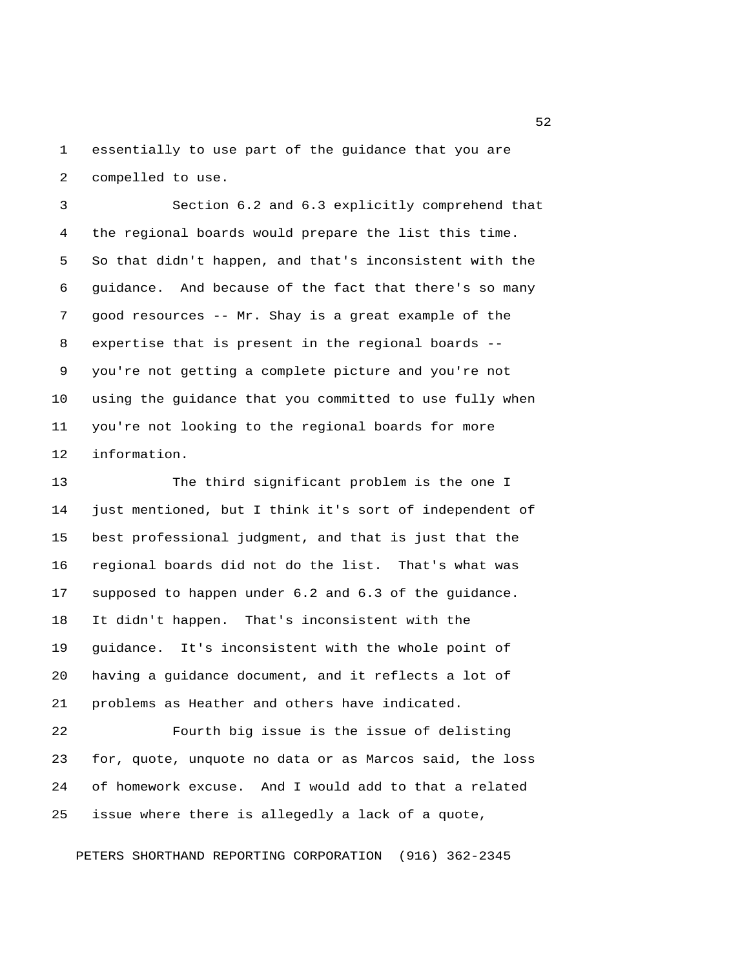1 essentially to use part of the guidance that you are 2 compelled to use.

 3 Section 6.2 and 6.3 explicitly comprehend that 4 the regional boards would prepare the list this time. 5 So that didn't happen, and that's inconsistent with the 6 guidance. And because of the fact that there's so many 7 good resources -- Mr. Shay is a great example of the 8 expertise that is present in the regional boards -- 9 you're not getting a complete picture and you're not 10 using the guidance that you committed to use fully when 11 you're not looking to the regional boards for more 12 information.

13 The third significant problem is the one I 14 just mentioned, but I think it's sort of independent of 15 best professional judgment, and that is just that the 16 regional boards did not do the list. That's what was 17 supposed to happen under 6.2 and 6.3 of the guidance. 18 It didn't happen. That's inconsistent with the 19 guidance. It's inconsistent with the whole point of 20 having a guidance document, and it reflects a lot of 21 problems as Heather and others have indicated.

22 Fourth big issue is the issue of delisting 23 for, quote, unquote no data or as Marcos said, the loss 24 of homework excuse. And I would add to that a related 25 issue where there is allegedly a lack of a quote,

PETERS SHORTHAND REPORTING CORPORATION (916) 362-2345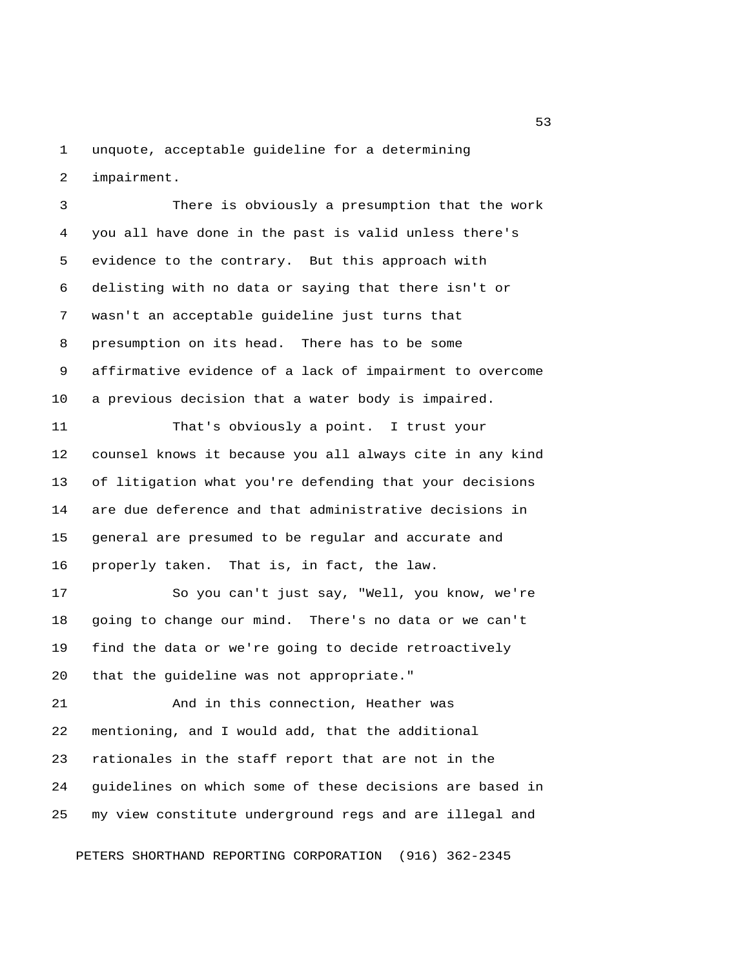1 unquote, acceptable guideline for a determining 2 impairment.

 3 There is obviously a presumption that the work 4 you all have done in the past is valid unless there's 5 evidence to the contrary. But this approach with 6 delisting with no data or saying that there isn't or 7 wasn't an acceptable guideline just turns that 8 presumption on its head. There has to be some 9 affirmative evidence of a lack of impairment to overcome 10 a previous decision that a water body is impaired. 11 That's obviously a point. I trust your 12 counsel knows it because you all always cite in any kind 13 of litigation what you're defending that your decisions 14 are due deference and that administrative decisions in 15 general are presumed to be regular and accurate and 16 properly taken. That is, in fact, the law. 17 So you can't just say, "Well, you know, we're 18 going to change our mind. There's no data or we can't 19 find the data or we're going to decide retroactively 20 that the guideline was not appropriate." 21 And in this connection, Heather was 22 mentioning, and I would add, that the additional 23 rationales in the staff report that are not in the 24 guidelines on which some of these decisions are based in 25 my view constitute underground regs and are illegal and

PETERS SHORTHAND REPORTING CORPORATION (916) 362-2345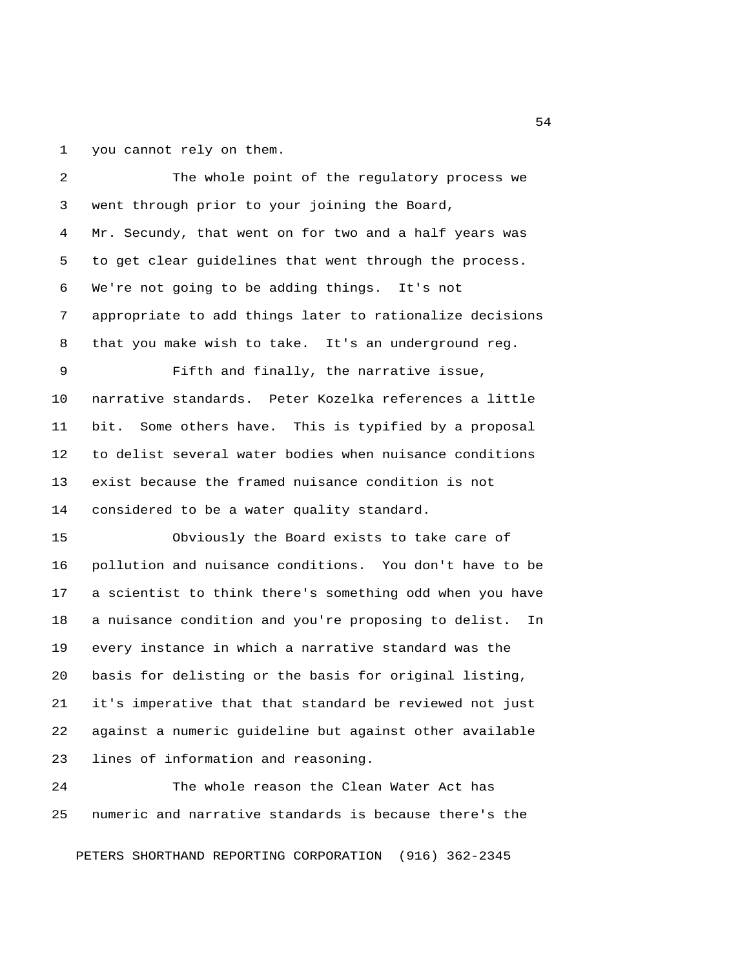1 you cannot rely on them.

 2 The whole point of the regulatory process we 3 went through prior to your joining the Board, 4 Mr. Secundy, that went on for two and a half years was 5 to get clear guidelines that went through the process. 6 We're not going to be adding things. It's not 7 appropriate to add things later to rationalize decisions 8 that you make wish to take. It's an underground reg. 9 Fifth and finally, the narrative issue, 10 narrative standards. Peter Kozelka references a little 11 bit. Some others have. This is typified by a proposal 12 to delist several water bodies when nuisance conditions 13 exist because the framed nuisance condition is not 14 considered to be a water quality standard. 15 Obviously the Board exists to take care of 16 pollution and nuisance conditions. You don't have to be 17 a scientist to think there's something odd when you have 18 a nuisance condition and you're proposing to delist. In 19 every instance in which a narrative standard was the 20 basis for delisting or the basis for original listing, 21 it's imperative that that standard be reviewed not just 22 against a numeric guideline but against other available 23 lines of information and reasoning.

24 The whole reason the Clean Water Act has 25 numeric and narrative standards is because there's the

PETERS SHORTHAND REPORTING CORPORATION (916) 362-2345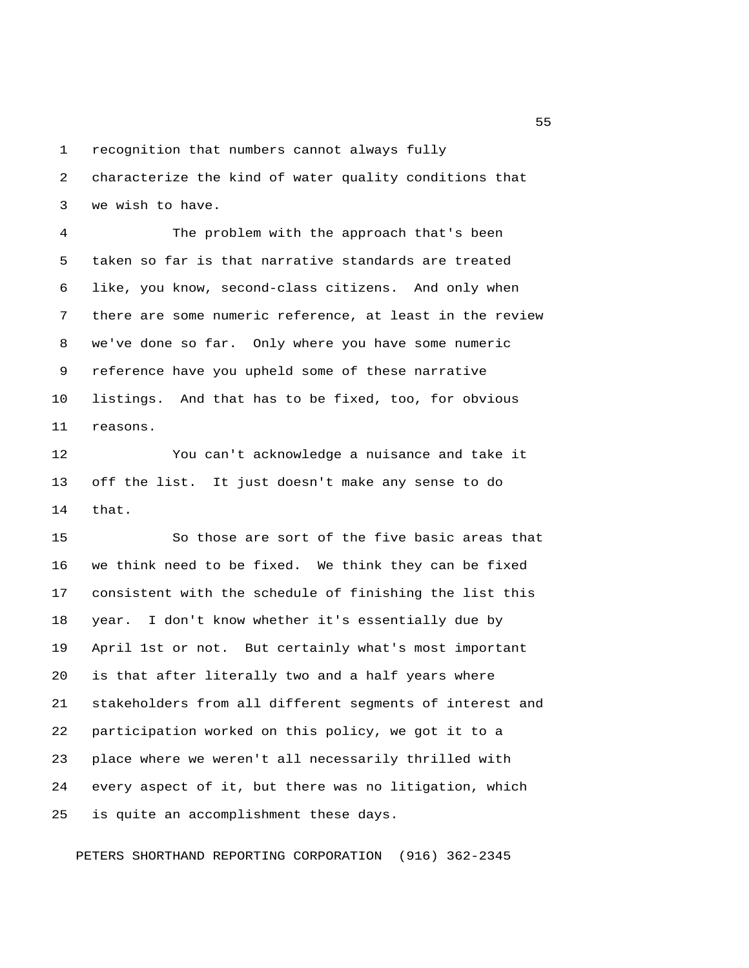1 recognition that numbers cannot always fully 2 characterize the kind of water quality conditions that 3 we wish to have.

 4 The problem with the approach that's been 5 taken so far is that narrative standards are treated 6 like, you know, second-class citizens. And only when 7 there are some numeric reference, at least in the review 8 we've done so far. Only where you have some numeric 9 reference have you upheld some of these narrative 10 listings. And that has to be fixed, too, for obvious 11 reasons.

12 You can't acknowledge a nuisance and take it 13 off the list. It just doesn't make any sense to do 14 that.

15 So those are sort of the five basic areas that 16 we think need to be fixed. We think they can be fixed 17 consistent with the schedule of finishing the list this 18 year. I don't know whether it's essentially due by 19 April 1st or not. But certainly what's most important 20 is that after literally two and a half years where 21 stakeholders from all different segments of interest and 22 participation worked on this policy, we got it to a 23 place where we weren't all necessarily thrilled with 24 every aspect of it, but there was no litigation, which 25 is quite an accomplishment these days.

PETERS SHORTHAND REPORTING CORPORATION (916) 362-2345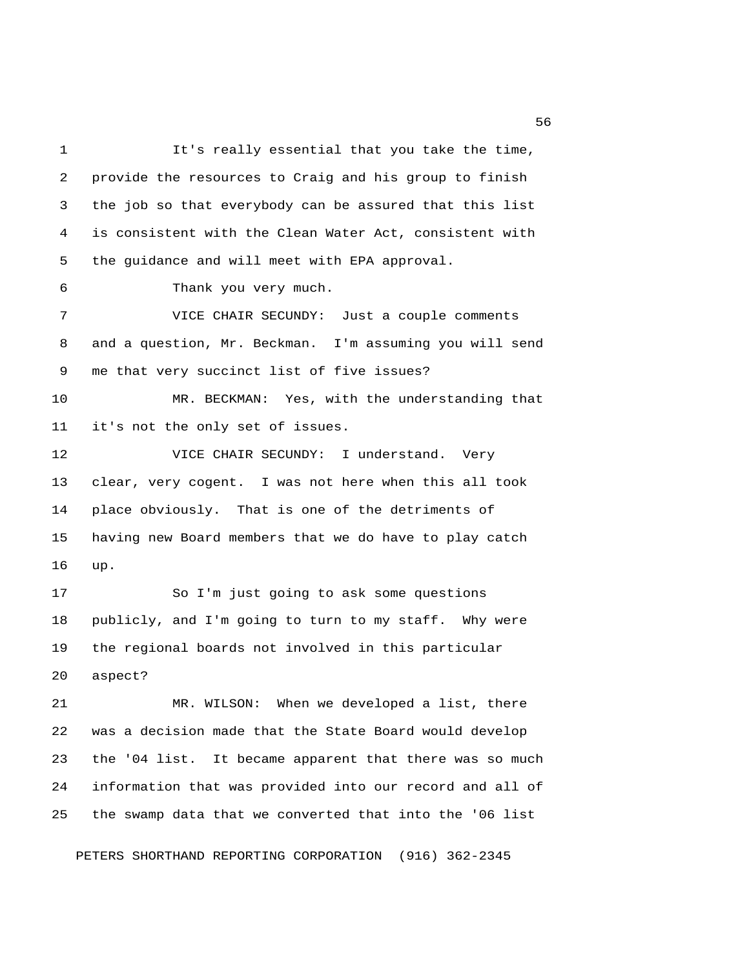1 It's really essential that you take the time, 2 provide the resources to Craig and his group to finish 3 the job so that everybody can be assured that this list 4 is consistent with the Clean Water Act, consistent with 5 the guidance and will meet with EPA approval. 6 Thank you very much. 7 VICE CHAIR SECUNDY: Just a couple comments 8 and a question, Mr. Beckman. I'm assuming you will send 9 me that very succinct list of five issues? 10 MR. BECKMAN: Yes, with the understanding that 11 it's not the only set of issues. 12 VICE CHAIR SECUNDY: I understand. Very 13 clear, very cogent. I was not here when this all took 14 place obviously. That is one of the detriments of 15 having new Board members that we do have to play catch 16 up. 17 So I'm just going to ask some questions 18 publicly, and I'm going to turn to my staff. Why were 19 the regional boards not involved in this particular 20 aspect? 21 MR. WILSON: When we developed a list, there 22 was a decision made that the State Board would develop 23 the '04 list. It became apparent that there was so much 24 information that was provided into our record and all of 25 the swamp data that we converted that into the '06 list

PETERS SHORTHAND REPORTING CORPORATION (916) 362-2345

 $56<sup>th</sup>$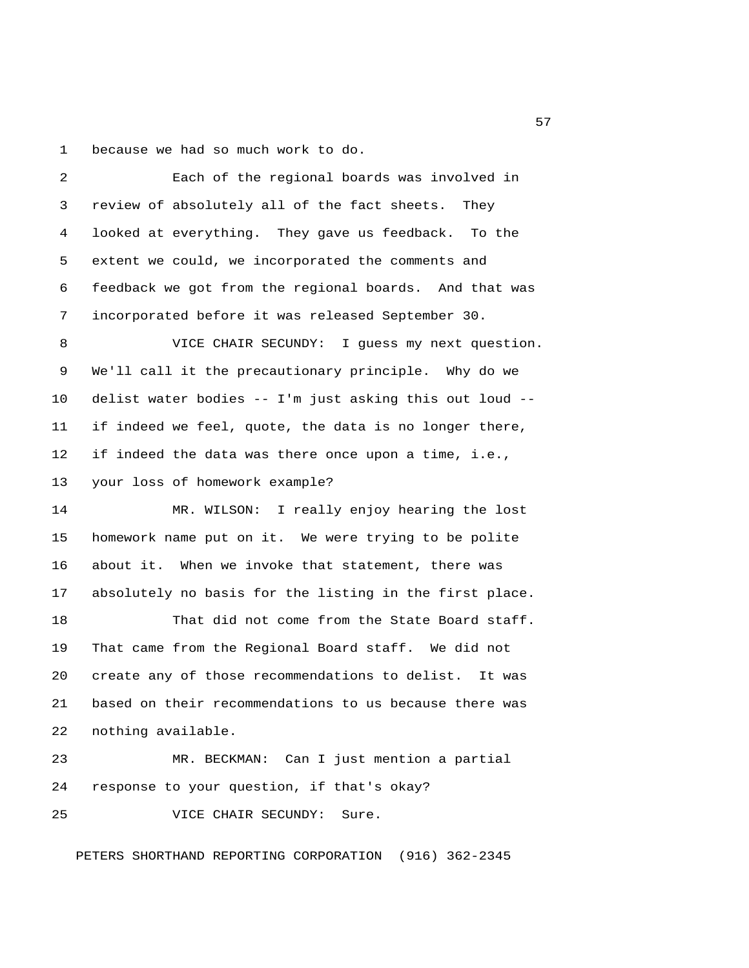1 because we had so much work to do.

| 2  | Each of the regional boards was involved in             |
|----|---------------------------------------------------------|
| 3  | review of absolutely all of the fact sheets. They       |
| 4  | looked at everything. They gave us feedback. To the     |
| 5  | extent we could, we incorporated the comments and       |
| 6  | feedback we got from the regional boards. And that was  |
| 7  | incorporated before it was released September 30.       |
| 8  | VICE CHAIR SECUNDY: I guess my next question.           |
| 9  | We'll call it the precautionary principle. Why do we    |
| 10 | delist water bodies -- I'm just asking this out loud -- |
| 11 | if indeed we feel, quote, the data is no longer there,  |
| 12 | if indeed the data was there once upon a time, i.e.,    |
| 13 | your loss of homework example?                          |
| 14 | MR. WILSON: I really enjoy hearing the lost             |
| 15 | homework name put on it. We were trying to be polite    |
| 16 | about it. When we invoke that statement, there was      |
| 17 | absolutely no basis for the listing in the first place. |
| 18 | That did not come from the State Board staff.           |
| 19 | That came from the Regional Board staff. We did not     |
| 20 | create any of those recommendations to delist. It was   |
| 21 | based on their recommendations to us because there was  |
| 22 | nothing available.                                      |
| 23 | MR. BECKMAN: Can I just mention a partial               |
| 24 | response to your question, if that's okay?              |
| 25 | VICE CHAIR SECUNDY:<br>Sure.                            |
|    |                                                         |

PETERS SHORTHAND REPORTING CORPORATION (916) 362-2345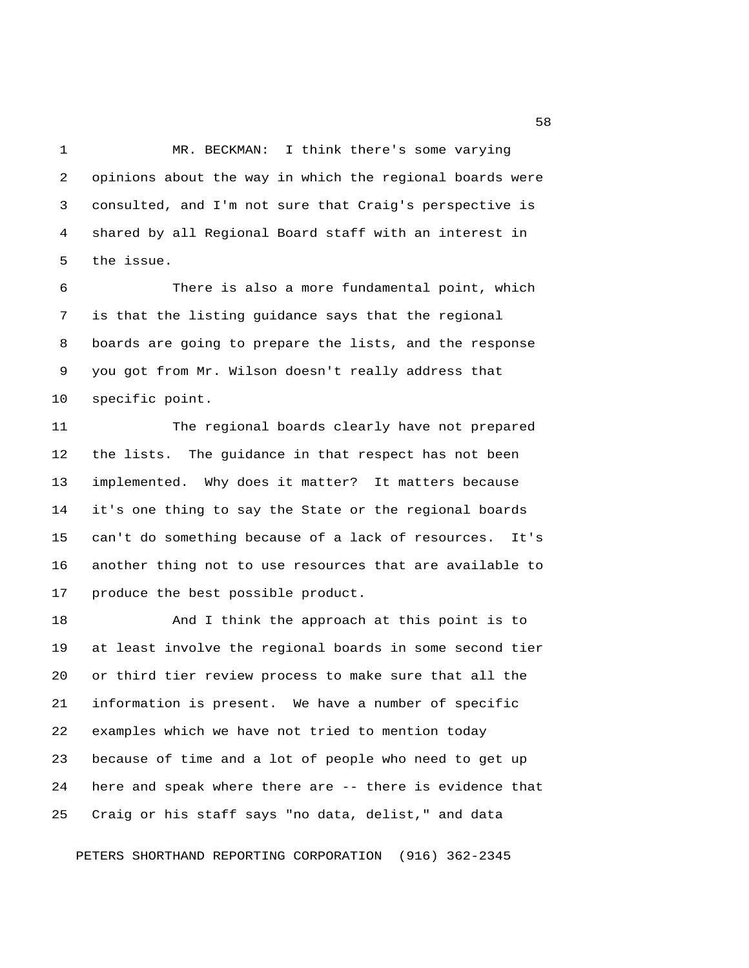1 MR. BECKMAN: I think there's some varying 2 opinions about the way in which the regional boards were 3 consulted, and I'm not sure that Craig's perspective is 4 shared by all Regional Board staff with an interest in 5 the issue.

 6 There is also a more fundamental point, which 7 is that the listing guidance says that the regional 8 boards are going to prepare the lists, and the response 9 you got from Mr. Wilson doesn't really address that 10 specific point.

11 The regional boards clearly have not prepared 12 the lists. The guidance in that respect has not been 13 implemented. Why does it matter? It matters because 14 it's one thing to say the State or the regional boards 15 can't do something because of a lack of resources. It's 16 another thing not to use resources that are available to 17 produce the best possible product.

18 And I think the approach at this point is to 19 at least involve the regional boards in some second tier 20 or third tier review process to make sure that all the 21 information is present. We have a number of specific 22 examples which we have not tried to mention today 23 because of time and a lot of people who need to get up 24 here and speak where there are -- there is evidence that 25 Craig or his staff says "no data, delist," and data

PETERS SHORTHAND REPORTING CORPORATION (916) 362-2345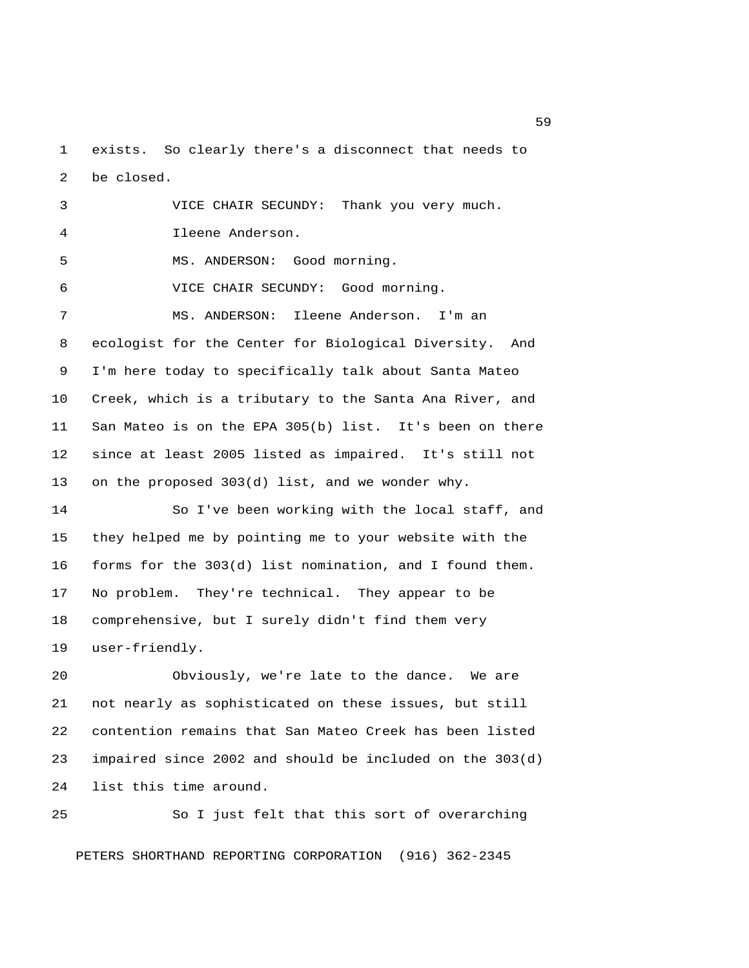1 exists. So clearly there's a disconnect that needs to 2 be closed.

 3 VICE CHAIR SECUNDY: Thank you very much. 4 Ileene Anderson. 5 MS. ANDERSON: Good morning. 6 VICE CHAIR SECUNDY: Good morning. 7 MS. ANDERSON: Ileene Anderson. I'm an 8 ecologist for the Center for Biological Diversity. And 9 I'm here today to specifically talk about Santa Mateo 10 Creek, which is a tributary to the Santa Ana River, and 11 San Mateo is on the EPA 305(b) list. It's been on there 12 since at least 2005 listed as impaired. It's still not 13 on the proposed 303(d) list, and we wonder why. 14 So I've been working with the local staff, and 15 they helped me by pointing me to your website with the

16 forms for the 303(d) list nomination, and I found them. 17 No problem. They're technical. They appear to be 18 comprehensive, but I surely didn't find them very 19 user-friendly.

20 Obviously, we're late to the dance. We are 21 not nearly as sophisticated on these issues, but still 22 contention remains that San Mateo Creek has been listed 23 impaired since 2002 and should be included on the 303(d) 24 list this time around.

25 So I just felt that this sort of overarching PETERS SHORTHAND REPORTING CORPORATION (916) 362-2345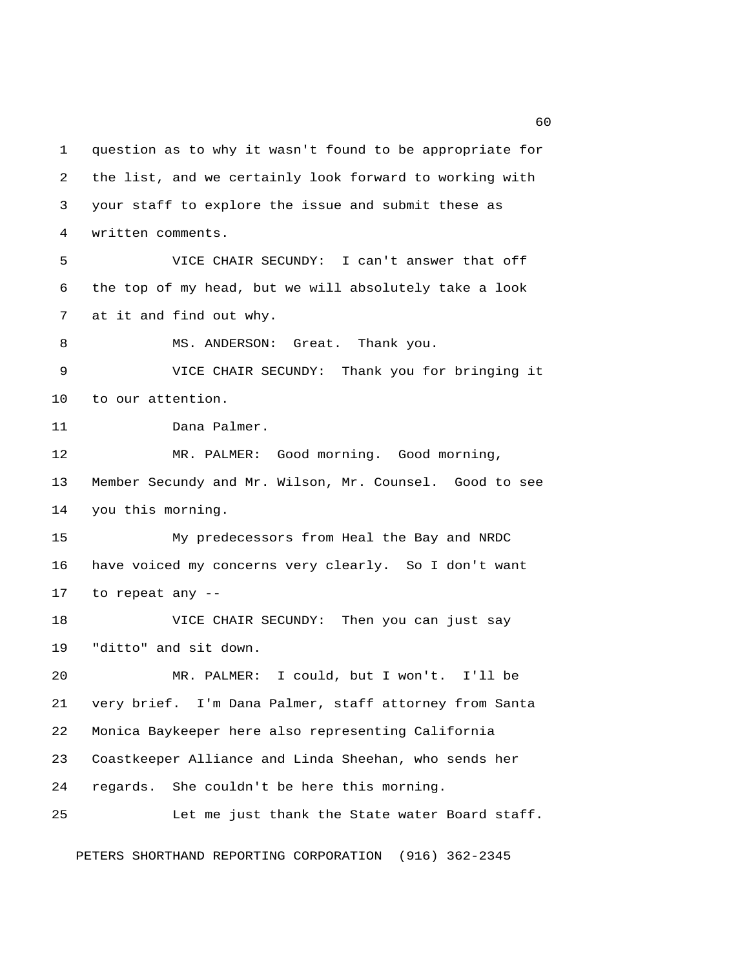1 question as to why it wasn't found to be appropriate for 2 the list, and we certainly look forward to working with 3 your staff to explore the issue and submit these as 4 written comments. 5 VICE CHAIR SECUNDY: I can't answer that off 6 the top of my head, but we will absolutely take a look 7 at it and find out why. 8 MS. ANDERSON: Great. Thank you. 9 VICE CHAIR SECUNDY: Thank you for bringing it 10 to our attention. 11 Dana Palmer. 12 MR. PALMER: Good morning. Good morning, 13 Member Secundy and Mr. Wilson, Mr. Counsel. Good to see 14 you this morning. 15 My predecessors from Heal the Bay and NRDC 16 have voiced my concerns very clearly. So I don't want 17 to repeat any -- 18 VICE CHAIR SECUNDY: Then you can just say 19 "ditto" and sit down. 20 MR. PALMER: I could, but I won't. I'll be 21 very brief. I'm Dana Palmer, staff attorney from Santa 22 Monica Baykeeper here also representing California 23 Coastkeeper Alliance and Linda Sheehan, who sends her 24 regards. She couldn't be here this morning. 25 Let me just thank the State water Board staff.

PETERS SHORTHAND REPORTING CORPORATION (916) 362-2345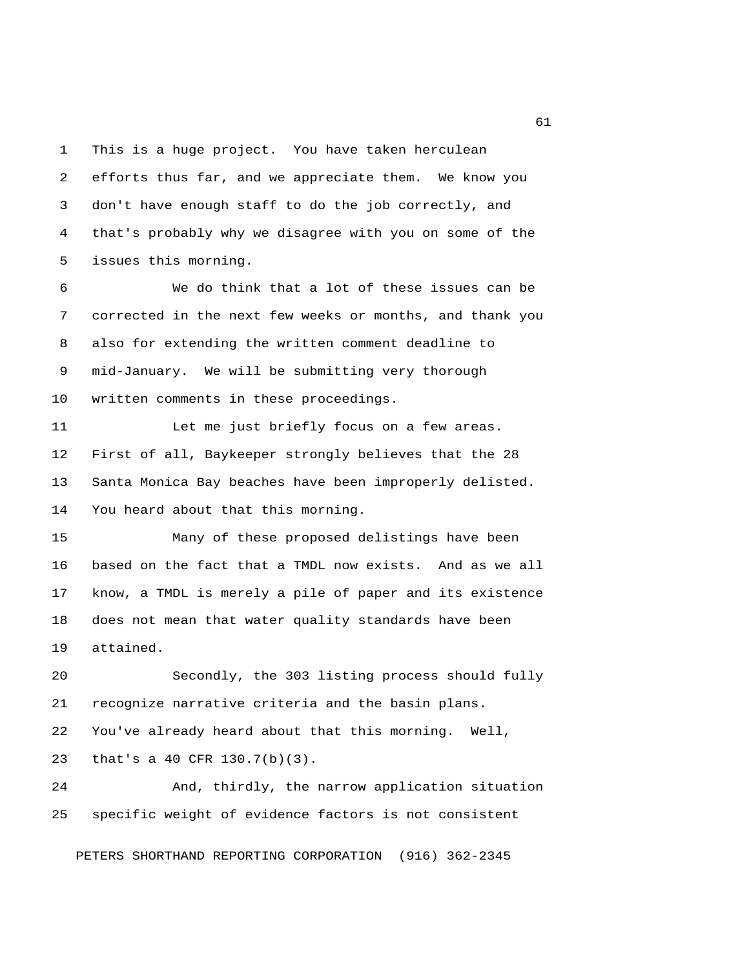1 This is a huge project. You have taken herculean 2 efforts thus far, and we appreciate them. We know you 3 don't have enough staff to do the job correctly, and 4 that's probably why we disagree with you on some of the 5 issues this morning.

 6 We do think that a lot of these issues can be 7 corrected in the next few weeks or months, and thank you 8 also for extending the written comment deadline to 9 mid-January. We will be submitting very thorough 10 written comments in these proceedings.

11 Let me just briefly focus on a few areas. 12 First of all, Baykeeper strongly believes that the 28 13 Santa Monica Bay beaches have been improperly delisted. 14 You heard about that this morning.

15 Many of these proposed delistings have been 16 based on the fact that a TMDL now exists. And as we all 17 know, a TMDL is merely a pile of paper and its existence 18 does not mean that water quality standards have been 19 attained.

20 Secondly, the 303 listing process should fully 21 recognize narrative criteria and the basin plans. 22 You've already heard about that this morning. Well, 23 that's a 40 CFR 130.7(b)(3).

24 And, thirdly, the narrow application situation 25 specific weight of evidence factors is not consistent

PETERS SHORTHAND REPORTING CORPORATION (916) 362-2345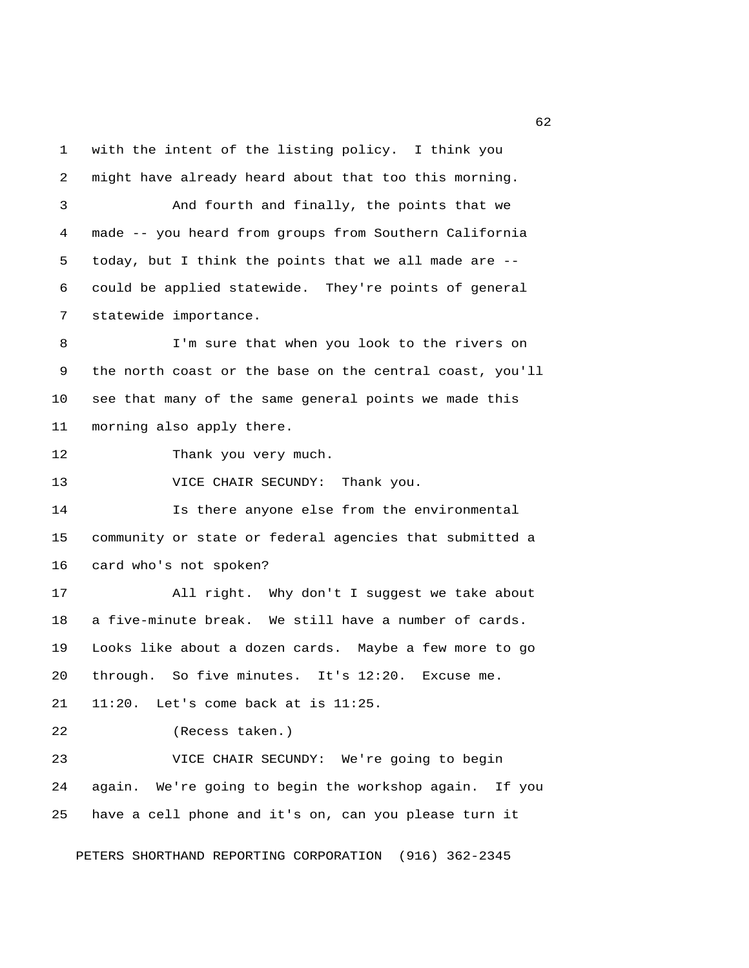1 with the intent of the listing policy. I think you 2 might have already heard about that too this morning. 3 And fourth and finally, the points that we 4 made -- you heard from groups from Southern California 5 today, but I think the points that we all made are -- 6 could be applied statewide. They're points of general 7 statewide importance. 8 I'm sure that when you look to the rivers on 9 the north coast or the base on the central coast, you'll 10 see that many of the same general points we made this 11 morning also apply there. 12 Thank you very much. 13 VICE CHAIR SECUNDY: Thank you. 14 Is there anyone else from the environmental 15 community or state or federal agencies that submitted a 16 card who's not spoken? 17 All right. Why don't I suggest we take about 18 a five-minute break. We still have a number of cards. 19 Looks like about a dozen cards. Maybe a few more to go 20 through. So five minutes. It's 12:20. Excuse me. 21 11:20. Let's come back at is 11:25. 22 (Recess taken.) 23 VICE CHAIR SECUNDY: We're going to begin 24 again. We're going to begin the workshop again. If you 25 have a cell phone and it's on, can you please turn it

PETERS SHORTHAND REPORTING CORPORATION (916) 362-2345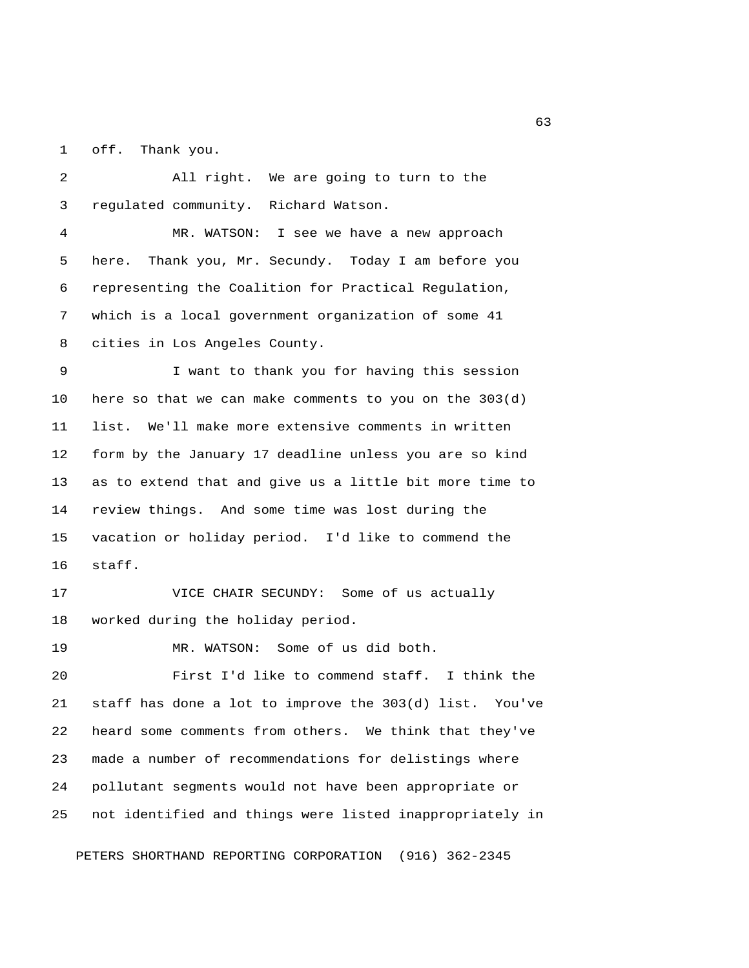1 off. Thank you.

 2 All right. We are going to turn to the 3 regulated community. Richard Watson. 4 MR. WATSON: I see we have a new approach 5 here. Thank you, Mr. Secundy. Today I am before you 6 representing the Coalition for Practical Regulation, 7 which is a local government organization of some 41 8 cities in Los Angeles County. 9 I want to thank you for having this session 10 here so that we can make comments to you on the 303(d) 11 list. We'll make more extensive comments in written 12 form by the January 17 deadline unless you are so kind 13 as to extend that and give us a little bit more time to 14 review things. And some time was lost during the 15 vacation or holiday period. I'd like to commend the 16 staff. 17 VICE CHAIR SECUNDY: Some of us actually 18 worked during the holiday period. 19 MR. WATSON: Some of us did both. 20 First I'd like to commend staff. I think the 21 staff has done a lot to improve the 303(d) list. You've 22 heard some comments from others. We think that they've 23 made a number of recommendations for delistings where 24 pollutant segments would not have been appropriate or 25 not identified and things were listed inappropriately in

PETERS SHORTHAND REPORTING CORPORATION (916) 362-2345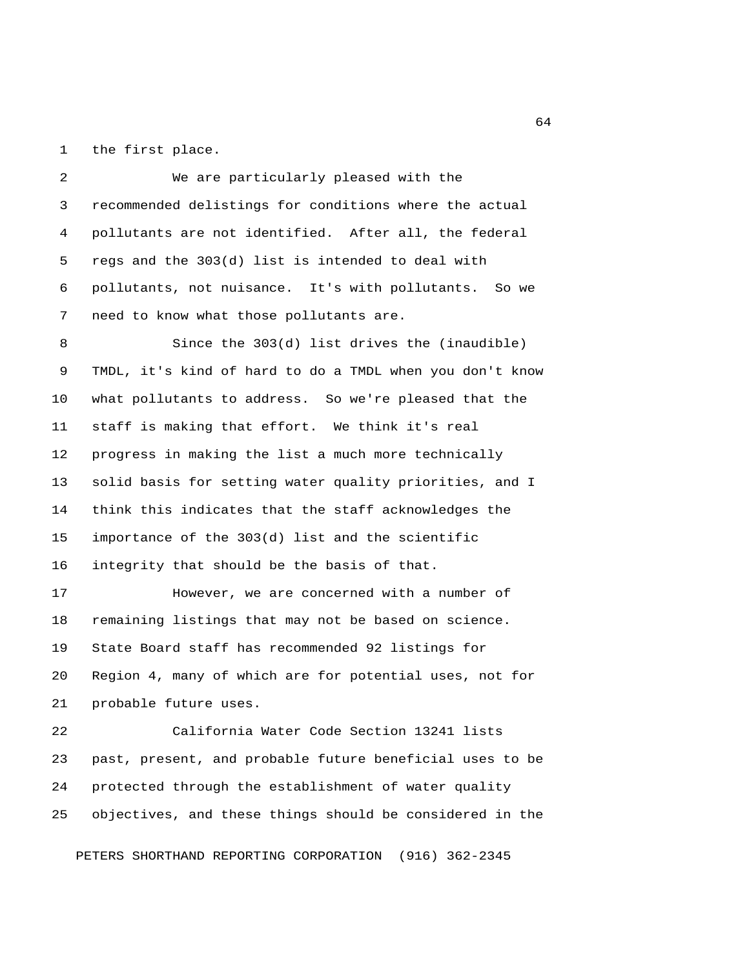1 the first place.

 2 We are particularly pleased with the 3 recommended delistings for conditions where the actual 4 pollutants are not identified. After all, the federal 5 regs and the 303(d) list is intended to deal with 6 pollutants, not nuisance. It's with pollutants. So we 7 need to know what those pollutants are.

 8 Since the 303(d) list drives the (inaudible) 9 TMDL, it's kind of hard to do a TMDL when you don't know 10 what pollutants to address. So we're pleased that the 11 staff is making that effort. We think it's real 12 progress in making the list a much more technically 13 solid basis for setting water quality priorities, and I 14 think this indicates that the staff acknowledges the 15 importance of the 303(d) list and the scientific 16 integrity that should be the basis of that.

17 However, we are concerned with a number of 18 remaining listings that may not be based on science. 19 State Board staff has recommended 92 listings for 20 Region 4, many of which are for potential uses, not for 21 probable future uses.

22 California Water Code Section 13241 lists 23 past, present, and probable future beneficial uses to be 24 protected through the establishment of water quality 25 objectives, and these things should be considered in the

PETERS SHORTHAND REPORTING CORPORATION (916) 362-2345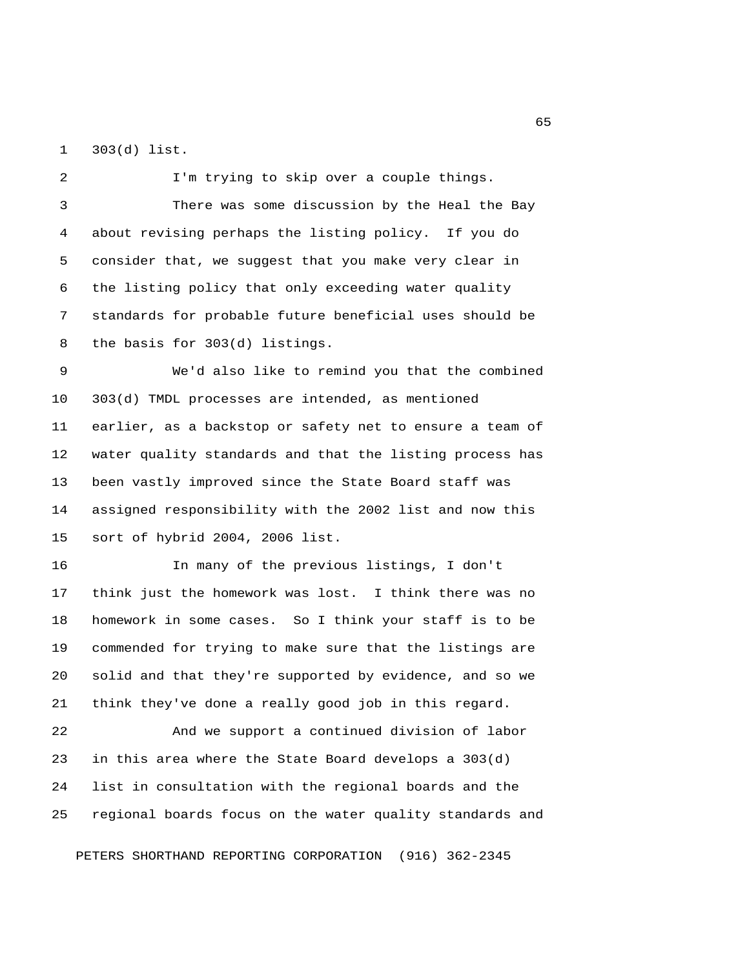1 303(d) list.

 2 I'm trying to skip over a couple things. 3 There was some discussion by the Heal the Bay 4 about revising perhaps the listing policy. If you do 5 consider that, we suggest that you make very clear in 6 the listing policy that only exceeding water quality 7 standards for probable future beneficial uses should be 8 the basis for 303(d) listings.

 9 We'd also like to remind you that the combined 10 303(d) TMDL processes are intended, as mentioned 11 earlier, as a backstop or safety net to ensure a team of 12 water quality standards and that the listing process has 13 been vastly improved since the State Board staff was 14 assigned responsibility with the 2002 list and now this 15 sort of hybrid 2004, 2006 list.

16 In many of the previous listings, I don't 17 think just the homework was lost. I think there was no 18 homework in some cases. So I think your staff is to be 19 commended for trying to make sure that the listings are 20 solid and that they're supported by evidence, and so we 21 think they've done a really good job in this regard.

22 And we support a continued division of labor 23 in this area where the State Board develops a 303(d) 24 list in consultation with the regional boards and the 25 regional boards focus on the water quality standards and

PETERS SHORTHAND REPORTING CORPORATION (916) 362-2345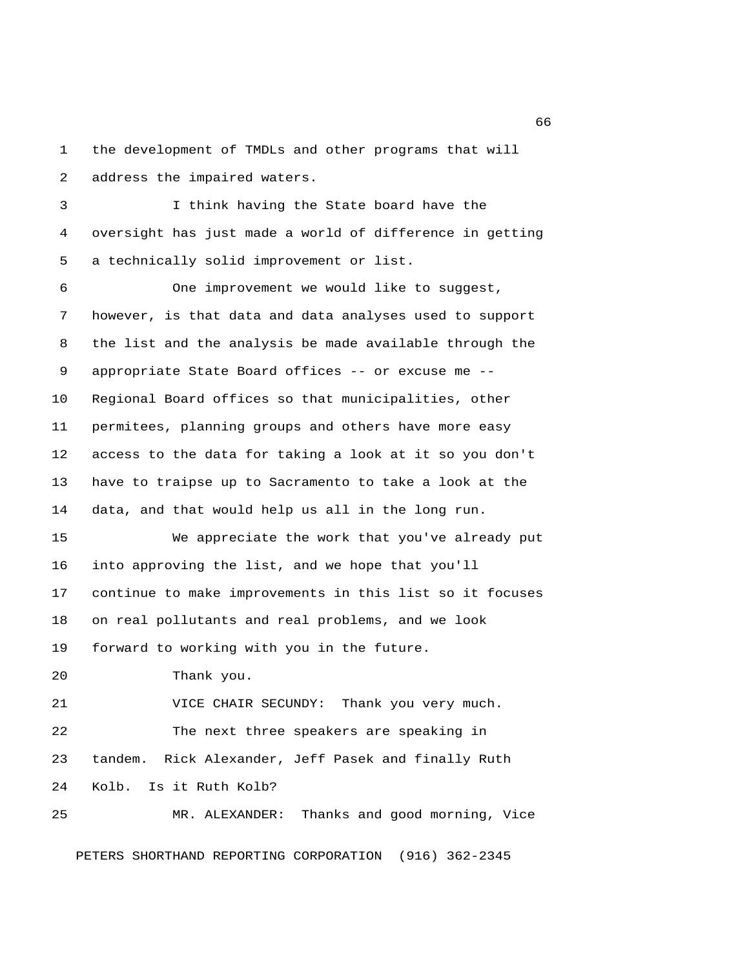1 the development of TMDLs and other programs that will 2 address the impaired waters.

 3 I think having the State board have the 4 oversight has just made a world of difference in getting 5 a technically solid improvement or list.

 6 One improvement we would like to suggest, 7 however, is that data and data analyses used to support 8 the list and the analysis be made available through the 9 appropriate State Board offices -- or excuse me -- 10 Regional Board offices so that municipalities, other 11 permitees, planning groups and others have more easy 12 access to the data for taking a look at it so you don't 13 have to traipse up to Sacramento to take a look at the 14 data, and that would help us all in the long run.

15 We appreciate the work that you've already put 16 into approving the list, and we hope that you'll 17 continue to make improvements in this list so it focuses 18 on real pollutants and real problems, and we look 19 forward to working with you in the future.

20 Thank you.

21 VICE CHAIR SECUNDY: Thank you very much. 22 The next three speakers are speaking in 23 tandem. Rick Alexander, Jeff Pasek and finally Ruth 24 Kolb. Is it Ruth Kolb?

25 MR. ALEXANDER: Thanks and good morning, Vice

PETERS SHORTHAND REPORTING CORPORATION (916) 362-2345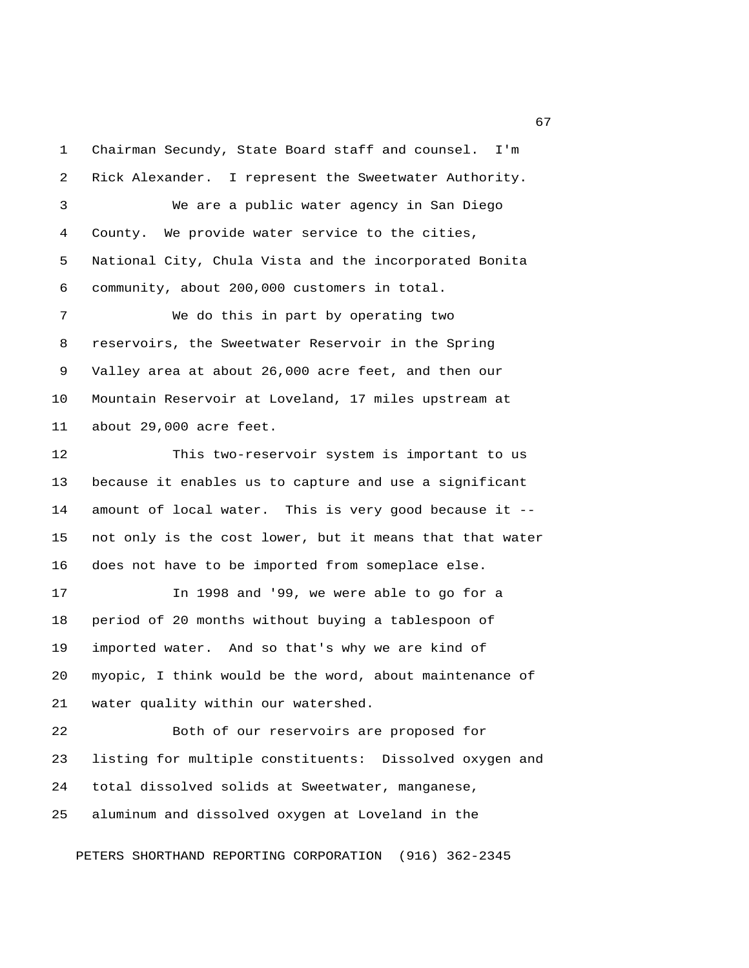1 Chairman Secundy, State Board staff and counsel. I'm 2 Rick Alexander. I represent the Sweetwater Authority. 3 We are a public water agency in San Diego 4 County. We provide water service to the cities, 5 National City, Chula Vista and the incorporated Bonita 6 community, about 200,000 customers in total. 7 We do this in part by operating two 8 reservoirs, the Sweetwater Reservoir in the Spring 9 Valley area at about 26,000 acre feet, and then our 10 Mountain Reservoir at Loveland, 17 miles upstream at 11 about 29,000 acre feet. 12 This two-reservoir system is important to us 13 because it enables us to capture and use a significant 14 amount of local water. This is very good because it -- 15 not only is the cost lower, but it means that that water 16 does not have to be imported from someplace else. 17 In 1998 and '99, we were able to go for a 18 period of 20 months without buying a tablespoon of 19 imported water. And so that's why we are kind of 20 myopic, I think would be the word, about maintenance of 21 water quality within our watershed. 22 Both of our reservoirs are proposed for

23 listing for multiple constituents: Dissolved oxygen and 24 total dissolved solids at Sweetwater, manganese, 25 aluminum and dissolved oxygen at Loveland in the

PETERS SHORTHAND REPORTING CORPORATION (916) 362-2345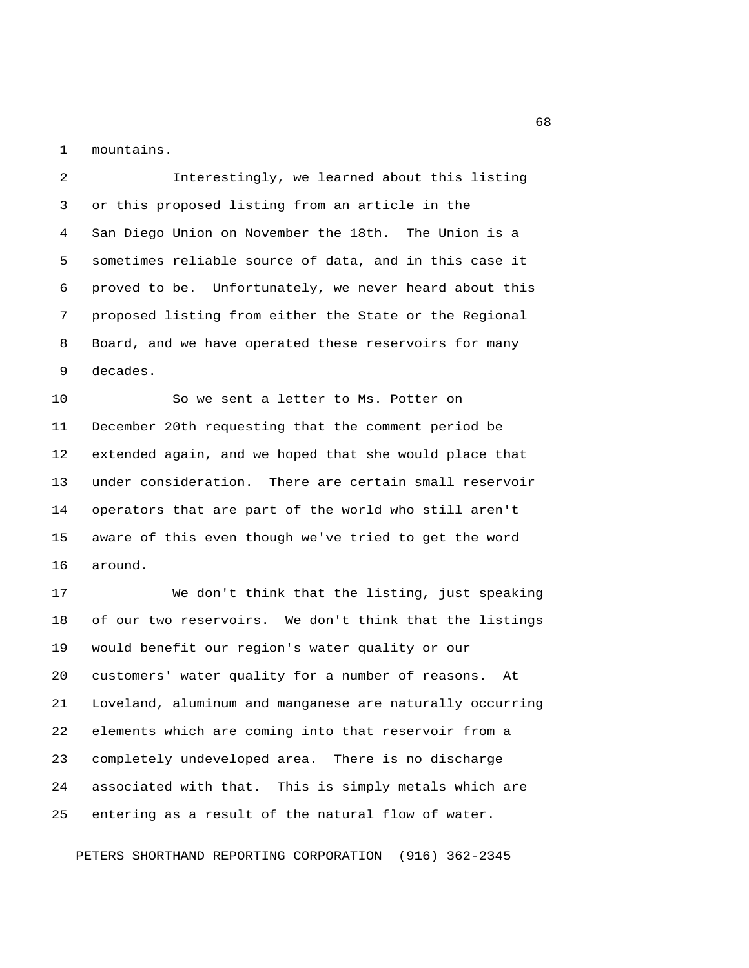1 mountains.

 2 Interestingly, we learned about this listing 3 or this proposed listing from an article in the 4 San Diego Union on November the 18th. The Union is a 5 sometimes reliable source of data, and in this case it 6 proved to be. Unfortunately, we never heard about this 7 proposed listing from either the State or the Regional 8 Board, and we have operated these reservoirs for many 9 decades.

10 So we sent a letter to Ms. Potter on 11 December 20th requesting that the comment period be 12 extended again, and we hoped that she would place that 13 under consideration. There are certain small reservoir 14 operators that are part of the world who still aren't 15 aware of this even though we've tried to get the word 16 around.

17 We don't think that the listing, just speaking 18 of our two reservoirs. We don't think that the listings 19 would benefit our region's water quality or our 20 customers' water quality for a number of reasons. At 21 Loveland, aluminum and manganese are naturally occurring 22 elements which are coming into that reservoir from a 23 completely undeveloped area. There is no discharge 24 associated with that. This is simply metals which are 25 entering as a result of the natural flow of water.

PETERS SHORTHAND REPORTING CORPORATION (916) 362-2345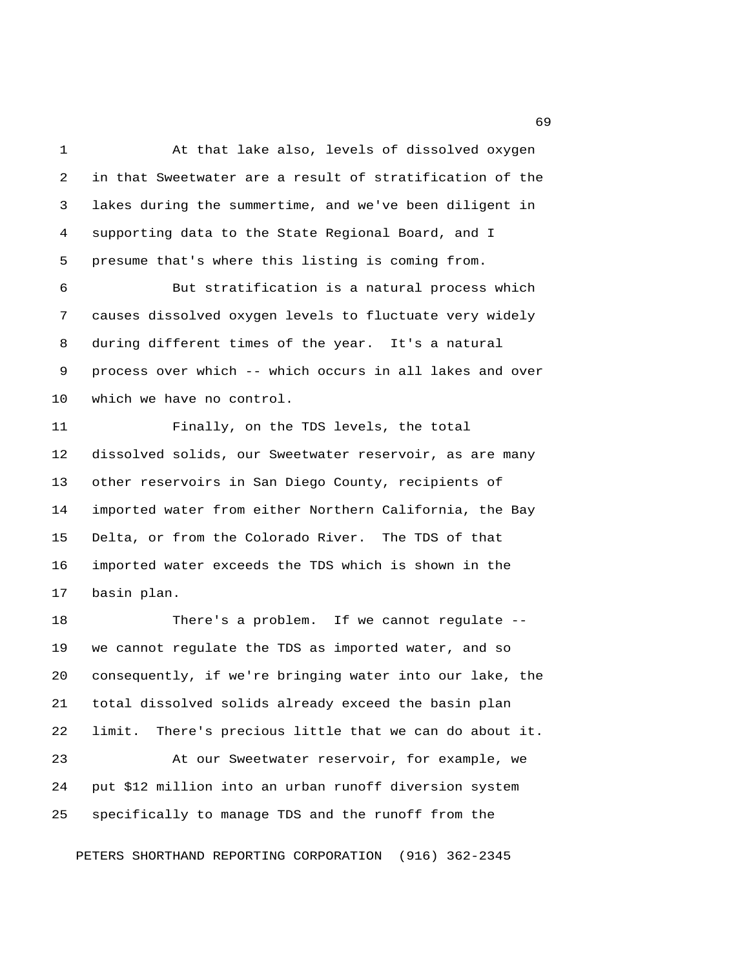1 At that lake also, levels of dissolved oxygen 2 in that Sweetwater are a result of stratification of the 3 lakes during the summertime, and we've been diligent in 4 supporting data to the State Regional Board, and I 5 presume that's where this listing is coming from.

 6 But stratification is a natural process which 7 causes dissolved oxygen levels to fluctuate very widely 8 during different times of the year. It's a natural 9 process over which -- which occurs in all lakes and over 10 which we have no control.

11 Finally, on the TDS levels, the total 12 dissolved solids, our Sweetwater reservoir, as are many 13 other reservoirs in San Diego County, recipients of 14 imported water from either Northern California, the Bay 15 Delta, or from the Colorado River. The TDS of that 16 imported water exceeds the TDS which is shown in the 17 basin plan.

18 There's a problem. If we cannot regulate -- 19 we cannot regulate the TDS as imported water, and so 20 consequently, if we're bringing water into our lake, the 21 total dissolved solids already exceed the basin plan 22 limit. There's precious little that we can do about it.

23 At our Sweetwater reservoir, for example, we 24 put \$12 million into an urban runoff diversion system 25 specifically to manage TDS and the runoff from the

PETERS SHORTHAND REPORTING CORPORATION (916) 362-2345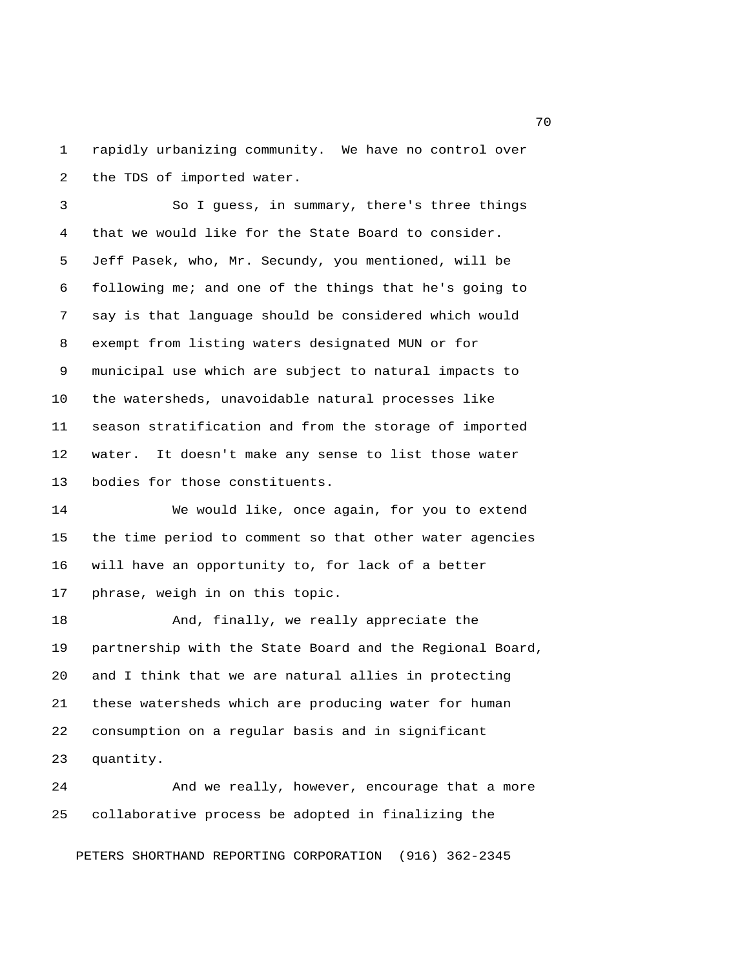1 rapidly urbanizing community. We have no control over 2 the TDS of imported water.

 3 So I guess, in summary, there's three things 4 that we would like for the State Board to consider. 5 Jeff Pasek, who, Mr. Secundy, you mentioned, will be 6 following me; and one of the things that he's going to 7 say is that language should be considered which would 8 exempt from listing waters designated MUN or for 9 municipal use which are subject to natural impacts to 10 the watersheds, unavoidable natural processes like 11 season stratification and from the storage of imported 12 water. It doesn't make any sense to list those water 13 bodies for those constituents.

14 We would like, once again, for you to extend 15 the time period to comment so that other water agencies 16 will have an opportunity to, for lack of a better 17 phrase, weigh in on this topic.

18 And, finally, we really appreciate the 19 partnership with the State Board and the Regional Board, 20 and I think that we are natural allies in protecting 21 these watersheds which are producing water for human 22 consumption on a regular basis and in significant 23 quantity.

24 And we really, however, encourage that a more 25 collaborative process be adopted in finalizing the

PETERS SHORTHAND REPORTING CORPORATION (916) 362-2345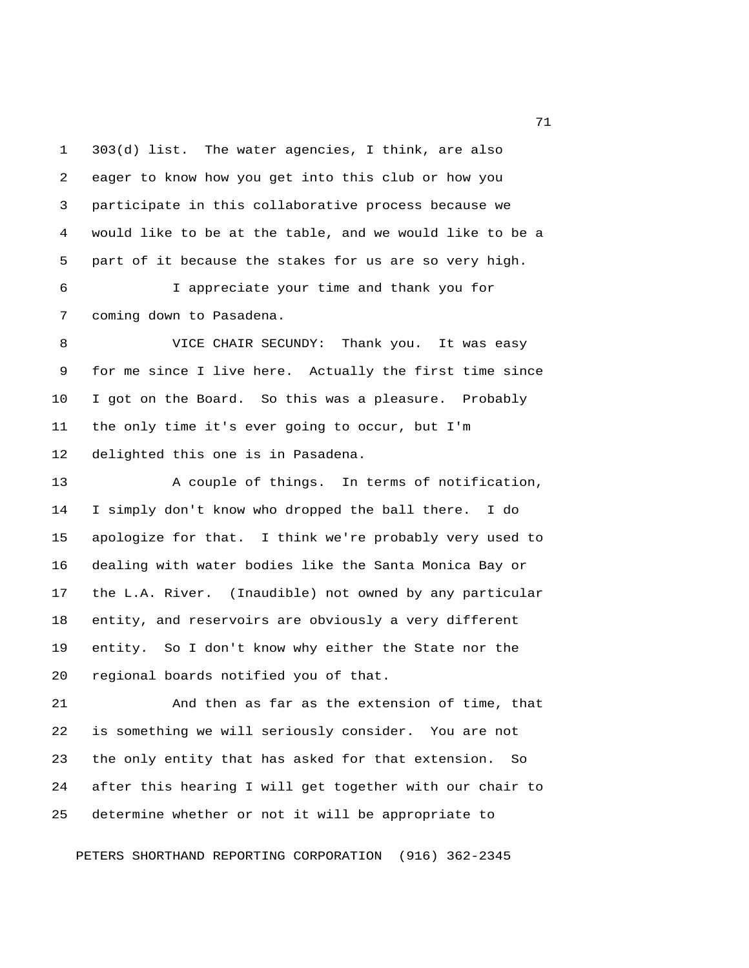1 303(d) list. The water agencies, I think, are also 2 eager to know how you get into this club or how you 3 participate in this collaborative process because we 4 would like to be at the table, and we would like to be a 5 part of it because the stakes for us are so very high.

 6 I appreciate your time and thank you for 7 coming down to Pasadena.

 8 VICE CHAIR SECUNDY: Thank you. It was easy 9 for me since I live here. Actually the first time since 10 I got on the Board. So this was a pleasure. Probably 11 the only time it's ever going to occur, but I'm 12 delighted this one is in Pasadena.

13 A couple of things. In terms of notification, 14 I simply don't know who dropped the ball there. I do 15 apologize for that. I think we're probably very used to 16 dealing with water bodies like the Santa Monica Bay or 17 the L.A. River. (Inaudible) not owned by any particular 18 entity, and reservoirs are obviously a very different 19 entity. So I don't know why either the State nor the 20 regional boards notified you of that.

21 And then as far as the extension of time, that 22 is something we will seriously consider. You are not 23 the only entity that has asked for that extension. So 24 after this hearing I will get together with our chair to 25 determine whether or not it will be appropriate to

PETERS SHORTHAND REPORTING CORPORATION (916) 362-2345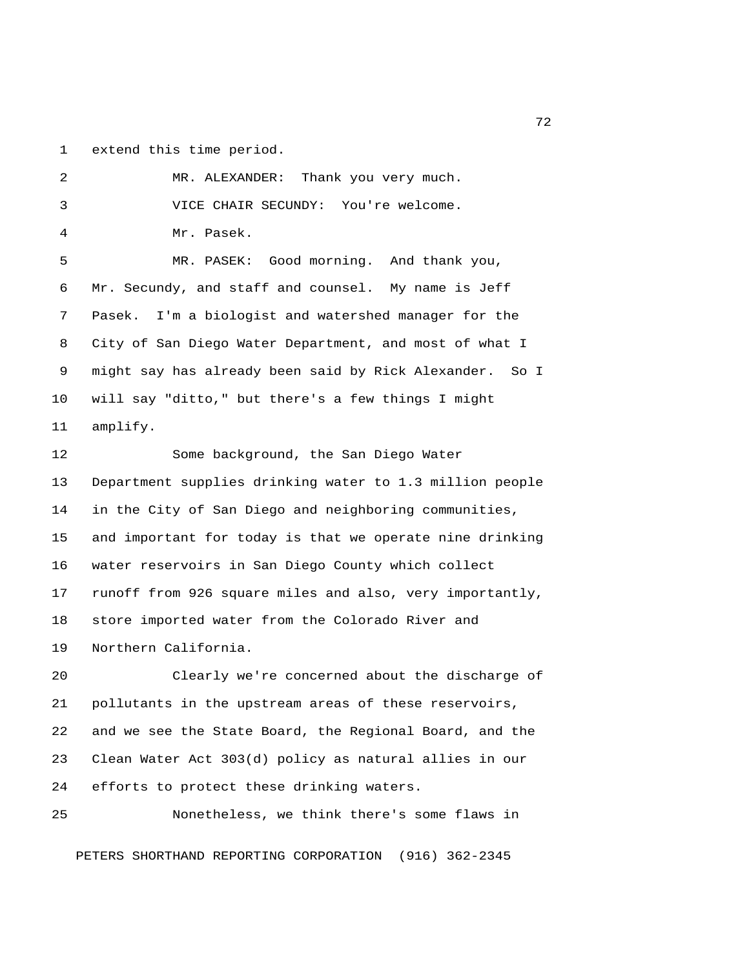1 extend this time period.

| 2  | MR. ALEXANDER: Thank you very much.                      |
|----|----------------------------------------------------------|
| 3  | VICE CHAIR SECUNDY: You're welcome.                      |
| 4  | Mr. Pasek.                                               |
| 5  | MR. PASEK: Good morning. And thank you,                  |
| 6  | Mr. Secundy, and staff and counsel. My name is Jeff      |
| 7  | Pasek. I'm a biologist and watershed manager for the     |
| 8  | City of San Diego Water Department, and most of what I   |
| 9  | might say has already been said by Rick Alexander. So I  |
| 10 | will say "ditto," but there's a few things I might       |
| 11 | amplify.                                                 |
| 12 | Some background, the San Diego Water                     |
| 13 | Department supplies drinking water to 1.3 million people |
| 14 | in the City of San Diego and neighboring communities,    |
| 15 | and important for today is that we operate nine drinking |
| 16 | water reservoirs in San Diego County which collect       |
| 17 | runoff from 926 square miles and also, very importantly, |
| 18 | store imported water from the Colorado River and         |
| 19 | Northern California.                                     |
| 20 | Clearly we're concerned about the discharge of           |
| 21 | pollutants in the upstream areas of these reservoirs,    |
|    |                                                          |

22 and we see the State Board, the Regional Board, and the 23 Clean Water Act 303(d) policy as natural allies in our 24 efforts to protect these drinking waters.

25 Nonetheless, we think there's some flaws in

PETERS SHORTHAND REPORTING CORPORATION (916) 362-2345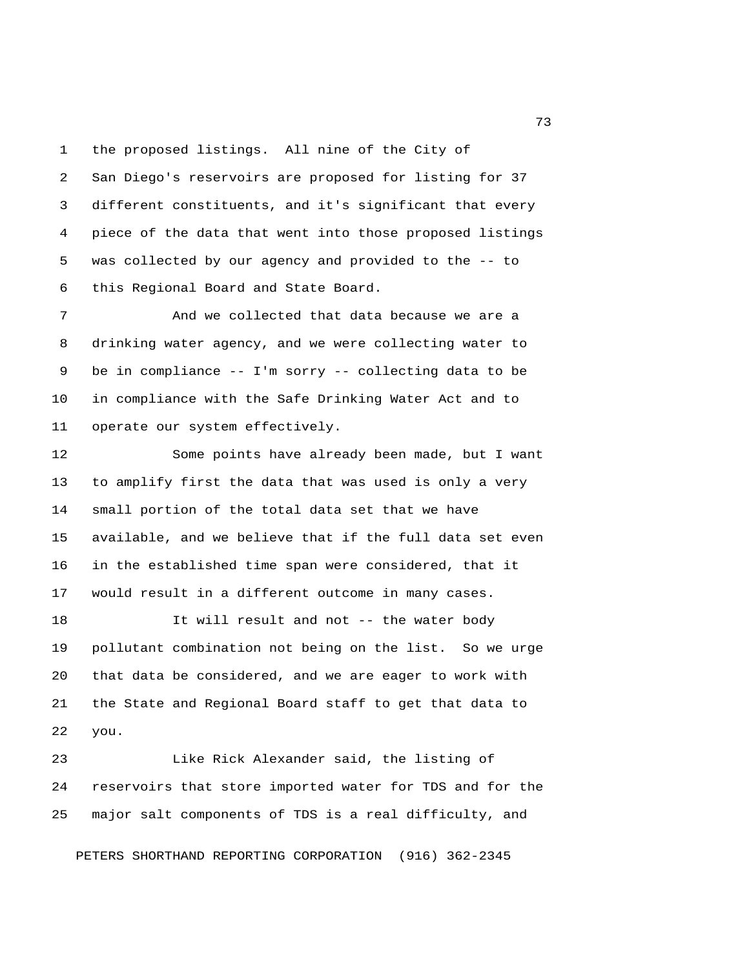1 the proposed listings. All nine of the City of 2 San Diego's reservoirs are proposed for listing for 37 3 different constituents, and it's significant that every 4 piece of the data that went into those proposed listings 5 was collected by our agency and provided to the -- to 6 this Regional Board and State Board.

 7 And we collected that data because we are a 8 drinking water agency, and we were collecting water to 9 be in compliance -- I'm sorry -- collecting data to be 10 in compliance with the Safe Drinking Water Act and to 11 operate our system effectively.

12 Some points have already been made, but I want 13 to amplify first the data that was used is only a very 14 small portion of the total data set that we have 15 available, and we believe that if the full data set even 16 in the established time span were considered, that it 17 would result in a different outcome in many cases.

18 It will result and not -- the water body 19 pollutant combination not being on the list. So we urge 20 that data be considered, and we are eager to work with 21 the State and Regional Board staff to get that data to 22 you.

23 Like Rick Alexander said, the listing of 24 reservoirs that store imported water for TDS and for the 25 major salt components of TDS is a real difficulty, and

PETERS SHORTHAND REPORTING CORPORATION (916) 362-2345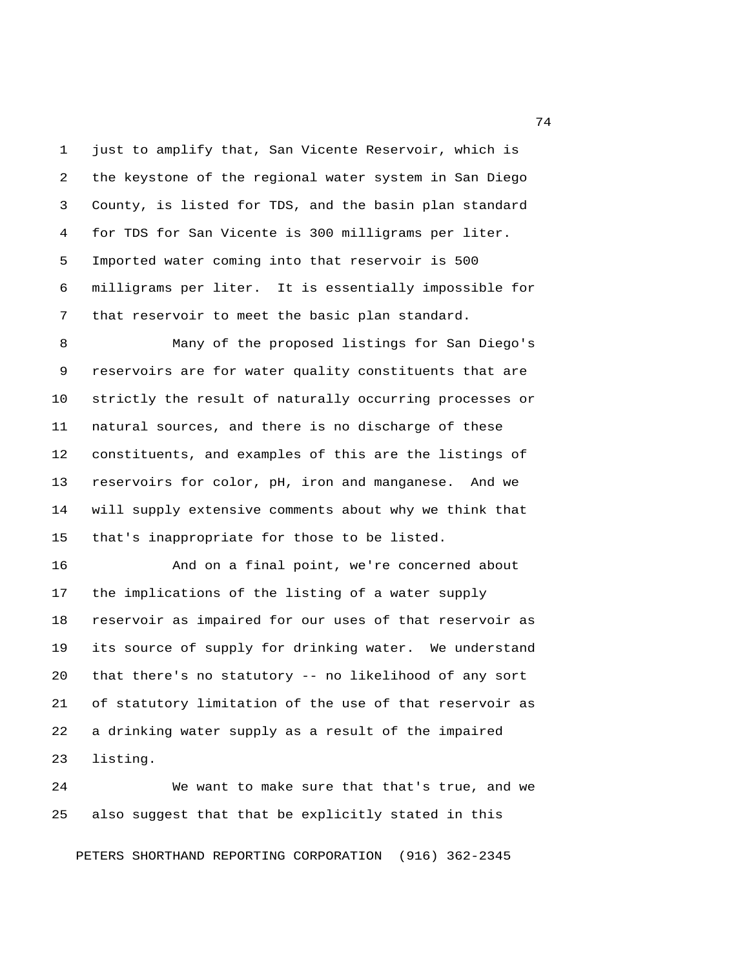1 just to amplify that, San Vicente Reservoir, which is 2 the keystone of the regional water system in San Diego 3 County, is listed for TDS, and the basin plan standard 4 for TDS for San Vicente is 300 milligrams per liter. 5 Imported water coming into that reservoir is 500 6 milligrams per liter. It is essentially impossible for 7 that reservoir to meet the basic plan standard.

 8 Many of the proposed listings for San Diego's 9 reservoirs are for water quality constituents that are 10 strictly the result of naturally occurring processes or 11 natural sources, and there is no discharge of these 12 constituents, and examples of this are the listings of 13 reservoirs for color, pH, iron and manganese. And we 14 will supply extensive comments about why we think that 15 that's inappropriate for those to be listed.

16 And on a final point, we're concerned about 17 the implications of the listing of a water supply 18 reservoir as impaired for our uses of that reservoir as 19 its source of supply for drinking water. We understand 20 that there's no statutory -- no likelihood of any sort 21 of statutory limitation of the use of that reservoir as 22 a drinking water supply as a result of the impaired 23 listing.

24 We want to make sure that that's true, and we 25 also suggest that that be explicitly stated in this

PETERS SHORTHAND REPORTING CORPORATION (916) 362-2345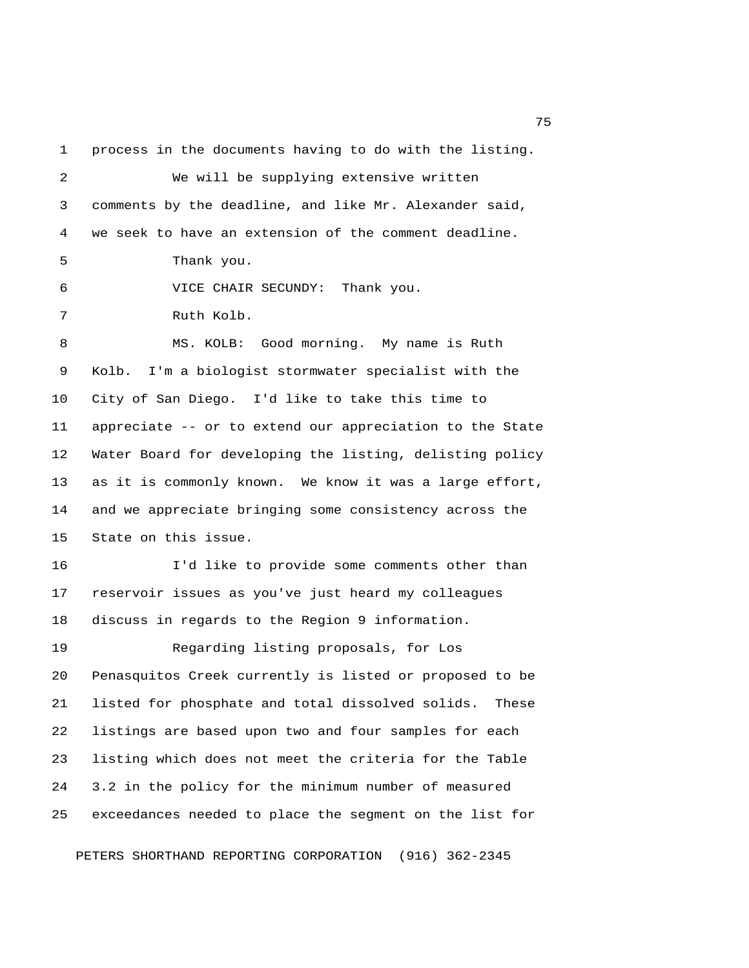1 process in the documents having to do with the listing.

 2 We will be supplying extensive written 3 comments by the deadline, and like Mr. Alexander said, 4 we seek to have an extension of the comment deadline. 5 Thank you. 6 VICE CHAIR SECUNDY: Thank you. 7 Ruth Kolb. 8 MS. KOLB: Good morning. My name is Ruth 9 Kolb. I'm a biologist stormwater specialist with the 10 City of San Diego. I'd like to take this time to 11 appreciate -- or to extend our appreciation to the State 12 Water Board for developing the listing, delisting policy 13 as it is commonly known. We know it was a large effort, 14 and we appreciate bringing some consistency across the 15 State on this issue. 16 I'd like to provide some comments other than 17 reservoir issues as you've just heard my colleagues 18 discuss in regards to the Region 9 information. 19 Regarding listing proposals, for Los 20 Penasquitos Creek currently is listed or proposed to be 21 listed for phosphate and total dissolved solids. These 22 listings are based upon two and four samples for each 23 listing which does not meet the criteria for the Table 24 3.2 in the policy for the minimum number of measured 25 exceedances needed to place the segment on the list for

PETERS SHORTHAND REPORTING CORPORATION (916) 362-2345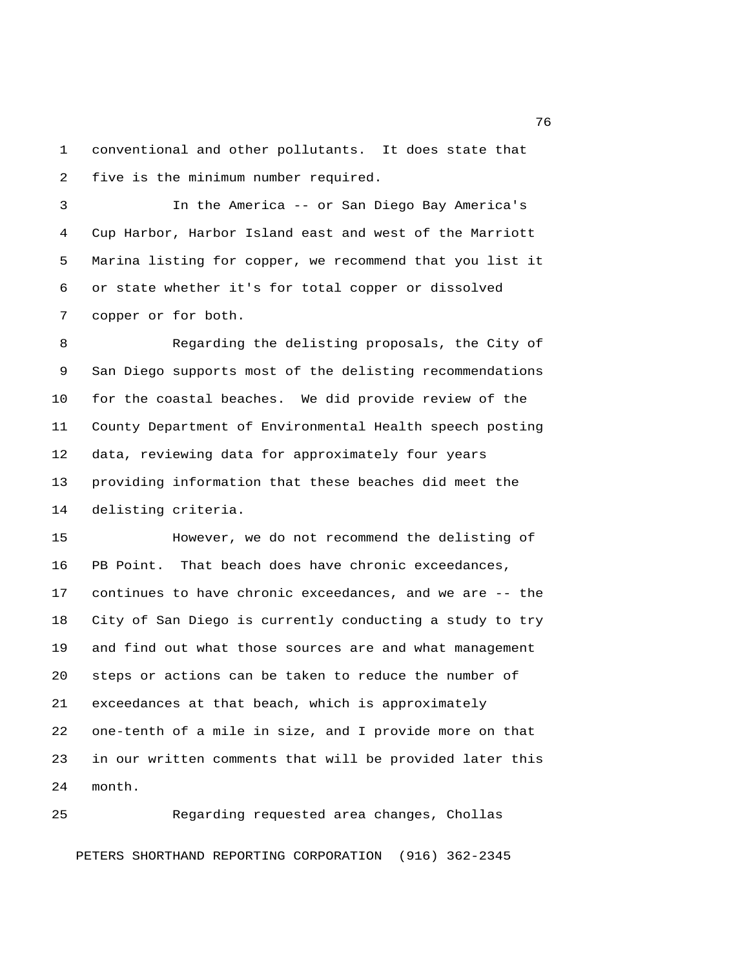1 conventional and other pollutants. It does state that 2 five is the minimum number required.

 3 In the America -- or San Diego Bay America's 4 Cup Harbor, Harbor Island east and west of the Marriott 5 Marina listing for copper, we recommend that you list it 6 or state whether it's for total copper or dissolved 7 copper or for both.

 8 Regarding the delisting proposals, the City of 9 San Diego supports most of the delisting recommendations 10 for the coastal beaches. We did provide review of the 11 County Department of Environmental Health speech posting 12 data, reviewing data for approximately four years 13 providing information that these beaches did meet the 14 delisting criteria.

15 However, we do not recommend the delisting of 16 PB Point. That beach does have chronic exceedances, 17 continues to have chronic exceedances, and we are -- the 18 City of San Diego is currently conducting a study to try 19 and find out what those sources are and what management 20 steps or actions can be taken to reduce the number of 21 exceedances at that beach, which is approximately 22 one-tenth of a mile in size, and I provide more on that 23 in our written comments that will be provided later this 24 month.

25 Regarding requested area changes, Chollas PETERS SHORTHAND REPORTING CORPORATION (916) 362-2345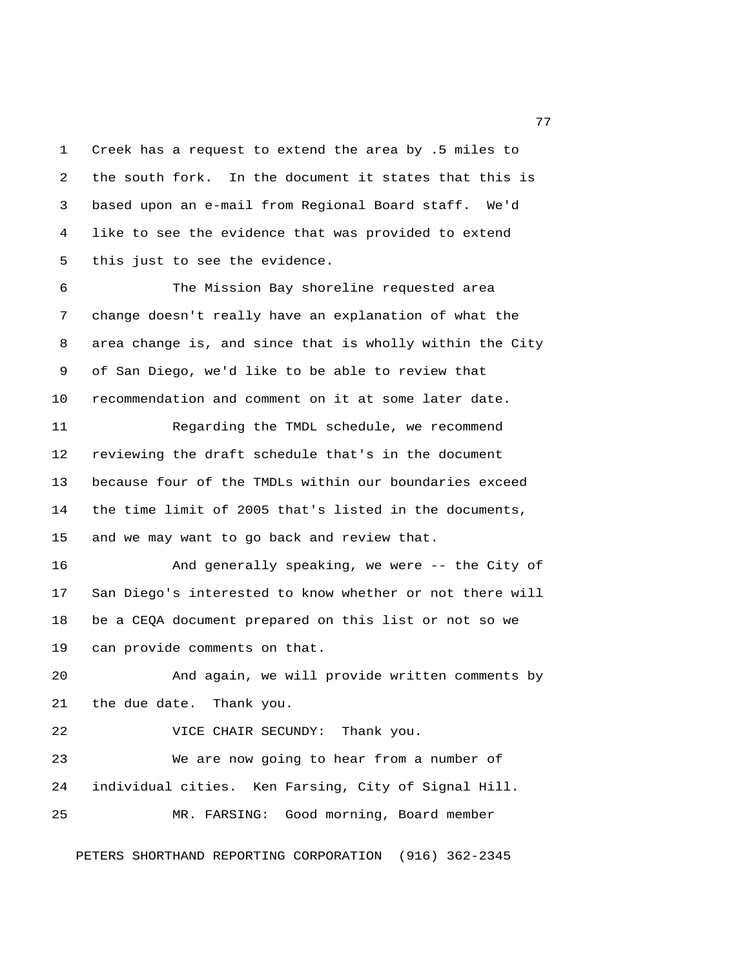1 Creek has a request to extend the area by .5 miles to 2 the south fork. In the document it states that this is 3 based upon an e-mail from Regional Board staff. We'd 4 like to see the evidence that was provided to extend 5 this just to see the evidence.

 6 The Mission Bay shoreline requested area 7 change doesn't really have an explanation of what the 8 area change is, and since that is wholly within the City 9 of San Diego, we'd like to be able to review that 10 recommendation and comment on it at some later date. 11 Regarding the TMDL schedule, we recommend 12 reviewing the draft schedule that's in the document 13 because four of the TMDLs within our boundaries exceed 14 the time limit of 2005 that's listed in the documents, 15 and we may want to go back and review that. 16 And generally speaking, we were -- the City of 17 San Diego's interested to know whether or not there will 18 be a CEQA document prepared on this list or not so we 19 can provide comments on that. 20 And again, we will provide written comments by 21 the due date. Thank you. 22 VICE CHAIR SECUNDY: Thank you. 23 We are now going to hear from a number of

24 individual cities. Ken Farsing, City of Signal Hill.

25 MR. FARSING: Good morning, Board member

PETERS SHORTHAND REPORTING CORPORATION (916) 362-2345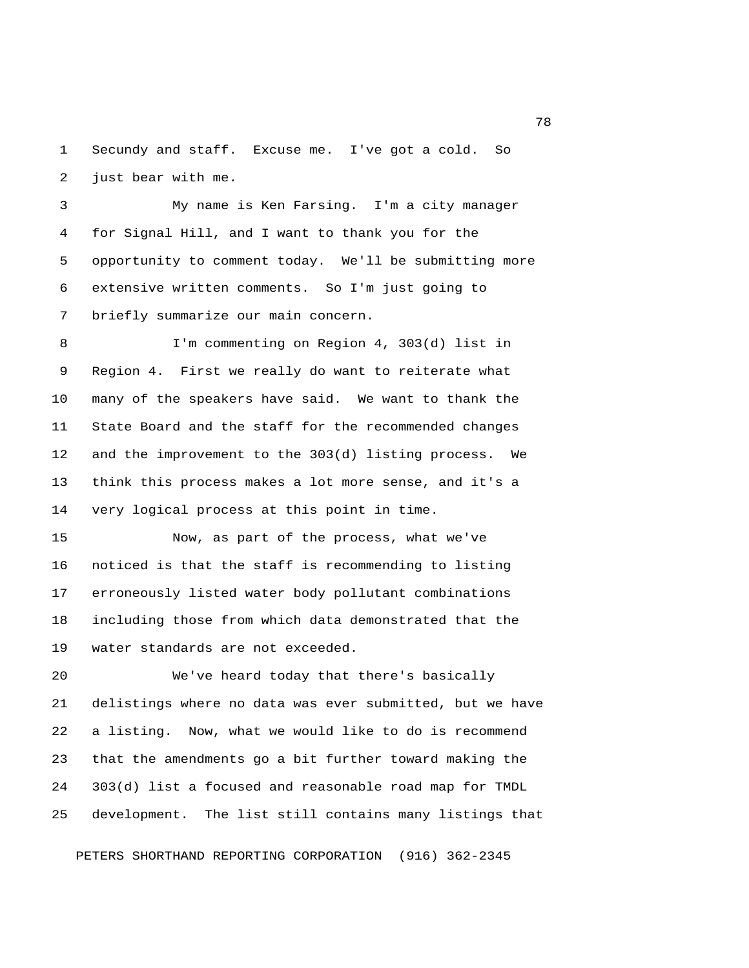1 Secundy and staff. Excuse me. I've got a cold. So 2 just bear with me.

 3 My name is Ken Farsing. I'm a city manager 4 for Signal Hill, and I want to thank you for the 5 opportunity to comment today. We'll be submitting more 6 extensive written comments. So I'm just going to 7 briefly summarize our main concern.

 8 I'm commenting on Region 4, 303(d) list in 9 Region 4. First we really do want to reiterate what 10 many of the speakers have said. We want to thank the 11 State Board and the staff for the recommended changes 12 and the improvement to the 303(d) listing process. We 13 think this process makes a lot more sense, and it's a 14 very logical process at this point in time.

15 Now, as part of the process, what we've 16 noticed is that the staff is recommending to listing 17 erroneously listed water body pollutant combinations 18 including those from which data demonstrated that the 19 water standards are not exceeded.

20 We've heard today that there's basically 21 delistings where no data was ever submitted, but we have 22 a listing. Now, what we would like to do is recommend 23 that the amendments go a bit further toward making the 24 303(d) list a focused and reasonable road map for TMDL 25 development. The list still contains many listings that

PETERS SHORTHAND REPORTING CORPORATION (916) 362-2345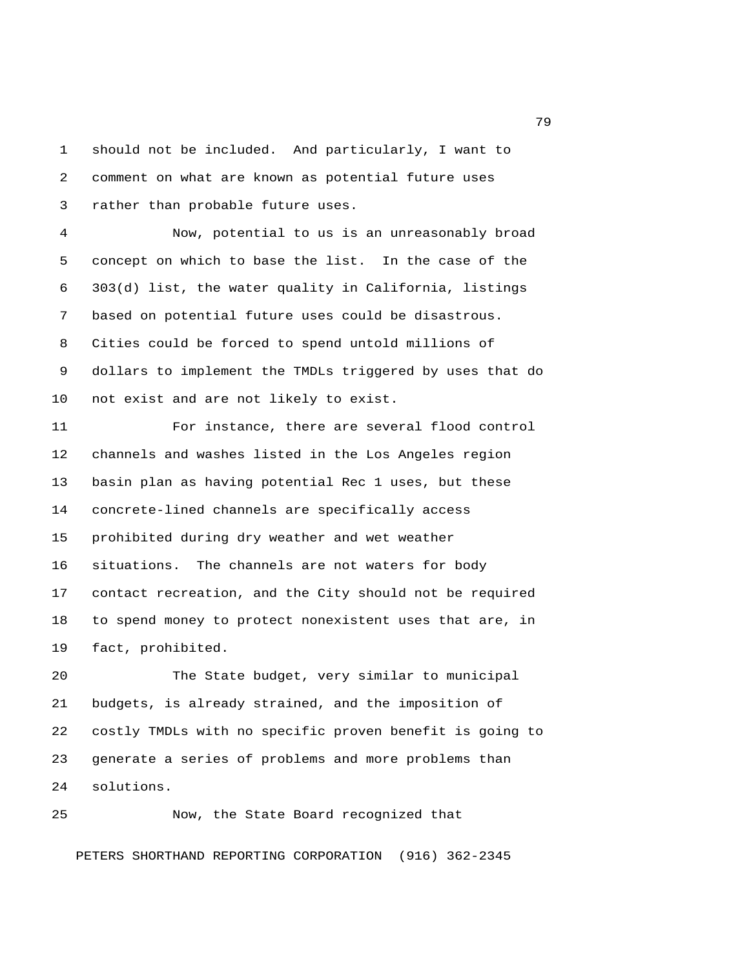1 should not be included. And particularly, I want to 2 comment on what are known as potential future uses 3 rather than probable future uses.

 4 Now, potential to us is an unreasonably broad 5 concept on which to base the list. In the case of the 6 303(d) list, the water quality in California, listings 7 based on potential future uses could be disastrous. 8 Cities could be forced to spend untold millions of 9 dollars to implement the TMDLs triggered by uses that do 10 not exist and are not likely to exist.

11 For instance, there are several flood control 12 channels and washes listed in the Los Angeles region 13 basin plan as having potential Rec 1 uses, but these 14 concrete-lined channels are specifically access 15 prohibited during dry weather and wet weather 16 situations. The channels are not waters for body 17 contact recreation, and the City should not be required 18 to spend money to protect nonexistent uses that are, in 19 fact, prohibited.

20 The State budget, very similar to municipal 21 budgets, is already strained, and the imposition of 22 costly TMDLs with no specific proven benefit is going to 23 generate a series of problems and more problems than 24 solutions.

25 Now, the State Board recognized that

PETERS SHORTHAND REPORTING CORPORATION (916) 362-2345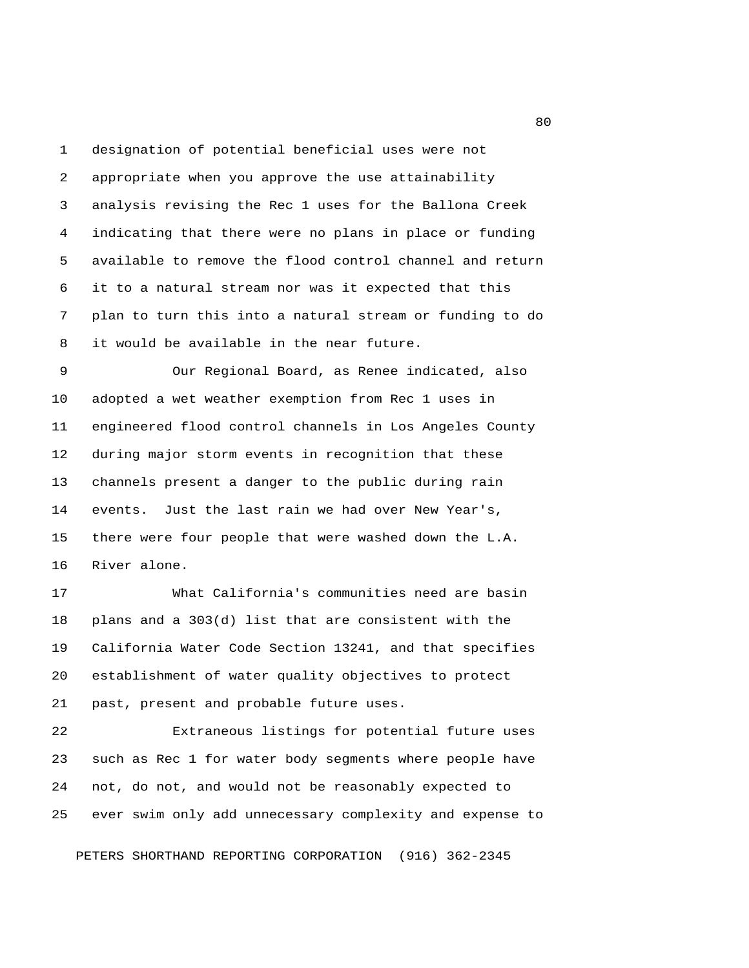1 designation of potential beneficial uses were not 2 appropriate when you approve the use attainability 3 analysis revising the Rec 1 uses for the Ballona Creek 4 indicating that there were no plans in place or funding 5 available to remove the flood control channel and return 6 it to a natural stream nor was it expected that this 7 plan to turn this into a natural stream or funding to do 8 it would be available in the near future.

 9 Our Regional Board, as Renee indicated, also 10 adopted a wet weather exemption from Rec 1 uses in 11 engineered flood control channels in Los Angeles County 12 during major storm events in recognition that these 13 channels present a danger to the public during rain 14 events. Just the last rain we had over New Year's, 15 there were four people that were washed down the L.A. 16 River alone.

17 What California's communities need are basin 18 plans and a 303(d) list that are consistent with the 19 California Water Code Section 13241, and that specifies 20 establishment of water quality objectives to protect 21 past, present and probable future uses.

22 Extraneous listings for potential future uses 23 such as Rec 1 for water body segments where people have 24 not, do not, and would not be reasonably expected to 25 ever swim only add unnecessary complexity and expense to

PETERS SHORTHAND REPORTING CORPORATION (916) 362-2345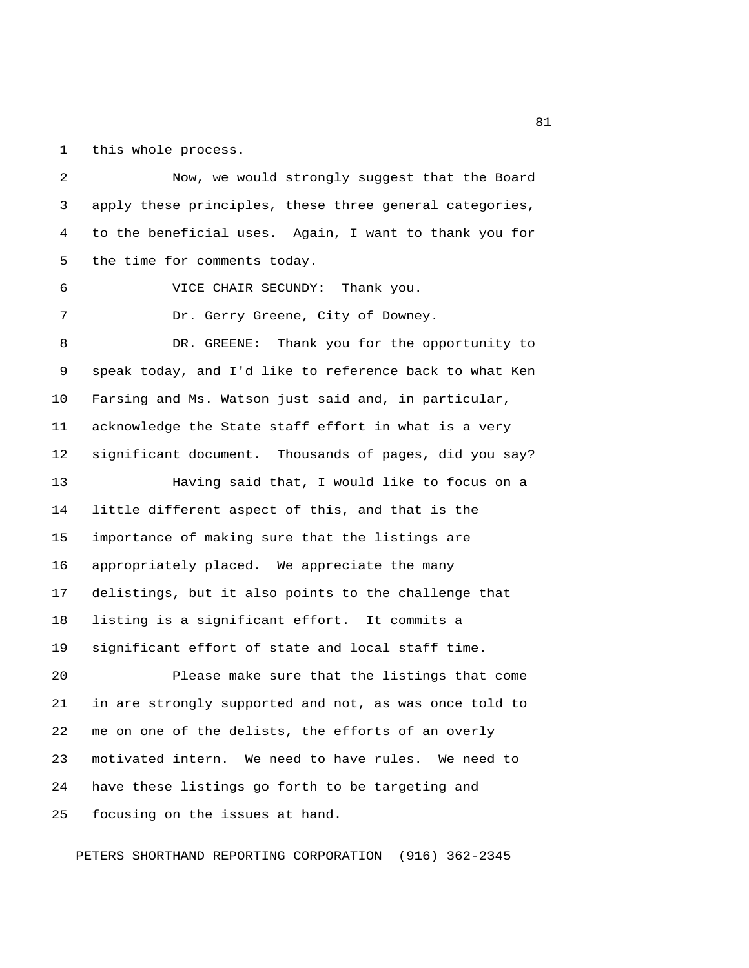1 this whole process.

 2 Now, we would strongly suggest that the Board 3 apply these principles, these three general categories, 4 to the beneficial uses. Again, I want to thank you for 5 the time for comments today. 6 VICE CHAIR SECUNDY: Thank you. 7 Dr. Gerry Greene, City of Downey. 8 DR. GREENE: Thank you for the opportunity to 9 speak today, and I'd like to reference back to what Ken 10 Farsing and Ms. Watson just said and, in particular, 11 acknowledge the State staff effort in what is a very 12 significant document. Thousands of pages, did you say? 13 Having said that, I would like to focus on a 14 little different aspect of this, and that is the 15 importance of making sure that the listings are 16 appropriately placed. We appreciate the many 17 delistings, but it also points to the challenge that 18 listing is a significant effort. It commits a 19 significant effort of state and local staff time. 20 Please make sure that the listings that come 21 in are strongly supported and not, as was once told to 22 me on one of the delists, the efforts of an overly 23 motivated intern. We need to have rules. We need to 24 have these listings go forth to be targeting and 25 focusing on the issues at hand.

PETERS SHORTHAND REPORTING CORPORATION (916) 362-2345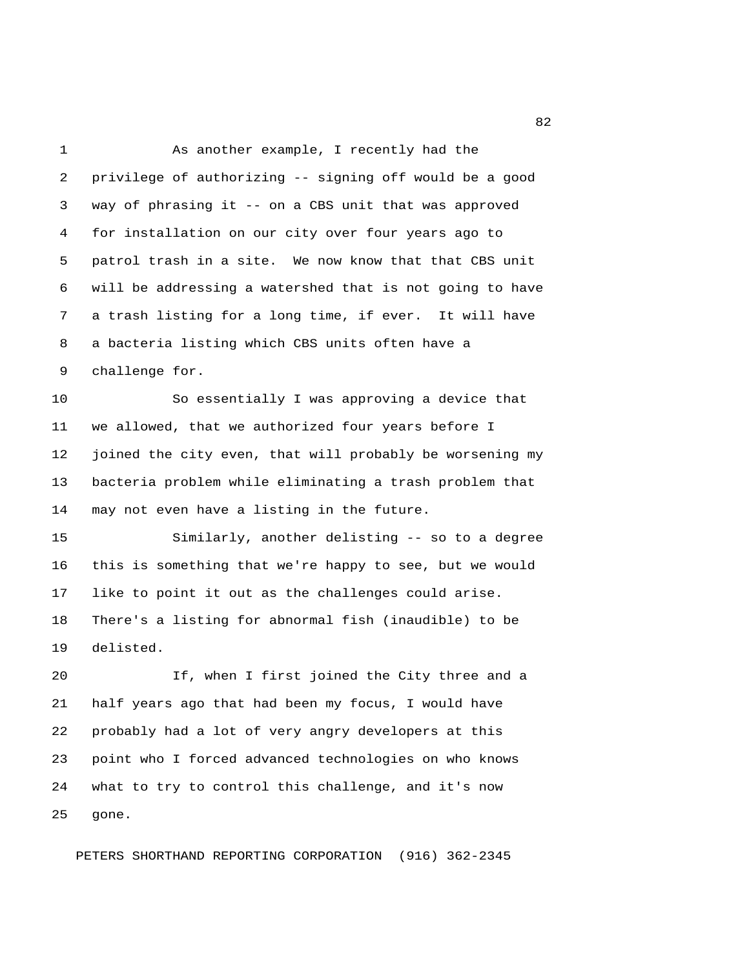1 As another example, I recently had the 2 privilege of authorizing -- signing off would be a good 3 way of phrasing it -- on a CBS unit that was approved 4 for installation on our city over four years ago to 5 patrol trash in a site. We now know that that CBS unit 6 will be addressing a watershed that is not going to have 7 a trash listing for a long time, if ever. It will have 8 a bacteria listing which CBS units often have a 9 challenge for.

10 So essentially I was approving a device that 11 we allowed, that we authorized four years before I 12 joined the city even, that will probably be worsening my 13 bacteria problem while eliminating a trash problem that 14 may not even have a listing in the future.

15 Similarly, another delisting -- so to a degree 16 this is something that we're happy to see, but we would 17 like to point it out as the challenges could arise. 18 There's a listing for abnormal fish (inaudible) to be 19 delisted.

20 If, when I first joined the City three and a 21 half years ago that had been my focus, I would have 22 probably had a lot of very angry developers at this 23 point who I forced advanced technologies on who knows 24 what to try to control this challenge, and it's now 25 gone.

PETERS SHORTHAND REPORTING CORPORATION (916) 362-2345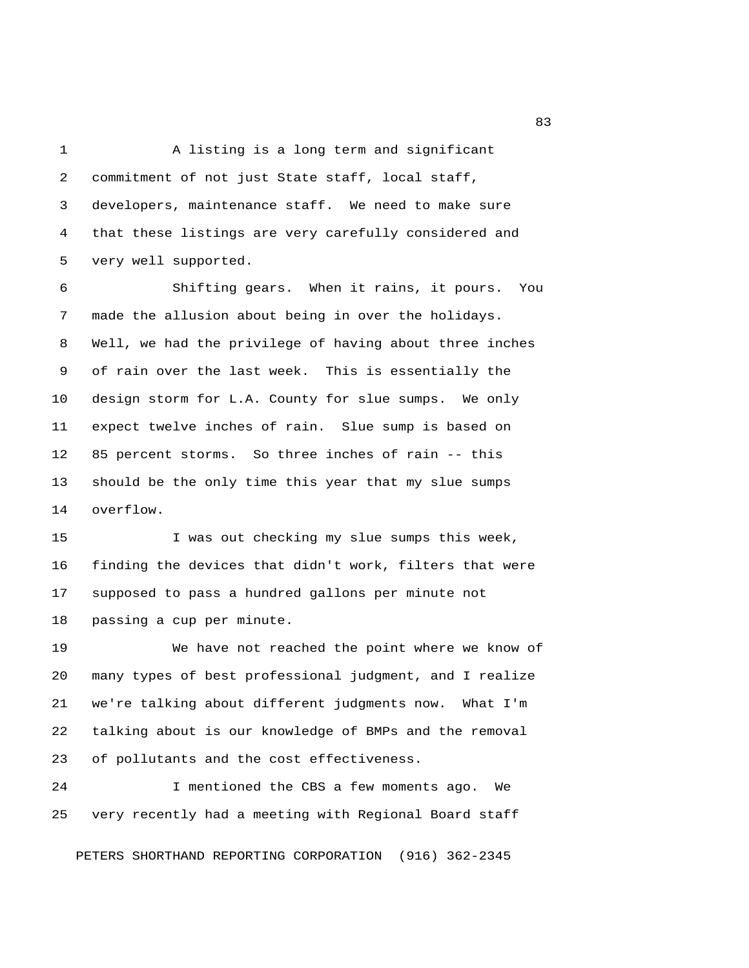1 A listing is a long term and significant 2 commitment of not just State staff, local staff, 3 developers, maintenance staff. We need to make sure 4 that these listings are very carefully considered and 5 very well supported.

 6 Shifting gears. When it rains, it pours. You 7 made the allusion about being in over the holidays. 8 Well, we had the privilege of having about three inches 9 of rain over the last week. This is essentially the 10 design storm for L.A. County for slue sumps. We only 11 expect twelve inches of rain. Slue sump is based on 12 85 percent storms. So three inches of rain -- this 13 should be the only time this year that my slue sumps 14 overflow.

15 I was out checking my slue sumps this week, 16 finding the devices that didn't work, filters that were 17 supposed to pass a hundred gallons per minute not 18 passing a cup per minute.

19 We have not reached the point where we know of 20 many types of best professional judgment, and I realize 21 we're talking about different judgments now. What I'm 22 talking about is our knowledge of BMPs and the removal 23 of pollutants and the cost effectiveness.

24 I mentioned the CBS a few moments ago. We 25 very recently had a meeting with Regional Board staff

PETERS SHORTHAND REPORTING CORPORATION (916) 362-2345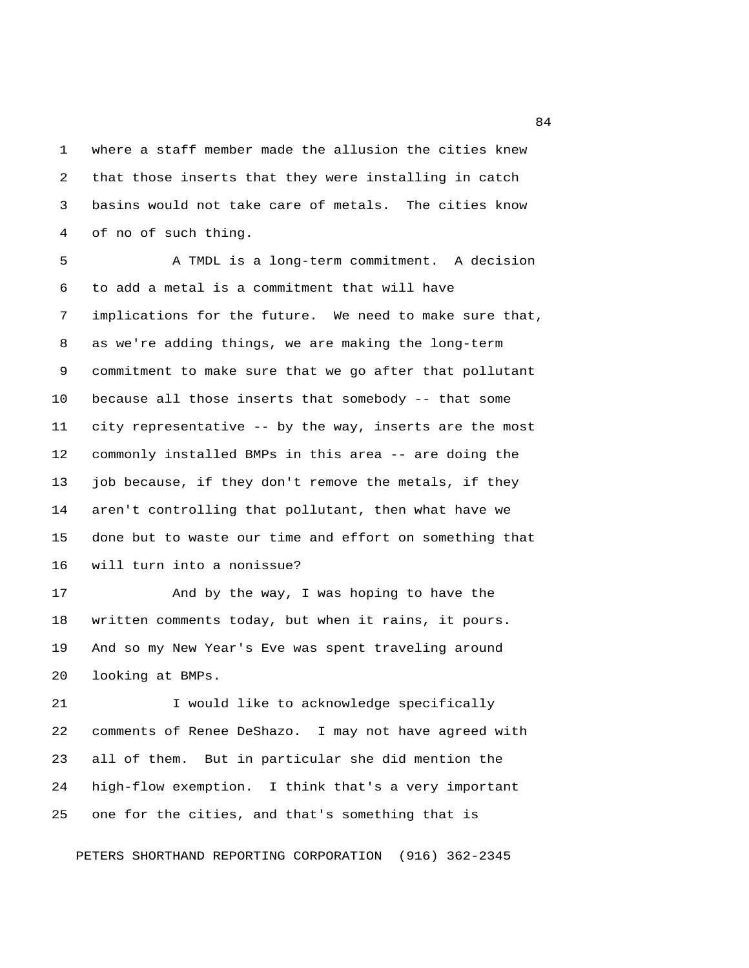1 where a staff member made the allusion the cities knew 2 that those inserts that they were installing in catch 3 basins would not take care of metals. The cities know 4 of no of such thing.

 5 A TMDL is a long-term commitment. A decision 6 to add a metal is a commitment that will have 7 implications for the future. We need to make sure that, 8 as we're adding things, we are making the long-term 9 commitment to make sure that we go after that pollutant 10 because all those inserts that somebody -- that some 11 city representative -- by the way, inserts are the most 12 commonly installed BMPs in this area -- are doing the 13 job because, if they don't remove the metals, if they 14 aren't controlling that pollutant, then what have we 15 done but to waste our time and effort on something that 16 will turn into a nonissue?

17 And by the way, I was hoping to have the 18 written comments today, but when it rains, it pours. 19 And so my New Year's Eve was spent traveling around 20 looking at BMPs.

21 I would like to acknowledge specifically 22 comments of Renee DeShazo. I may not have agreed with 23 all of them. But in particular she did mention the 24 high-flow exemption. I think that's a very important 25 one for the cities, and that's something that is

PETERS SHORTHAND REPORTING CORPORATION (916) 362-2345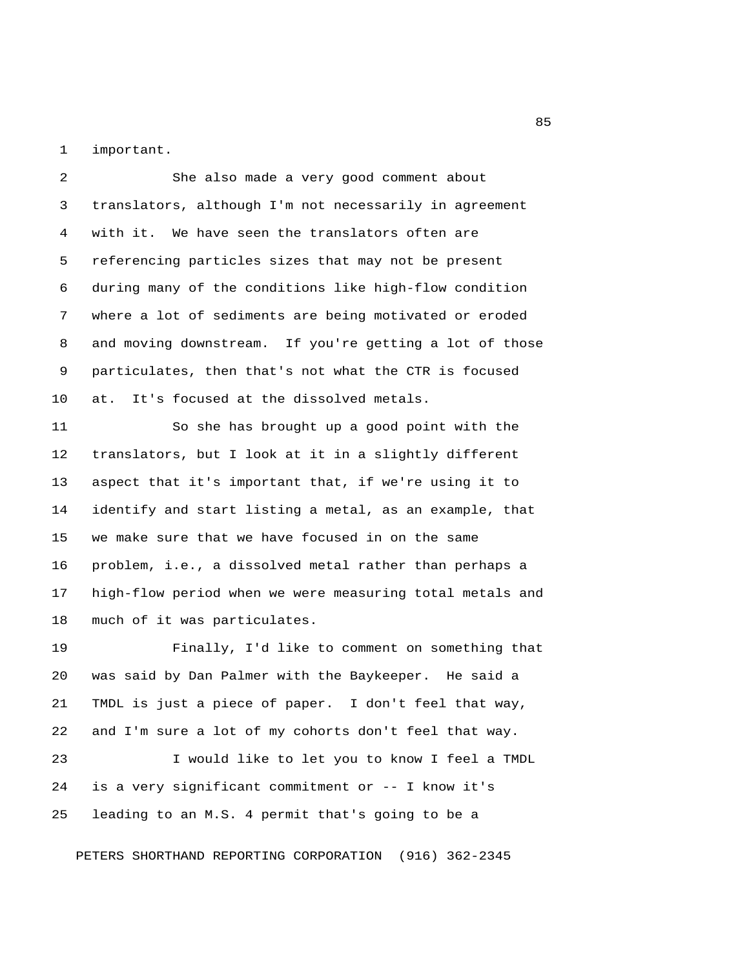1 important.

 2 She also made a very good comment about 3 translators, although I'm not necessarily in agreement 4 with it. We have seen the translators often are 5 referencing particles sizes that may not be present 6 during many of the conditions like high-flow condition 7 where a lot of sediments are being motivated or eroded 8 and moving downstream. If you're getting a lot of those 9 particulates, then that's not what the CTR is focused 10 at. It's focused at the dissolved metals.

11 So she has brought up a good point with the 12 translators, but I look at it in a slightly different 13 aspect that it's important that, if we're using it to 14 identify and start listing a metal, as an example, that 15 we make sure that we have focused in on the same 16 problem, i.e., a dissolved metal rather than perhaps a 17 high-flow period when we were measuring total metals and 18 much of it was particulates.

19 Finally, I'd like to comment on something that 20 was said by Dan Palmer with the Baykeeper. He said a 21 TMDL is just a piece of paper. I don't feel that way, 22 and I'm sure a lot of my cohorts don't feel that way.

23 I would like to let you to know I feel a TMDL 24 is a very significant commitment or -- I know it's 25 leading to an M.S. 4 permit that's going to be a

PETERS SHORTHAND REPORTING CORPORATION (916) 362-2345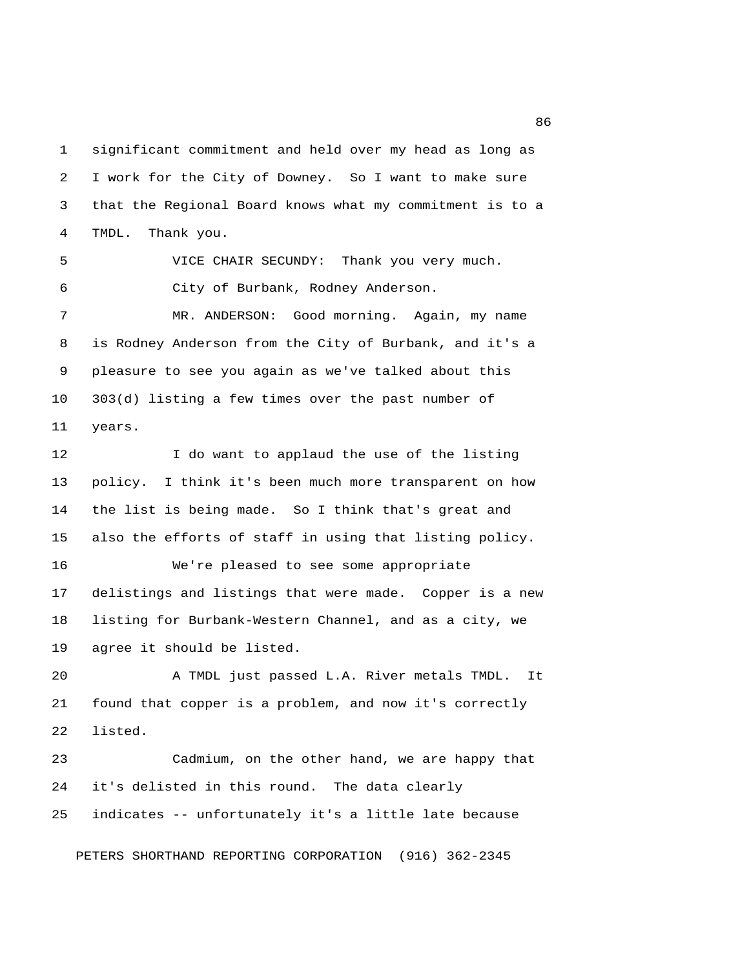1 significant commitment and held over my head as long as 2 I work for the City of Downey. So I want to make sure 3 that the Regional Board knows what my commitment is to a 4 TMDL. Thank you.

 5 VICE CHAIR SECUNDY: Thank you very much. 6 City of Burbank, Rodney Anderson.

 7 MR. ANDERSON: Good morning. Again, my name 8 is Rodney Anderson from the City of Burbank, and it's a 9 pleasure to see you again as we've talked about this 10 303(d) listing a few times over the past number of 11 years.

12 I do want to applaud the use of the listing 13 policy. I think it's been much more transparent on how 14 the list is being made. So I think that's great and 15 also the efforts of staff in using that listing policy. 16 We're pleased to see some appropriate 17 delistings and listings that were made. Copper is a new 18 listing for Burbank-Western Channel, and as a city, we 19 agree it should be listed.

20 A TMDL just passed L.A. River metals TMDL. It 21 found that copper is a problem, and now it's correctly 22 listed.

23 Cadmium, on the other hand, we are happy that 24 it's delisted in this round. The data clearly 25 indicates -- unfortunately it's a little late because

PETERS SHORTHAND REPORTING CORPORATION (916) 362-2345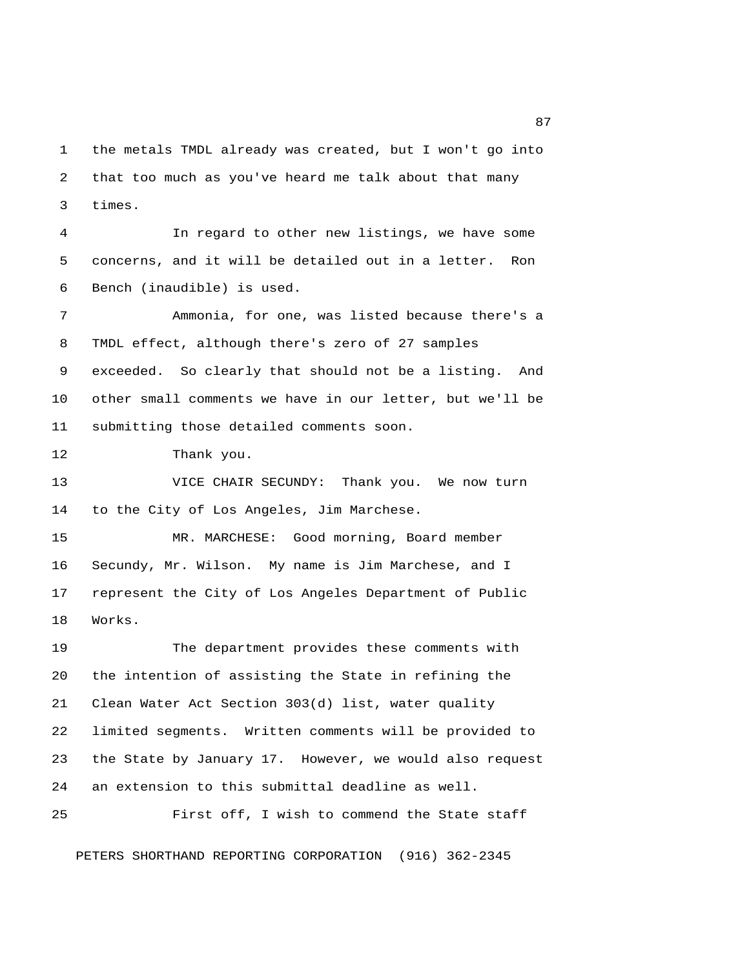1 the metals TMDL already was created, but I won't go into 2 that too much as you've heard me talk about that many 3 times.

 4 In regard to other new listings, we have some 5 concerns, and it will be detailed out in a letter. Ron 6 Bench (inaudible) is used.

 7 Ammonia, for one, was listed because there's a 8 TMDL effect, although there's zero of 27 samples 9 exceeded. So clearly that should not be a listing. And 10 other small comments we have in our letter, but we'll be 11 submitting those detailed comments soon.

12 Thank you.

13 VICE CHAIR SECUNDY: Thank you. We now turn 14 to the City of Los Angeles, Jim Marchese.

15 MR. MARCHESE: Good morning, Board member 16 Secundy, Mr. Wilson. My name is Jim Marchese, and I 17 represent the City of Los Angeles Department of Public 18 Works.

19 The department provides these comments with 20 the intention of assisting the State in refining the 21 Clean Water Act Section 303(d) list, water quality 22 limited segments. Written comments will be provided to 23 the State by January 17. However, we would also request 24 an extension to this submittal deadline as well.

25 First off, I wish to commend the State staff

PETERS SHORTHAND REPORTING CORPORATION (916) 362-2345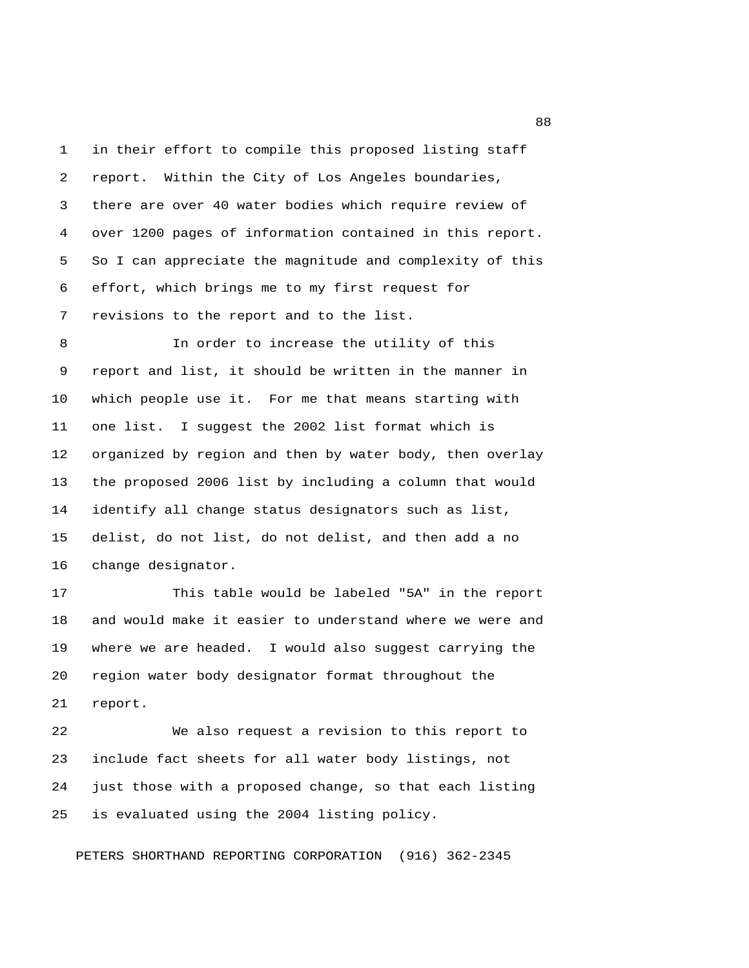1 in their effort to compile this proposed listing staff 2 report. Within the City of Los Angeles boundaries, 3 there are over 40 water bodies which require review of 4 over 1200 pages of information contained in this report. 5 So I can appreciate the magnitude and complexity of this 6 effort, which brings me to my first request for 7 revisions to the report and to the list.

 8 In order to increase the utility of this 9 report and list, it should be written in the manner in 10 which people use it. For me that means starting with 11 one list. I suggest the 2002 list format which is 12 organized by region and then by water body, then overlay 13 the proposed 2006 list by including a column that would 14 identify all change status designators such as list, 15 delist, do not list, do not delist, and then add a no 16 change designator.

17 This table would be labeled "5A" in the report 18 and would make it easier to understand where we were and 19 where we are headed. I would also suggest carrying the 20 region water body designator format throughout the 21 report.

22 We also request a revision to this report to 23 include fact sheets for all water body listings, not 24 just those with a proposed change, so that each listing 25 is evaluated using the 2004 listing policy.

PETERS SHORTHAND REPORTING CORPORATION (916) 362-2345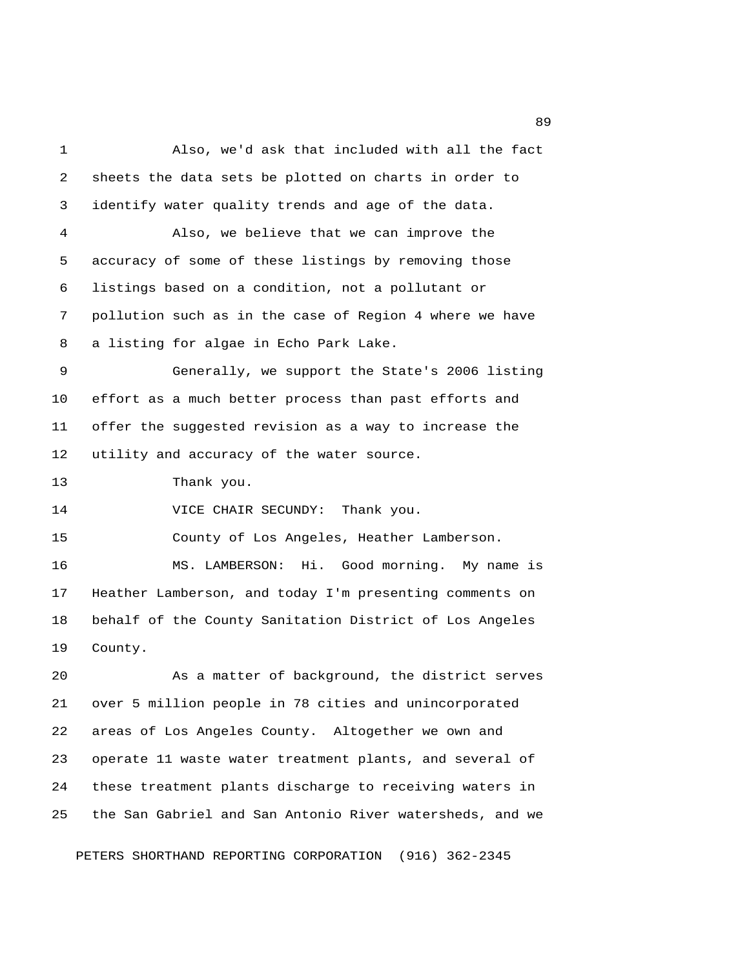1 Also, we'd ask that included with all the fact 2 sheets the data sets be plotted on charts in order to 3 identify water quality trends and age of the data. 4 Also, we believe that we can improve the 5 accuracy of some of these listings by removing those 6 listings based on a condition, not a pollutant or 7 pollution such as in the case of Region 4 where we have 8 a listing for algae in Echo Park Lake. 9 Generally, we support the State's 2006 listing 10 effort as a much better process than past efforts and 11 offer the suggested revision as a way to increase the 12 utility and accuracy of the water source. 13 Thank you. 14 VICE CHAIR SECUNDY: Thank you. 15 County of Los Angeles, Heather Lamberson. 16 MS. LAMBERSON: Hi. Good morning. My name is 17 Heather Lamberson, and today I'm presenting comments on 18 behalf of the County Sanitation District of Los Angeles 19 County. 20 As a matter of background, the district serves 21 over 5 million people in 78 cities and unincorporated 22 areas of Los Angeles County. Altogether we own and 23 operate 11 waste water treatment plants, and several of 24 these treatment plants discharge to receiving waters in 25 the San Gabriel and San Antonio River watersheds, and we

PETERS SHORTHAND REPORTING CORPORATION (916) 362-2345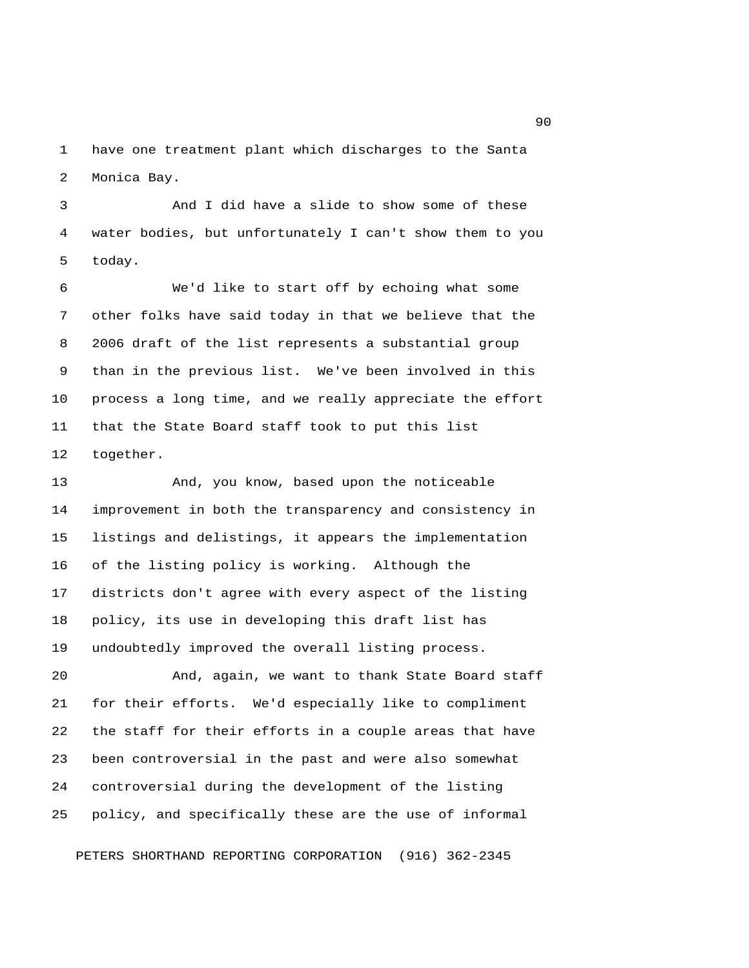1 have one treatment plant which discharges to the Santa 2 Monica Bay.

 3 And I did have a slide to show some of these 4 water bodies, but unfortunately I can't show them to you 5 today.

 6 We'd like to start off by echoing what some 7 other folks have said today in that we believe that the 8 2006 draft of the list represents a substantial group 9 than in the previous list. We've been involved in this 10 process a long time, and we really appreciate the effort 11 that the State Board staff took to put this list 12 together.

13 And, you know, based upon the noticeable 14 improvement in both the transparency and consistency in 15 listings and delistings, it appears the implementation 16 of the listing policy is working. Although the 17 districts don't agree with every aspect of the listing 18 policy, its use in developing this draft list has 19 undoubtedly improved the overall listing process.

20 And, again, we want to thank State Board staff 21 for their efforts. We'd especially like to compliment 22 the staff for their efforts in a couple areas that have 23 been controversial in the past and were also somewhat 24 controversial during the development of the listing 25 policy, and specifically these are the use of informal

PETERS SHORTHAND REPORTING CORPORATION (916) 362-2345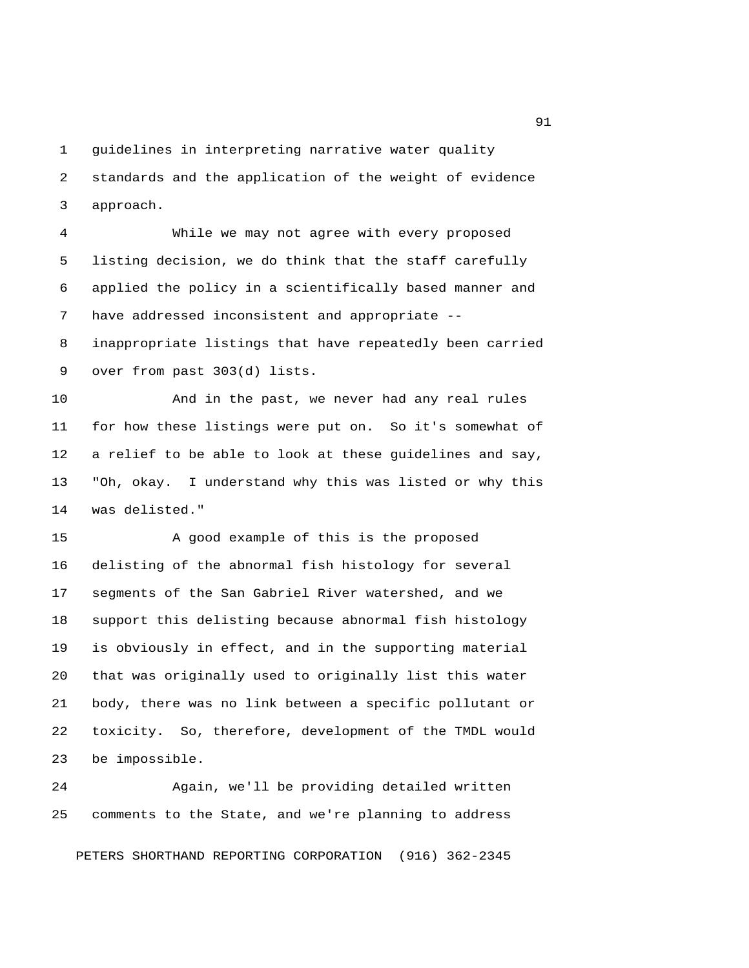1 guidelines in interpreting narrative water quality 2 standards and the application of the weight of evidence 3 approach.

 4 While we may not agree with every proposed 5 listing decision, we do think that the staff carefully 6 applied the policy in a scientifically based manner and 7 have addressed inconsistent and appropriate --

 8 inappropriate listings that have repeatedly been carried 9 over from past 303(d) lists.

10 And in the past, we never had any real rules 11 for how these listings were put on. So it's somewhat of 12 a relief to be able to look at these guidelines and say, 13 "Oh, okay. I understand why this was listed or why this 14 was delisted."

15 A good example of this is the proposed 16 delisting of the abnormal fish histology for several 17 segments of the San Gabriel River watershed, and we 18 support this delisting because abnormal fish histology 19 is obviously in effect, and in the supporting material 20 that was originally used to originally list this water 21 body, there was no link between a specific pollutant or 22 toxicity. So, therefore, development of the TMDL would 23 be impossible.

24 Again, we'll be providing detailed written 25 comments to the State, and we're planning to address

PETERS SHORTHAND REPORTING CORPORATION (916) 362-2345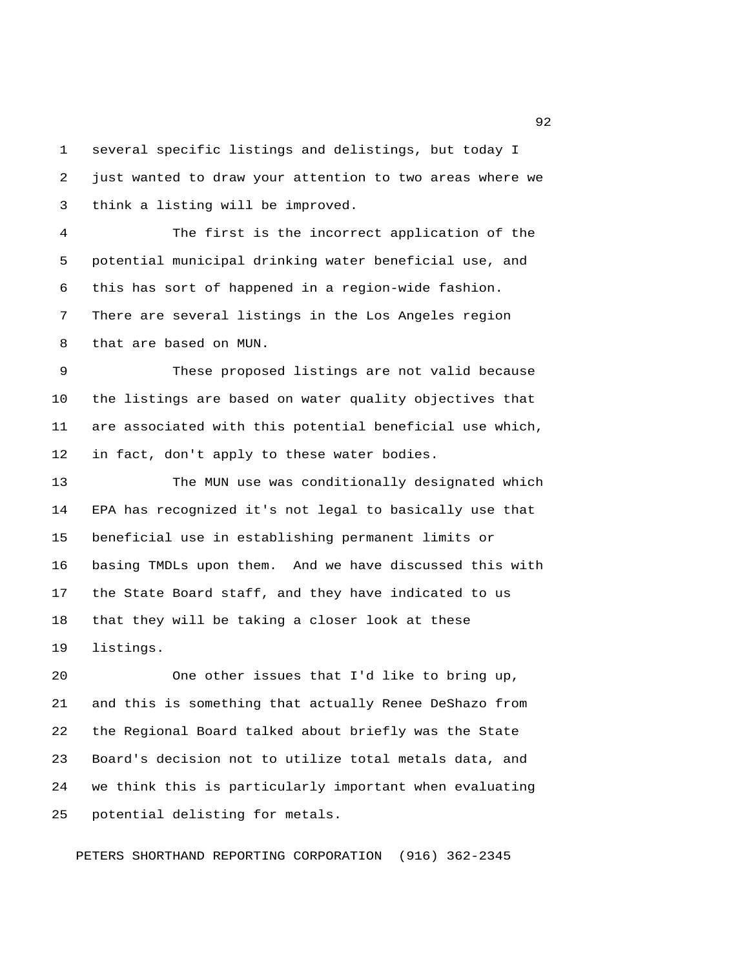1 several specific listings and delistings, but today I 2 just wanted to draw your attention to two areas where we 3 think a listing will be improved.

 4 The first is the incorrect application of the 5 potential municipal drinking water beneficial use, and 6 this has sort of happened in a region-wide fashion. 7 There are several listings in the Los Angeles region 8 that are based on MUN.

 9 These proposed listings are not valid because 10 the listings are based on water quality objectives that 11 are associated with this potential beneficial use which, 12 in fact, don't apply to these water bodies.

13 The MUN use was conditionally designated which 14 EPA has recognized it's not legal to basically use that 15 beneficial use in establishing permanent limits or 16 basing TMDLs upon them. And we have discussed this with 17 the State Board staff, and they have indicated to us 18 that they will be taking a closer look at these 19 listings.

20 One other issues that I'd like to bring up, 21 and this is something that actually Renee DeShazo from 22 the Regional Board talked about briefly was the State 23 Board's decision not to utilize total metals data, and 24 we think this is particularly important when evaluating 25 potential delisting for metals.

PETERS SHORTHAND REPORTING CORPORATION (916) 362-2345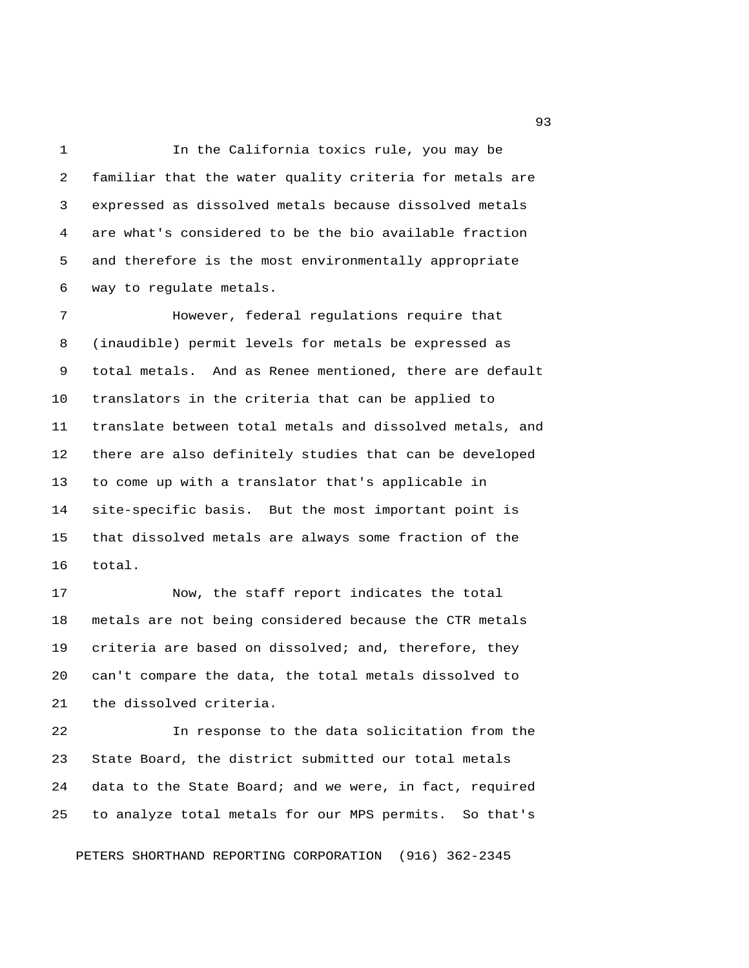1 In the California toxics rule, you may be 2 familiar that the water quality criteria for metals are 3 expressed as dissolved metals because dissolved metals 4 are what's considered to be the bio available fraction 5 and therefore is the most environmentally appropriate 6 way to regulate metals.

 7 However, federal regulations require that 8 (inaudible) permit levels for metals be expressed as 9 total metals. And as Renee mentioned, there are default 10 translators in the criteria that can be applied to 11 translate between total metals and dissolved metals, and 12 there are also definitely studies that can be developed 13 to come up with a translator that's applicable in 14 site-specific basis. But the most important point is 15 that dissolved metals are always some fraction of the 16 total.

17 Now, the staff report indicates the total 18 metals are not being considered because the CTR metals 19 criteria are based on dissolved; and, therefore, they 20 can't compare the data, the total metals dissolved to 21 the dissolved criteria.

22 In response to the data solicitation from the 23 State Board, the district submitted our total metals 24 data to the State Board; and we were, in fact, required 25 to analyze total metals for our MPS permits. So that's

PETERS SHORTHAND REPORTING CORPORATION (916) 362-2345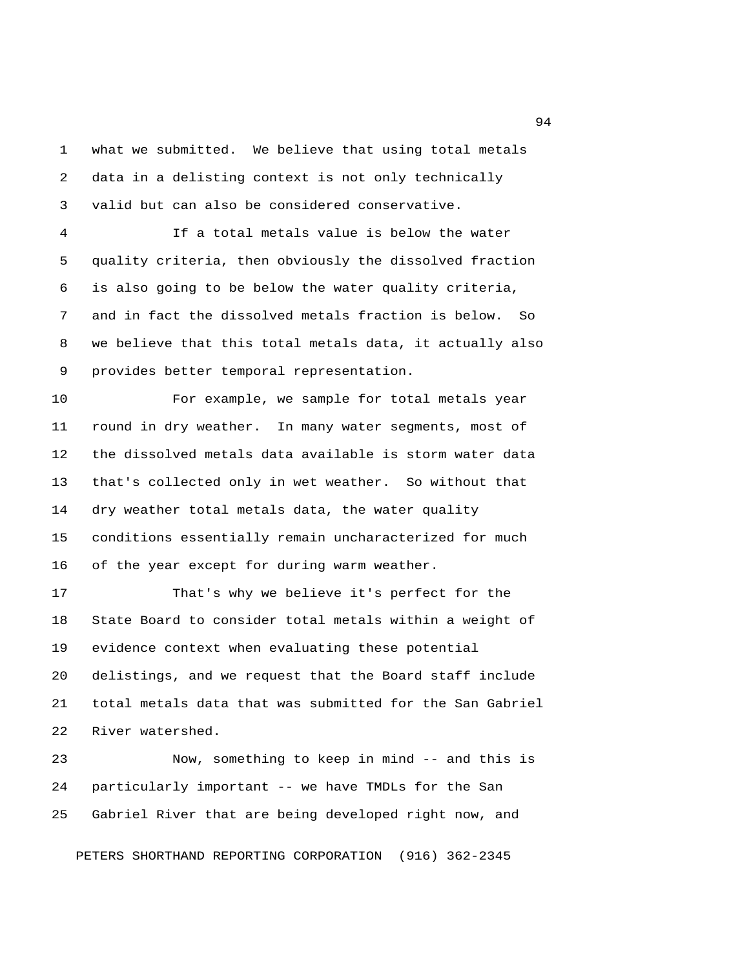1 what we submitted. We believe that using total metals 2 data in a delisting context is not only technically 3 valid but can also be considered conservative.

 4 If a total metals value is below the water 5 quality criteria, then obviously the dissolved fraction 6 is also going to be below the water quality criteria, 7 and in fact the dissolved metals fraction is below. So 8 we believe that this total metals data, it actually also 9 provides better temporal representation.

10 For example, we sample for total metals year 11 round in dry weather. In many water segments, most of 12 the dissolved metals data available is storm water data 13 that's collected only in wet weather. So without that 14 dry weather total metals data, the water quality 15 conditions essentially remain uncharacterized for much 16 of the year except for during warm weather.

17 That's why we believe it's perfect for the 18 State Board to consider total metals within a weight of 19 evidence context when evaluating these potential 20 delistings, and we request that the Board staff include 21 total metals data that was submitted for the San Gabriel 22 River watershed.

23 Now, something to keep in mind -- and this is 24 particularly important -- we have TMDLs for the San 25 Gabriel River that are being developed right now, and

PETERS SHORTHAND REPORTING CORPORATION (916) 362-2345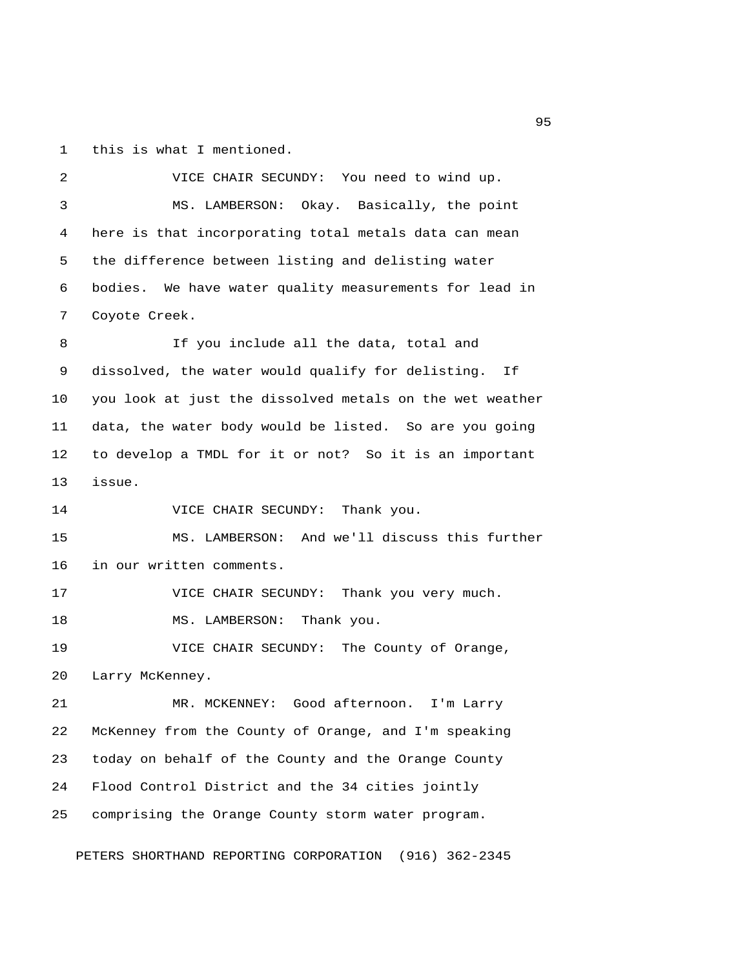1 this is what I mentioned.

 2 VICE CHAIR SECUNDY: You need to wind up. 3 MS. LAMBERSON: Okay. Basically, the point 4 here is that incorporating total metals data can mean 5 the difference between listing and delisting water 6 bodies. We have water quality measurements for lead in 7 Coyote Creek. 8 If you include all the data, total and 9 dissolved, the water would qualify for delisting. If 10 you look at just the dissolved metals on the wet weather 11 data, the water body would be listed. So are you going 12 to develop a TMDL for it or not? So it is an important 13 issue. 14 VICE CHAIR SECUNDY: Thank you. 15 MS. LAMBERSON: And we'll discuss this further 16 in our written comments. 17 VICE CHAIR SECUNDY: Thank you very much. 18 MS. LAMBERSON: Thank you. 19 VICE CHAIR SECUNDY: The County of Orange, 20 Larry McKenney. 21 MR. MCKENNEY: Good afternoon. I'm Larry 22 McKenney from the County of Orange, and I'm speaking 23 today on behalf of the County and the Orange County 24 Flood Control District and the 34 cities jointly 25 comprising the Orange County storm water program.

PETERS SHORTHAND REPORTING CORPORATION (916) 362-2345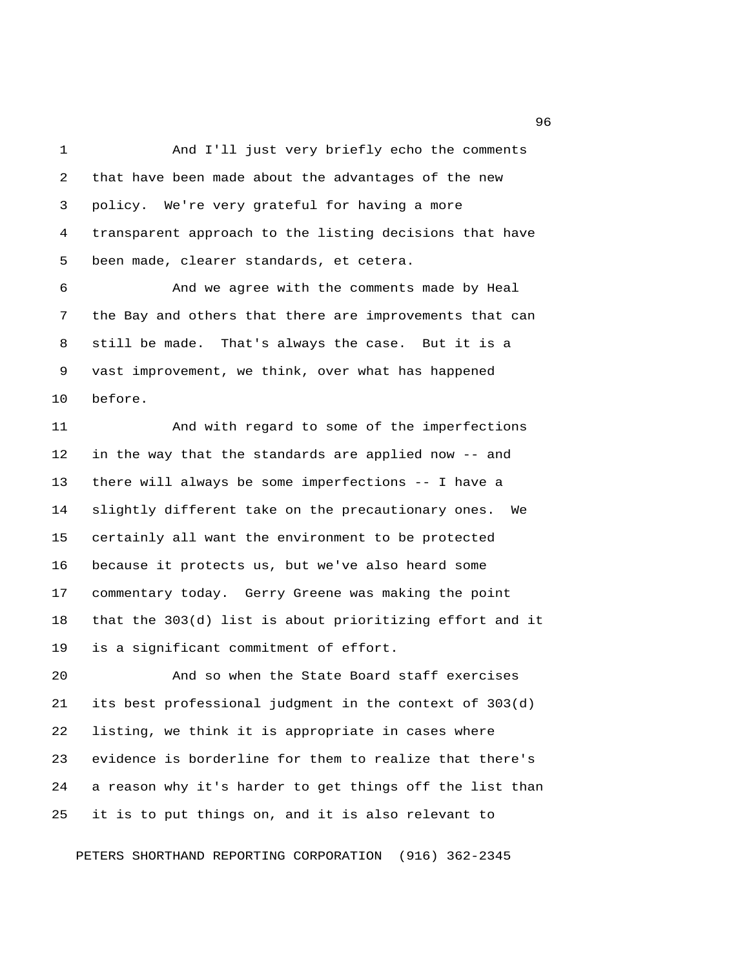1 And I'll just very briefly echo the comments 2 that have been made about the advantages of the new 3 policy. We're very grateful for having a more 4 transparent approach to the listing decisions that have 5 been made, clearer standards, et cetera.

 6 And we agree with the comments made by Heal 7 the Bay and others that there are improvements that can 8 still be made. That's always the case. But it is a 9 vast improvement, we think, over what has happened 10 before.

11 And with regard to some of the imperfections 12 in the way that the standards are applied now -- and 13 there will always be some imperfections -- I have a 14 slightly different take on the precautionary ones. We 15 certainly all want the environment to be protected 16 because it protects us, but we've also heard some 17 commentary today. Gerry Greene was making the point 18 that the 303(d) list is about prioritizing effort and it 19 is a significant commitment of effort.

20 And so when the State Board staff exercises 21 its best professional judgment in the context of 303(d) 22 listing, we think it is appropriate in cases where 23 evidence is borderline for them to realize that there's 24 a reason why it's harder to get things off the list than 25 it is to put things on, and it is also relevant to

PETERS SHORTHAND REPORTING CORPORATION (916) 362-2345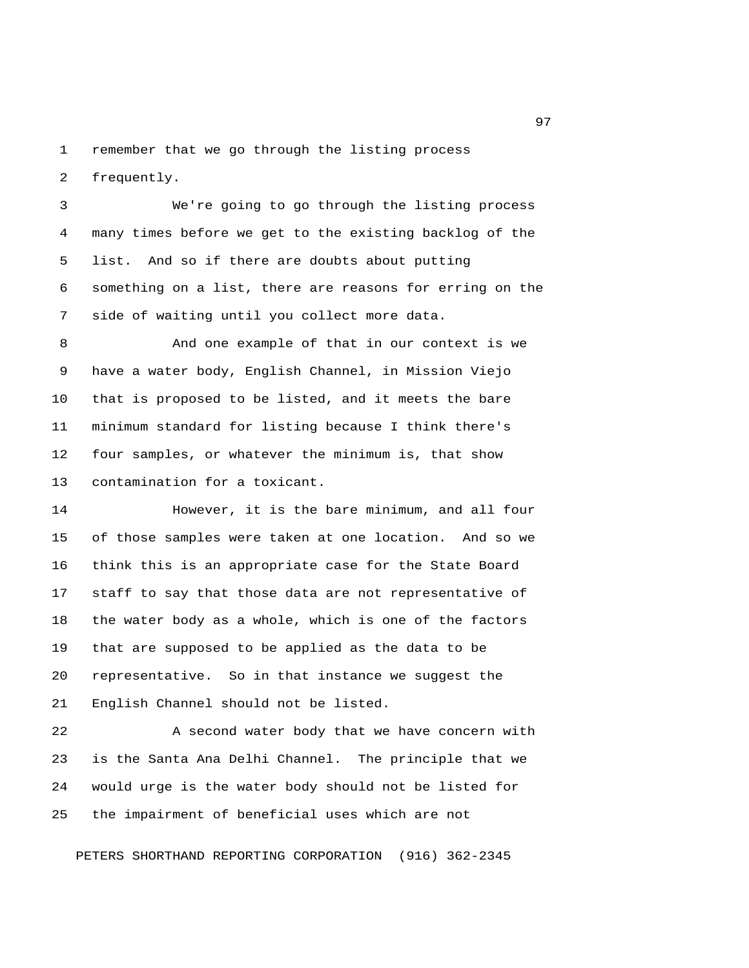1 remember that we go through the listing process 2 frequently.

 3 We're going to go through the listing process 4 many times before we get to the existing backlog of the 5 list. And so if there are doubts about putting 6 something on a list, there are reasons for erring on the 7 side of waiting until you collect more data.

 8 And one example of that in our context is we 9 have a water body, English Channel, in Mission Viejo 10 that is proposed to be listed, and it meets the bare 11 minimum standard for listing because I think there's 12 four samples, or whatever the minimum is, that show 13 contamination for a toxicant.

14 However, it is the bare minimum, and all four 15 of those samples were taken at one location. And so we 16 think this is an appropriate case for the State Board 17 staff to say that those data are not representative of 18 the water body as a whole, which is one of the factors 19 that are supposed to be applied as the data to be 20 representative. So in that instance we suggest the 21 English Channel should not be listed.

22 A second water body that we have concern with 23 is the Santa Ana Delhi Channel. The principle that we 24 would urge is the water body should not be listed for 25 the impairment of beneficial uses which are not

PETERS SHORTHAND REPORTING CORPORATION (916) 362-2345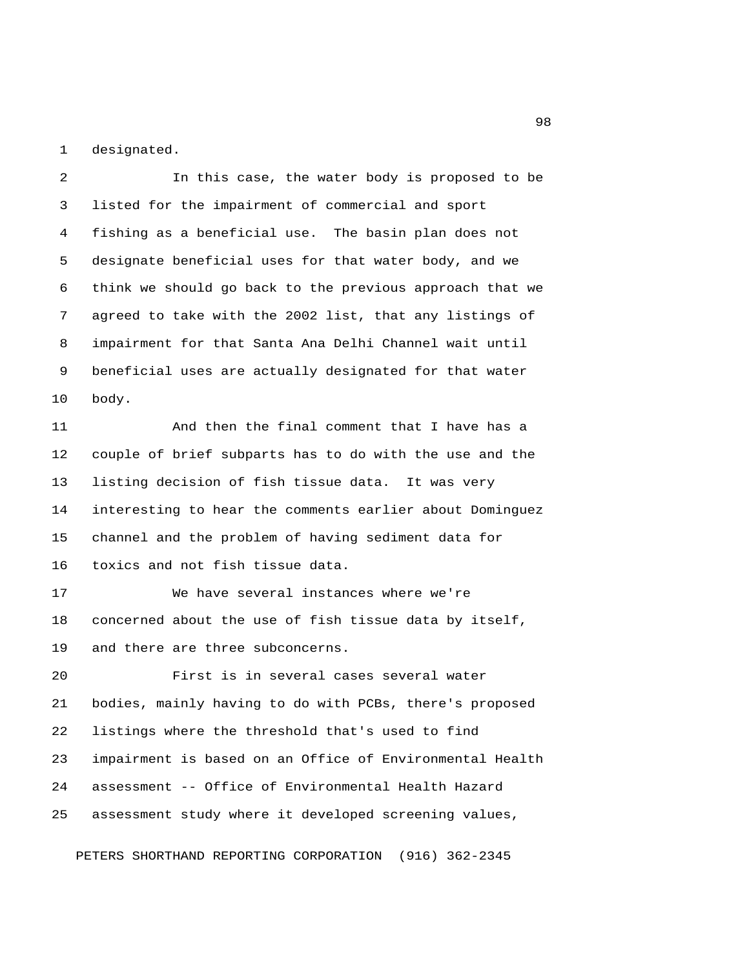1 designated.

 2 In this case, the water body is proposed to be 3 listed for the impairment of commercial and sport 4 fishing as a beneficial use. The basin plan does not 5 designate beneficial uses for that water body, and we 6 think we should go back to the previous approach that we 7 agreed to take with the 2002 list, that any listings of 8 impairment for that Santa Ana Delhi Channel wait until 9 beneficial uses are actually designated for that water 10 body.

11 And then the final comment that I have has a 12 couple of brief subparts has to do with the use and the 13 listing decision of fish tissue data. It was very 14 interesting to hear the comments earlier about Dominguez 15 channel and the problem of having sediment data for 16 toxics and not fish tissue data.

17 We have several instances where we're 18 concerned about the use of fish tissue data by itself, 19 and there are three subconcerns.

20 First is in several cases several water 21 bodies, mainly having to do with PCBs, there's proposed 22 listings where the threshold that's used to find 23 impairment is based on an Office of Environmental Health 24 assessment -- Office of Environmental Health Hazard 25 assessment study where it developed screening values,

PETERS SHORTHAND REPORTING CORPORATION (916) 362-2345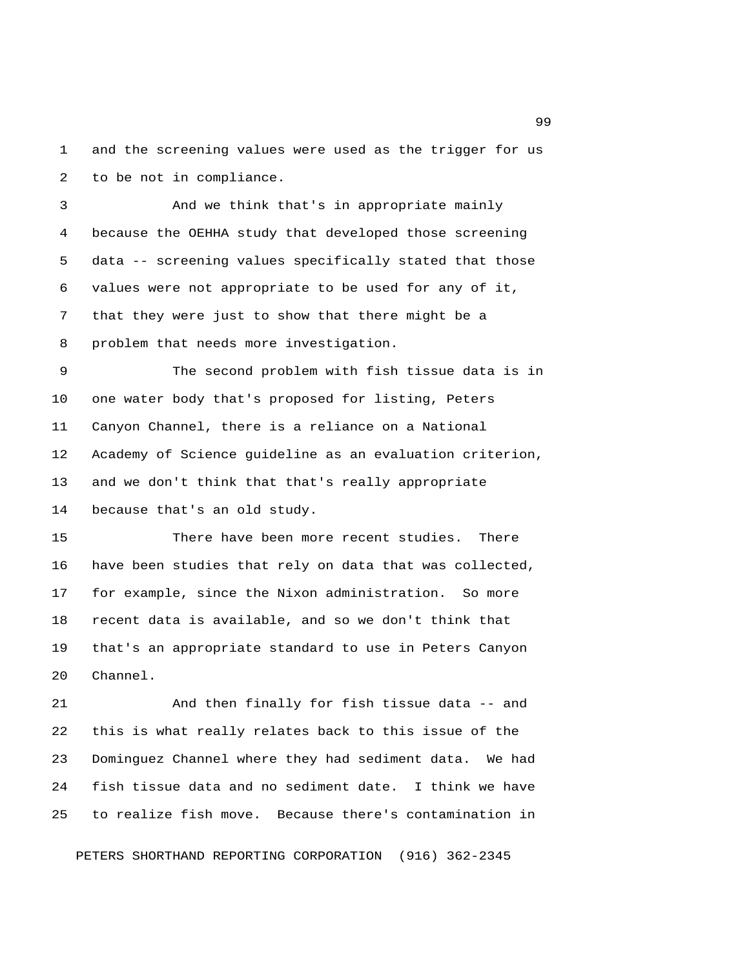1 and the screening values were used as the trigger for us 2 to be not in compliance.

 3 And we think that's in appropriate mainly 4 because the OEHHA study that developed those screening 5 data -- screening values specifically stated that those 6 values were not appropriate to be used for any of it, 7 that they were just to show that there might be a 8 problem that needs more investigation.

 9 The second problem with fish tissue data is in 10 one water body that's proposed for listing, Peters 11 Canyon Channel, there is a reliance on a National 12 Academy of Science guideline as an evaluation criterion, 13 and we don't think that that's really appropriate 14 because that's an old study.

15 There have been more recent studies. There 16 have been studies that rely on data that was collected, 17 for example, since the Nixon administration. So more 18 recent data is available, and so we don't think that 19 that's an appropriate standard to use in Peters Canyon 20 Channel.

21 And then finally for fish tissue data -- and 22 this is what really relates back to this issue of the 23 Dominguez Channel where they had sediment data. We had 24 fish tissue data and no sediment date. I think we have 25 to realize fish move. Because there's contamination in

PETERS SHORTHAND REPORTING CORPORATION (916) 362-2345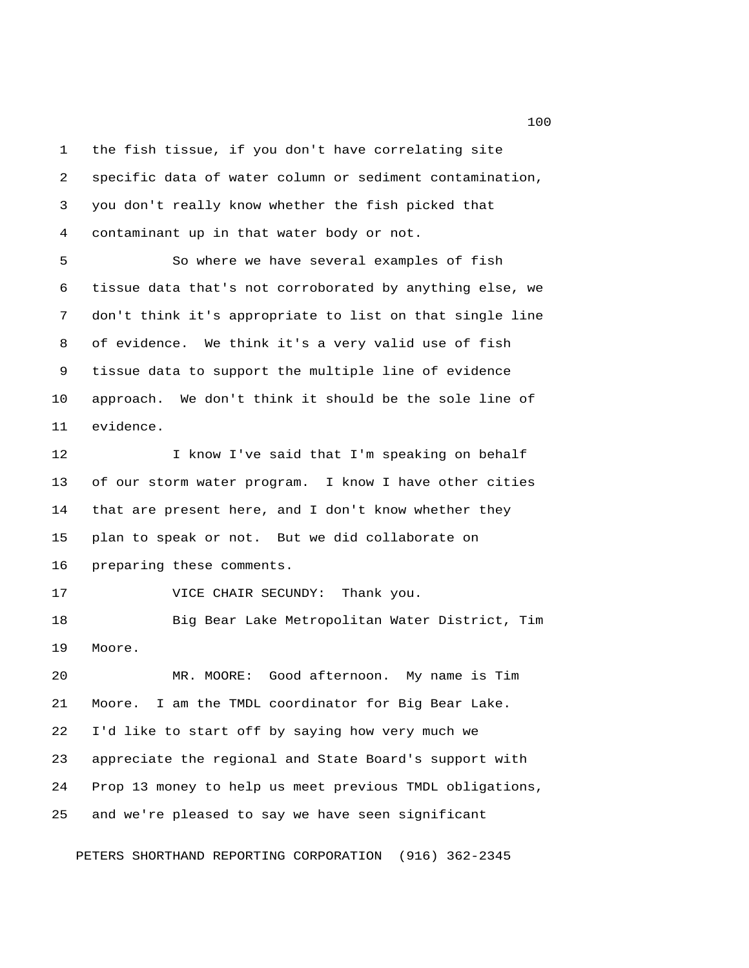1 the fish tissue, if you don't have correlating site 2 specific data of water column or sediment contamination, 3 you don't really know whether the fish picked that 4 contaminant up in that water body or not.

 5 So where we have several examples of fish 6 tissue data that's not corroborated by anything else, we 7 don't think it's appropriate to list on that single line 8 of evidence. We think it's a very valid use of fish 9 tissue data to support the multiple line of evidence 10 approach. We don't think it should be the sole line of 11 evidence.

12 I know I've said that I'm speaking on behalf 13 of our storm water program. I know I have other cities 14 that are present here, and I don't know whether they 15 plan to speak or not. But we did collaborate on 16 preparing these comments.

17 VICE CHAIR SECUNDY: Thank you.

18 Big Bear Lake Metropolitan Water District, Tim 19 Moore.

20 MR. MOORE: Good afternoon. My name is Tim 21 Moore. I am the TMDL coordinator for Big Bear Lake. 22 I'd like to start off by saying how very much we 23 appreciate the regional and State Board's support with 24 Prop 13 money to help us meet previous TMDL obligations, 25 and we're pleased to say we have seen significant

PETERS SHORTHAND REPORTING CORPORATION (916) 362-2345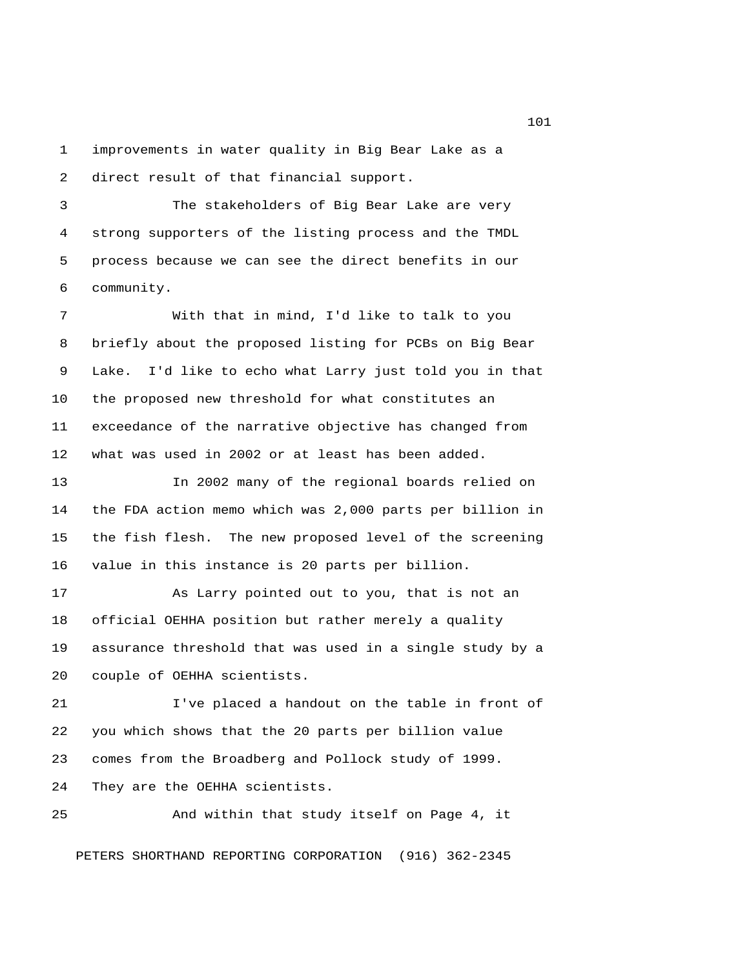1 improvements in water quality in Big Bear Lake as a 2 direct result of that financial support.

 3 The stakeholders of Big Bear Lake are very 4 strong supporters of the listing process and the TMDL 5 process because we can see the direct benefits in our 6 community.

 7 With that in mind, I'd like to talk to you 8 briefly about the proposed listing for PCBs on Big Bear 9 Lake. I'd like to echo what Larry just told you in that 10 the proposed new threshold for what constitutes an 11 exceedance of the narrative objective has changed from 12 what was used in 2002 or at least has been added.

13 In 2002 many of the regional boards relied on 14 the FDA action memo which was 2,000 parts per billion in 15 the fish flesh. The new proposed level of the screening 16 value in this instance is 20 parts per billion.

17 As Larry pointed out to you, that is not an 18 official OEHHA position but rather merely a quality 19 assurance threshold that was used in a single study by a 20 couple of OEHHA scientists.

21 I've placed a handout on the table in front of 22 you which shows that the 20 parts per billion value 23 comes from the Broadberg and Pollock study of 1999. 24 They are the OEHHA scientists.

25 And within that study itself on Page 4, it PETERS SHORTHAND REPORTING CORPORATION (916) 362-2345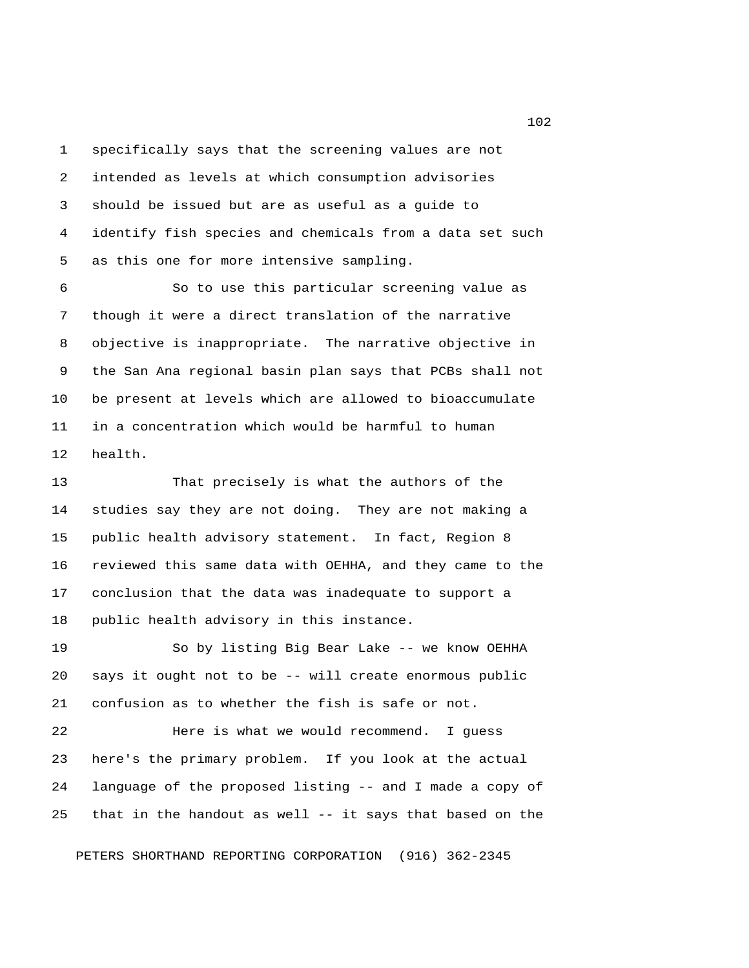1 specifically says that the screening values are not 2 intended as levels at which consumption advisories 3 should be issued but are as useful as a guide to 4 identify fish species and chemicals from a data set such 5 as this one for more intensive sampling.

 6 So to use this particular screening value as 7 though it were a direct translation of the narrative 8 objective is inappropriate. The narrative objective in 9 the San Ana regional basin plan says that PCBs shall not 10 be present at levels which are allowed to bioaccumulate 11 in a concentration which would be harmful to human 12 health.

13 That precisely is what the authors of the 14 studies say they are not doing. They are not making a 15 public health advisory statement. In fact, Region 8 16 reviewed this same data with OEHHA, and they came to the 17 conclusion that the data was inadequate to support a 18 public health advisory in this instance.

19 So by listing Big Bear Lake -- we know OEHHA 20 says it ought not to be -- will create enormous public 21 confusion as to whether the fish is safe or not.

22 Here is what we would recommend. I guess 23 here's the primary problem. If you look at the actual 24 language of the proposed listing -- and I made a copy of 25 that in the handout as well -- it says that based on the

PETERS SHORTHAND REPORTING CORPORATION (916) 362-2345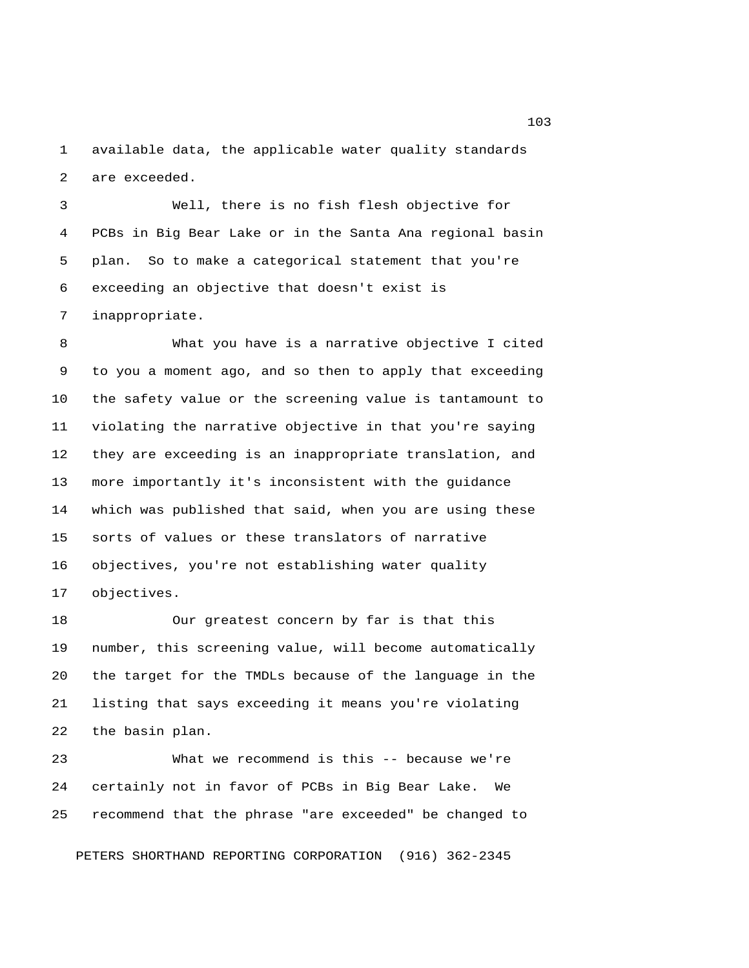1 available data, the applicable water quality standards 2 are exceeded.

 3 Well, there is no fish flesh objective for 4 PCBs in Big Bear Lake or in the Santa Ana regional basin 5 plan. So to make a categorical statement that you're 6 exceeding an objective that doesn't exist is 7 inappropriate.

 8 What you have is a narrative objective I cited 9 to you a moment ago, and so then to apply that exceeding 10 the safety value or the screening value is tantamount to 11 violating the narrative objective in that you're saying 12 they are exceeding is an inappropriate translation, and 13 more importantly it's inconsistent with the guidance 14 which was published that said, when you are using these 15 sorts of values or these translators of narrative 16 objectives, you're not establishing water quality 17 objectives.

18 Our greatest concern by far is that this 19 number, this screening value, will become automatically 20 the target for the TMDLs because of the language in the 21 listing that says exceeding it means you're violating 22 the basin plan.

23 What we recommend is this -- because we're 24 certainly not in favor of PCBs in Big Bear Lake. We 25 recommend that the phrase "are exceeded" be changed to

PETERS SHORTHAND REPORTING CORPORATION (916) 362-2345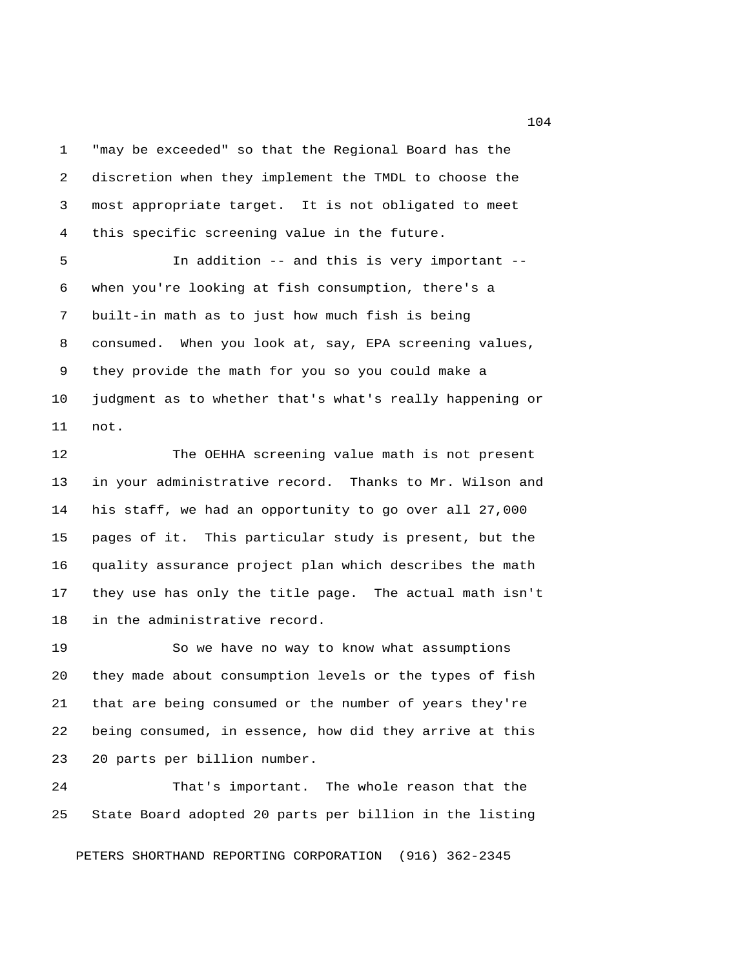1 "may be exceeded" so that the Regional Board has the 2 discretion when they implement the TMDL to choose the 3 most appropriate target. It is not obligated to meet 4 this specific screening value in the future.

 5 In addition -- and this is very important -- 6 when you're looking at fish consumption, there's a 7 built-in math as to just how much fish is being 8 consumed. When you look at, say, EPA screening values, 9 they provide the math for you so you could make a 10 judgment as to whether that's what's really happening or 11 not.

12 The OEHHA screening value math is not present 13 in your administrative record. Thanks to Mr. Wilson and 14 his staff, we had an opportunity to go over all 27,000 15 pages of it. This particular study is present, but the 16 quality assurance project plan which describes the math 17 they use has only the title page. The actual math isn't 18 in the administrative record.

19 So we have no way to know what assumptions 20 they made about consumption levels or the types of fish 21 that are being consumed or the number of years they're 22 being consumed, in essence, how did they arrive at this 23 20 parts per billion number.

24 That's important. The whole reason that the 25 State Board adopted 20 parts per billion in the listing

PETERS SHORTHAND REPORTING CORPORATION (916) 362-2345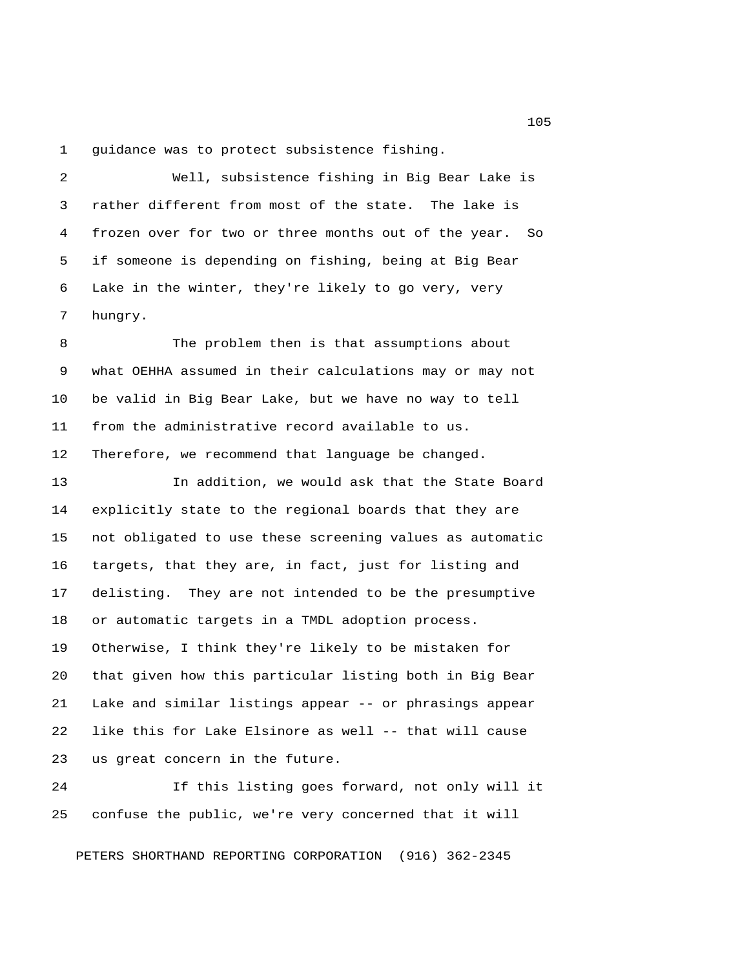1 guidance was to protect subsistence fishing.

 2 Well, subsistence fishing in Big Bear Lake is 3 rather different from most of the state. The lake is 4 frozen over for two or three months out of the year. So 5 if someone is depending on fishing, being at Big Bear 6 Lake in the winter, they're likely to go very, very 7 hungry.

 8 The problem then is that assumptions about 9 what OEHHA assumed in their calculations may or may not 10 be valid in Big Bear Lake, but we have no way to tell 11 from the administrative record available to us. 12 Therefore, we recommend that language be changed.

13 In addition, we would ask that the State Board 14 explicitly state to the regional boards that they are 15 not obligated to use these screening values as automatic 16 targets, that they are, in fact, just for listing and 17 delisting. They are not intended to be the presumptive 18 or automatic targets in a TMDL adoption process. 19 Otherwise, I think they're likely to be mistaken for 20 that given how this particular listing both in Big Bear 21 Lake and similar listings appear -- or phrasings appear 22 like this for Lake Elsinore as well -- that will cause 23 us great concern in the future.

24 If this listing goes forward, not only will it 25 confuse the public, we're very concerned that it will

PETERS SHORTHAND REPORTING CORPORATION (916) 362-2345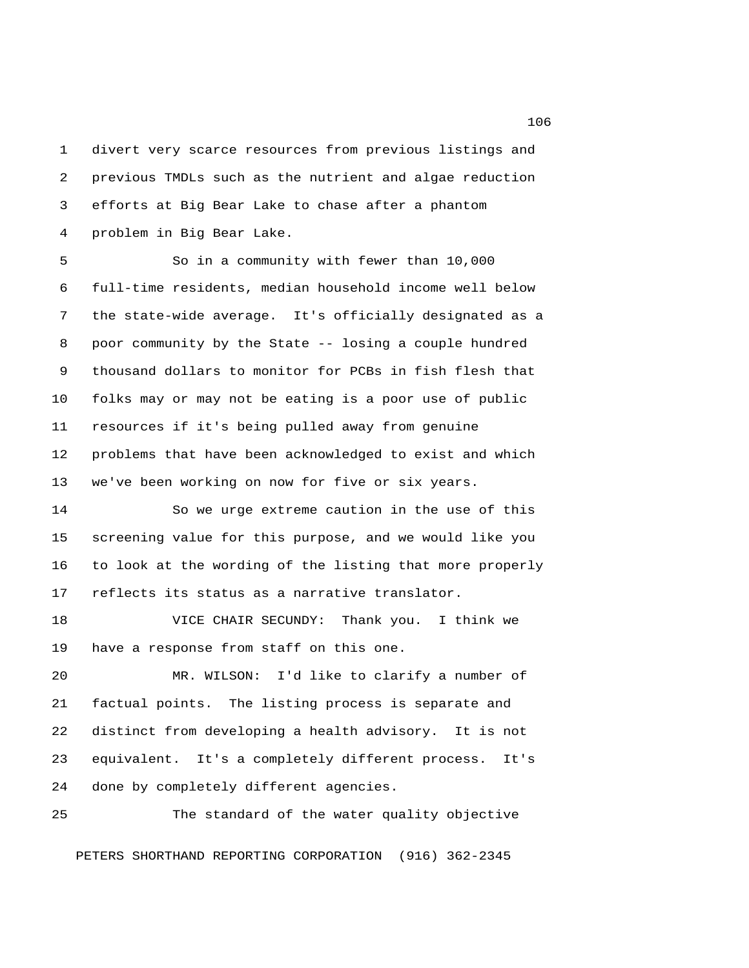1 divert very scarce resources from previous listings and 2 previous TMDLs such as the nutrient and algae reduction 3 efforts at Big Bear Lake to chase after a phantom 4 problem in Big Bear Lake.

 5 So in a community with fewer than 10,000 6 full-time residents, median household income well below 7 the state-wide average. It's officially designated as a 8 poor community by the State -- losing a couple hundred 9 thousand dollars to monitor for PCBs in fish flesh that 10 folks may or may not be eating is a poor use of public 11 resources if it's being pulled away from genuine 12 problems that have been acknowledged to exist and which 13 we've been working on now for five or six years.

14 So we urge extreme caution in the use of this 15 screening value for this purpose, and we would like you 16 to look at the wording of the listing that more properly 17 reflects its status as a narrative translator.

18 VICE CHAIR SECUNDY: Thank you. I think we 19 have a response from staff on this one.

20 MR. WILSON: I'd like to clarify a number of 21 factual points. The listing process is separate and 22 distinct from developing a health advisory. It is not 23 equivalent. It's a completely different process. It's 24 done by completely different agencies.

25 The standard of the water quality objective PETERS SHORTHAND REPORTING CORPORATION (916) 362-2345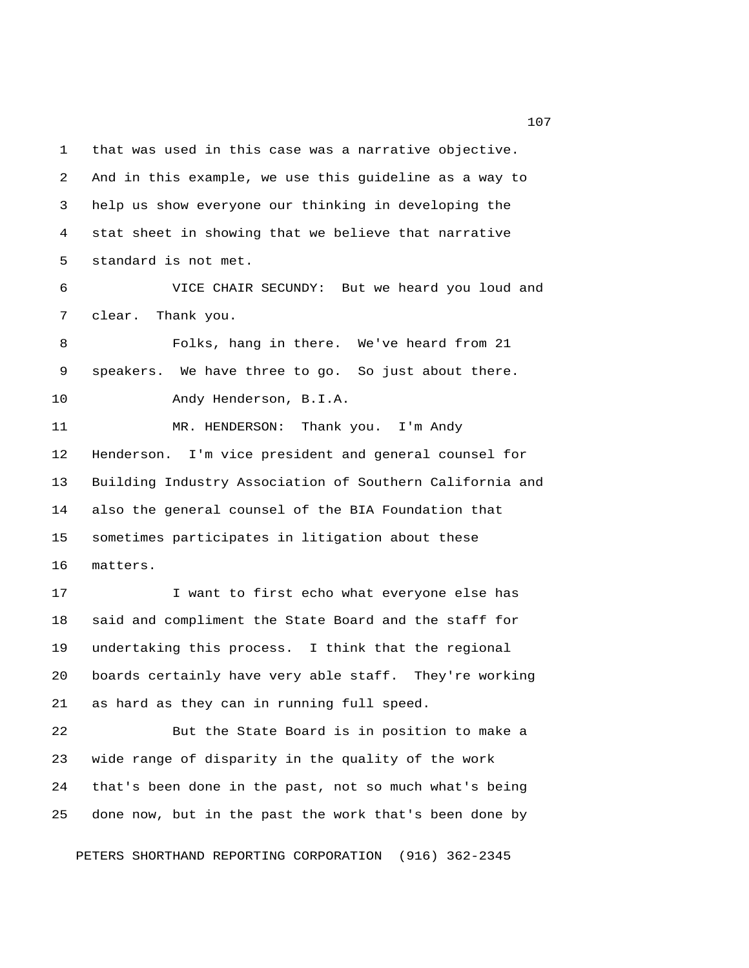1 that was used in this case was a narrative objective. 2 And in this example, we use this guideline as a way to 3 help us show everyone our thinking in developing the 4 stat sheet in showing that we believe that narrative 5 standard is not met. 6 VICE CHAIR SECUNDY: But we heard you loud and 7 clear. Thank you. 8 Folks, hang in there. We've heard from 21 9 speakers. We have three to go. So just about there. 10 Andy Henderson, B.I.A. 11 MR. HENDERSON: Thank you. I'm Andy 12 Henderson. I'm vice president and general counsel for 13 Building Industry Association of Southern California and 14 also the general counsel of the BIA Foundation that 15 sometimes participates in litigation about these 16 matters. 17 I want to first echo what everyone else has 18 said and compliment the State Board and the staff for 19 undertaking this process. I think that the regional 20 boards certainly have very able staff. They're working 21 as hard as they can in running full speed. 22 But the State Board is in position to make a 23 wide range of disparity in the quality of the work 24 that's been done in the past, not so much what's being 25 done now, but in the past the work that's been done by

PETERS SHORTHAND REPORTING CORPORATION (916) 362-2345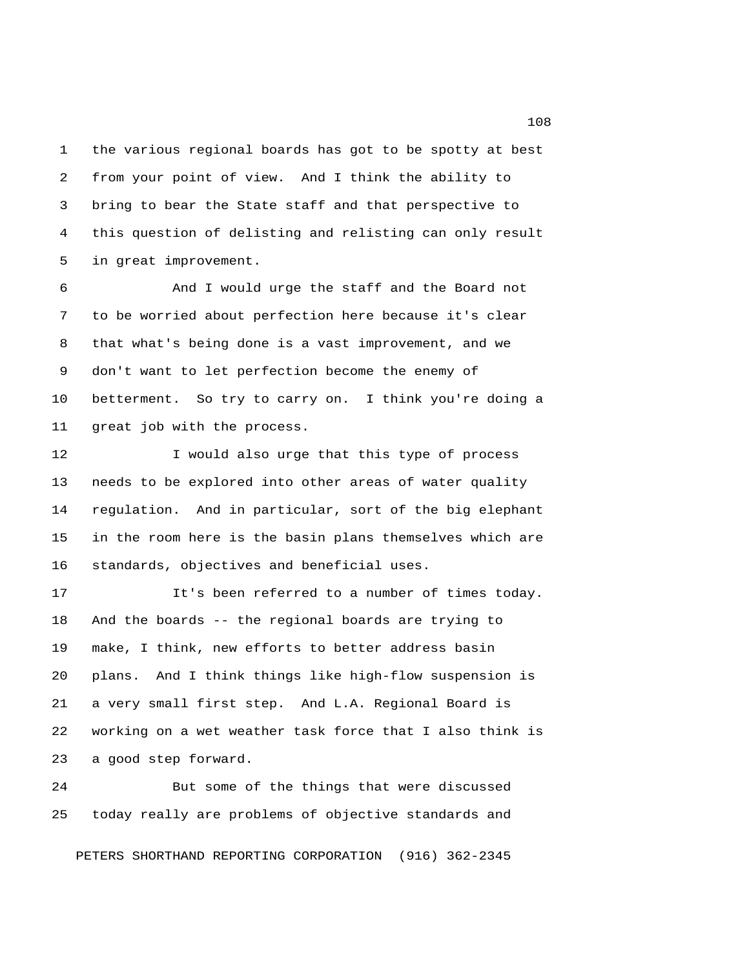1 the various regional boards has got to be spotty at best 2 from your point of view. And I think the ability to 3 bring to bear the State staff and that perspective to 4 this question of delisting and relisting can only result 5 in great improvement.

 6 And I would urge the staff and the Board not 7 to be worried about perfection here because it's clear 8 that what's being done is a vast improvement, and we 9 don't want to let perfection become the enemy of 10 betterment. So try to carry on. I think you're doing a 11 great job with the process.

12 I would also urge that this type of process 13 needs to be explored into other areas of water quality 14 regulation. And in particular, sort of the big elephant 15 in the room here is the basin plans themselves which are 16 standards, objectives and beneficial uses.

17 It's been referred to a number of times today. 18 And the boards -- the regional boards are trying to 19 make, I think, new efforts to better address basin 20 plans. And I think things like high-flow suspension is 21 a very small first step. And L.A. Regional Board is 22 working on a wet weather task force that I also think is 23 a good step forward.

24 But some of the things that were discussed 25 today really are problems of objective standards and

PETERS SHORTHAND REPORTING CORPORATION (916) 362-2345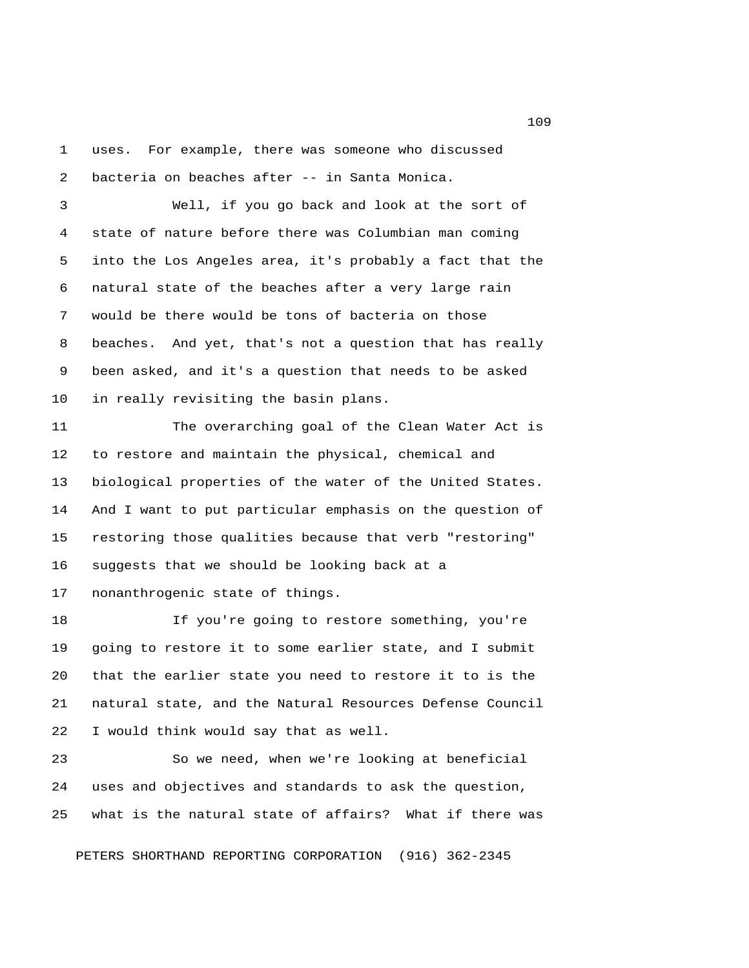1 uses. For example, there was someone who discussed 2 bacteria on beaches after -- in Santa Monica.

 3 Well, if you go back and look at the sort of 4 state of nature before there was Columbian man coming 5 into the Los Angeles area, it's probably a fact that the 6 natural state of the beaches after a very large rain 7 would be there would be tons of bacteria on those 8 beaches. And yet, that's not a question that has really 9 been asked, and it's a question that needs to be asked 10 in really revisiting the basin plans.

11 The overarching goal of the Clean Water Act is 12 to restore and maintain the physical, chemical and 13 biological properties of the water of the United States. 14 And I want to put particular emphasis on the question of 15 restoring those qualities because that verb "restoring" 16 suggests that we should be looking back at a 17 nonanthrogenic state of things.

18 If you're going to restore something, you're 19 going to restore it to some earlier state, and I submit 20 that the earlier state you need to restore it to is the 21 natural state, and the Natural Resources Defense Council 22 I would think would say that as well.

23 So we need, when we're looking at beneficial 24 uses and objectives and standards to ask the question, 25 what is the natural state of affairs? What if there was

PETERS SHORTHAND REPORTING CORPORATION (916) 362-2345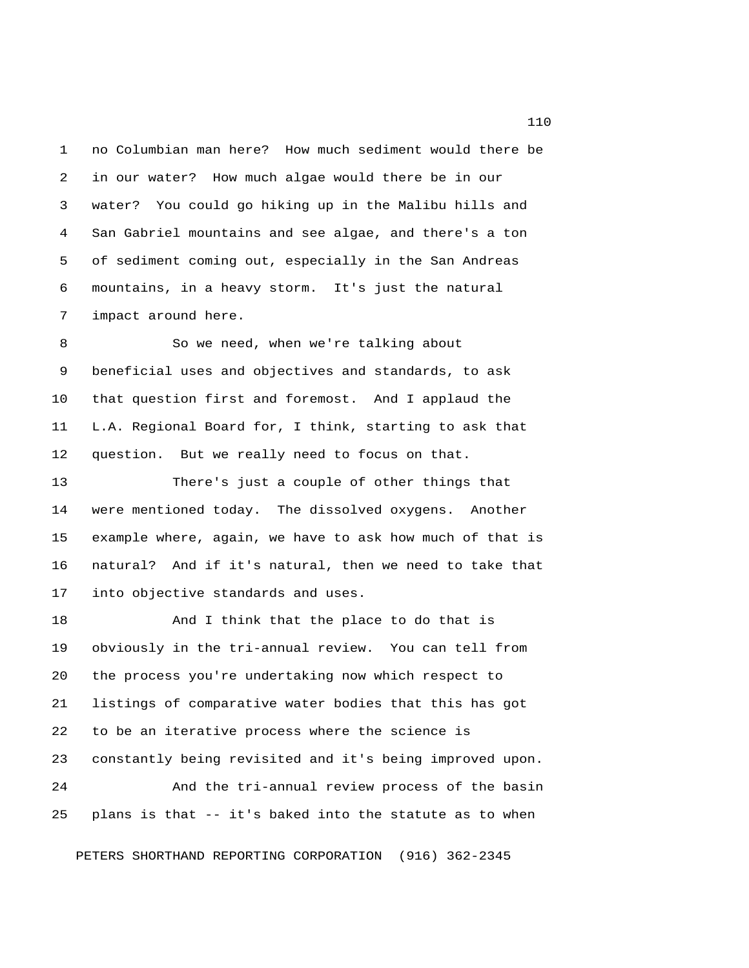1 no Columbian man here? How much sediment would there be 2 in our water? How much algae would there be in our 3 water? You could go hiking up in the Malibu hills and 4 San Gabriel mountains and see algae, and there's a ton 5 of sediment coming out, especially in the San Andreas 6 mountains, in a heavy storm. It's just the natural 7 impact around here.

 8 So we need, when we're talking about 9 beneficial uses and objectives and standards, to ask 10 that question first and foremost. And I applaud the 11 L.A. Regional Board for, I think, starting to ask that 12 question. But we really need to focus on that.

13 There's just a couple of other things that 14 were mentioned today. The dissolved oxygens. Another 15 example where, again, we have to ask how much of that is 16 natural? And if it's natural, then we need to take that 17 into objective standards and uses.

18 And I think that the place to do that is 19 obviously in the tri-annual review. You can tell from 20 the process you're undertaking now which respect to 21 listings of comparative water bodies that this has got 22 to be an iterative process where the science is 23 constantly being revisited and it's being improved upon. 24 And the tri-annual review process of the basin 25 plans is that -- it's baked into the statute as to when

PETERS SHORTHAND REPORTING CORPORATION (916) 362-2345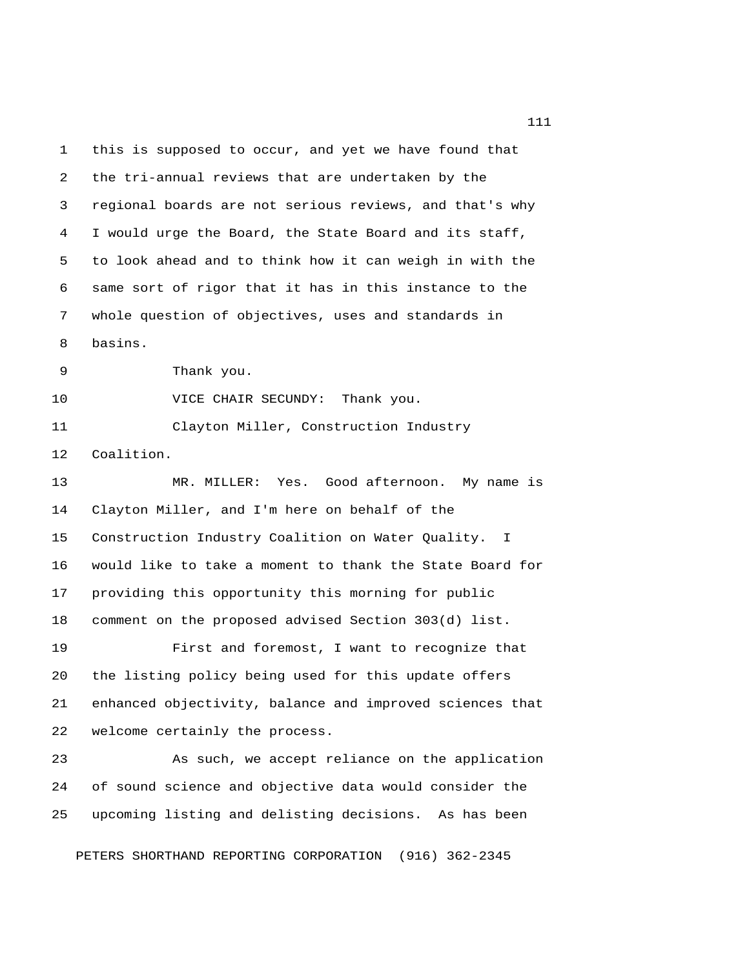1 this is supposed to occur, and yet we have found that 2 the tri-annual reviews that are undertaken by the 3 regional boards are not serious reviews, and that's why 4 I would urge the Board, the State Board and its staff, 5 to look ahead and to think how it can weigh in with the 6 same sort of rigor that it has in this instance to the 7 whole question of objectives, uses and standards in 8 basins. 9 Thank you. 10 VICE CHAIR SECUNDY: Thank you. 11 Clayton Miller, Construction Industry 12 Coalition. 13 MR. MILLER: Yes. Good afternoon. My name is 14 Clayton Miller, and I'm here on behalf of the 15 Construction Industry Coalition on Water Quality. I 16 would like to take a moment to thank the State Board for 17 providing this opportunity this morning for public 18 comment on the proposed advised Section 303(d) list. 19 First and foremost, I want to recognize that 20 the listing policy being used for this update offers 21 enhanced objectivity, balance and improved sciences that 22 welcome certainly the process. 23 As such, we accept reliance on the application 24 of sound science and objective data would consider the 25 upcoming listing and delisting decisions. As has been

PETERS SHORTHAND REPORTING CORPORATION (916) 362-2345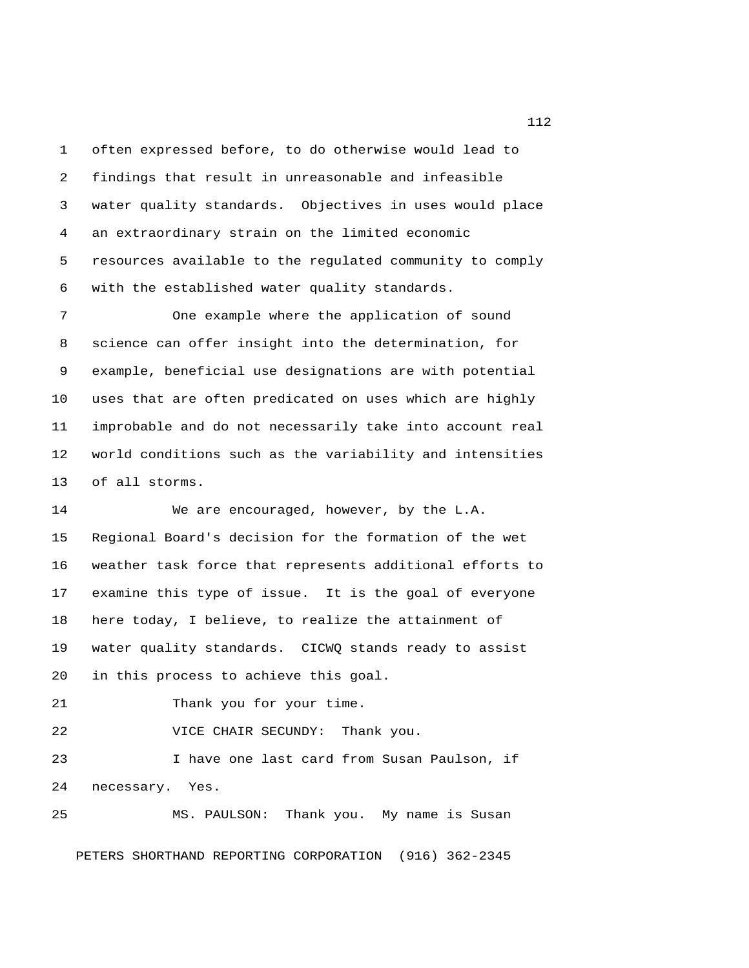1 often expressed before, to do otherwise would lead to 2 findings that result in unreasonable and infeasible 3 water quality standards. Objectives in uses would place 4 an extraordinary strain on the limited economic 5 resources available to the regulated community to comply 6 with the established water quality standards.

 7 One example where the application of sound 8 science can offer insight into the determination, for 9 example, beneficial use designations are with potential 10 uses that are often predicated on uses which are highly 11 improbable and do not necessarily take into account real 12 world conditions such as the variability and intensities 13 of all storms.

14 We are encouraged, however, by the L.A. 15 Regional Board's decision for the formation of the wet 16 weather task force that represents additional efforts to 17 examine this type of issue. It is the goal of everyone 18 here today, I believe, to realize the attainment of 19 water quality standards. CICWQ stands ready to assist 20 in this process to achieve this goal.

21 Thank you for your time.

22 VICE CHAIR SECUNDY: Thank you.

23 I have one last card from Susan Paulson, if 24 necessary. Yes.

25 MS. PAULSON: Thank you. My name is Susan

PETERS SHORTHAND REPORTING CORPORATION (916) 362-2345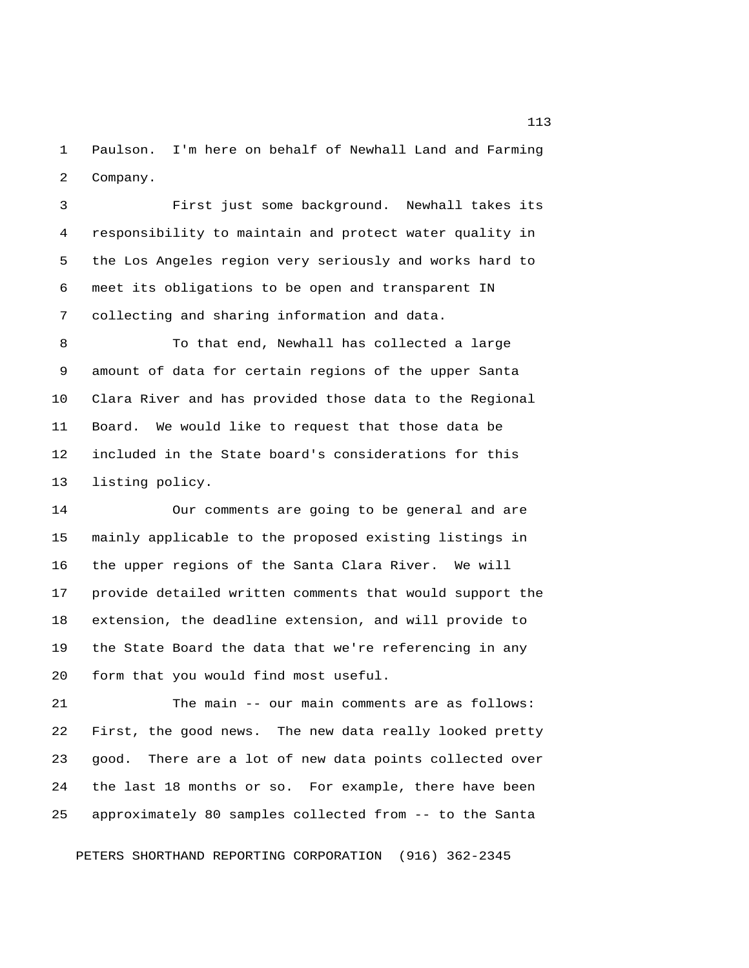1 Paulson. I'm here on behalf of Newhall Land and Farming 2 Company.

 3 First just some background. Newhall takes its 4 responsibility to maintain and protect water quality in 5 the Los Angeles region very seriously and works hard to 6 meet its obligations to be open and transparent IN 7 collecting and sharing information and data.

 8 To that end, Newhall has collected a large 9 amount of data for certain regions of the upper Santa 10 Clara River and has provided those data to the Regional 11 Board. We would like to request that those data be 12 included in the State board's considerations for this 13 listing policy.

14 Our comments are going to be general and are 15 mainly applicable to the proposed existing listings in 16 the upper regions of the Santa Clara River. We will 17 provide detailed written comments that would support the 18 extension, the deadline extension, and will provide to 19 the State Board the data that we're referencing in any 20 form that you would find most useful.

21 The main -- our main comments are as follows: 22 First, the good news. The new data really looked pretty 23 good. There are a lot of new data points collected over 24 the last 18 months or so. For example, there have been 25 approximately 80 samples collected from -- to the Santa

PETERS SHORTHAND REPORTING CORPORATION (916) 362-2345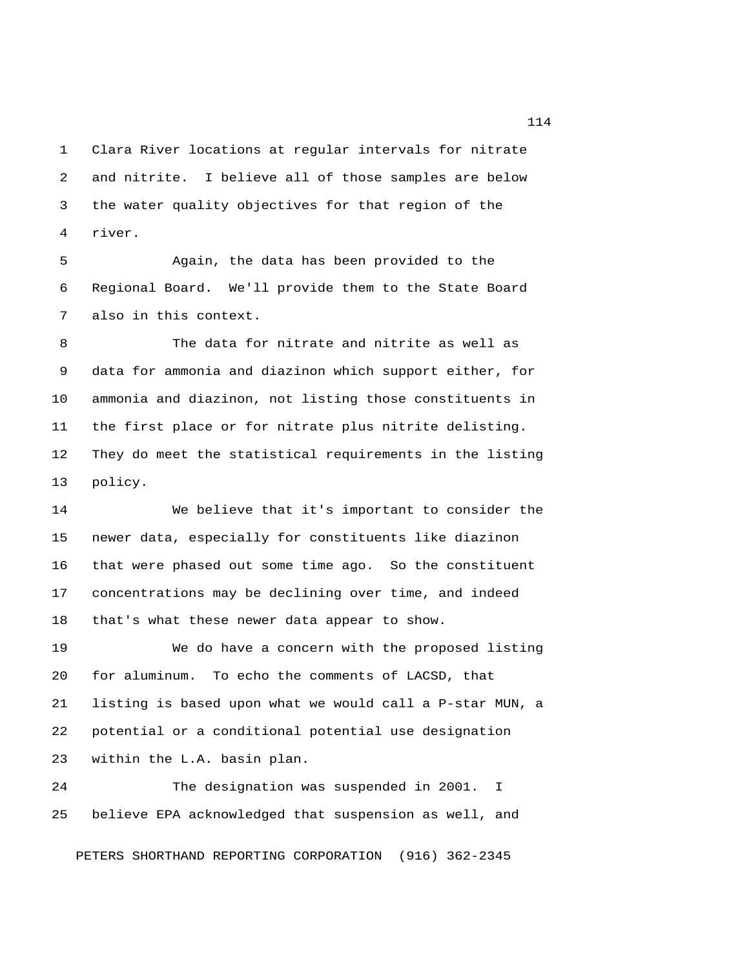1 Clara River locations at regular intervals for nitrate 2 and nitrite. I believe all of those samples are below 3 the water quality objectives for that region of the 4 river.

 5 Again, the data has been provided to the 6 Regional Board. We'll provide them to the State Board 7 also in this context.

 8 The data for nitrate and nitrite as well as 9 data for ammonia and diazinon which support either, for 10 ammonia and diazinon, not listing those constituents in 11 the first place or for nitrate plus nitrite delisting. 12 They do meet the statistical requirements in the listing 13 policy.

14 We believe that it's important to consider the 15 newer data, especially for constituents like diazinon 16 that were phased out some time ago. So the constituent 17 concentrations may be declining over time, and indeed 18 that's what these newer data appear to show.

19 We do have a concern with the proposed listing 20 for aluminum. To echo the comments of LACSD, that 21 listing is based upon what we would call a P-star MUN, a 22 potential or a conditional potential use designation 23 within the L.A. basin plan.

24 The designation was suspended in 2001. I 25 believe EPA acknowledged that suspension as well, and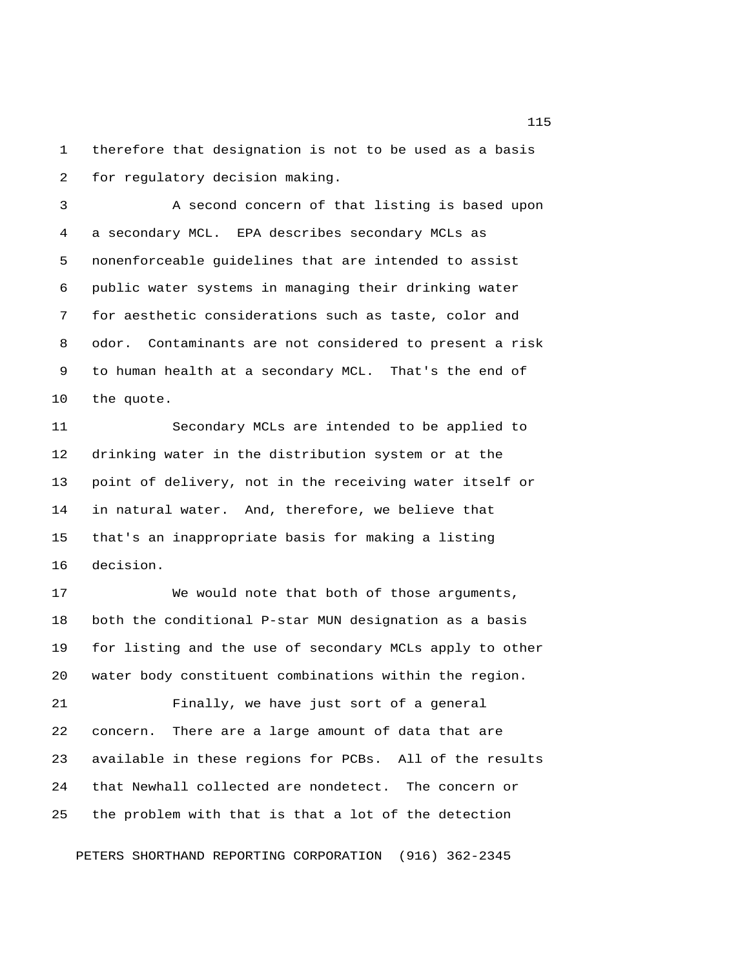1 therefore that designation is not to be used as a basis 2 for regulatory decision making.

 3 A second concern of that listing is based upon 4 a secondary MCL. EPA describes secondary MCLs as 5 nonenforceable guidelines that are intended to assist 6 public water systems in managing their drinking water 7 for aesthetic considerations such as taste, color and 8 odor. Contaminants are not considered to present a risk 9 to human health at a secondary MCL. That's the end of 10 the quote.

11 Secondary MCLs are intended to be applied to 12 drinking water in the distribution system or at the 13 point of delivery, not in the receiving water itself or 14 in natural water. And, therefore, we believe that 15 that's an inappropriate basis for making a listing 16 decision.

17 We would note that both of those arguments, 18 both the conditional P-star MUN designation as a basis 19 for listing and the use of secondary MCLs apply to other 20 water body constituent combinations within the region.

21 Finally, we have just sort of a general

22 concern. There are a large amount of data that are 23 available in these regions for PCBs. All of the results 24 that Newhall collected are nondetect. The concern or 25 the problem with that is that a lot of the detection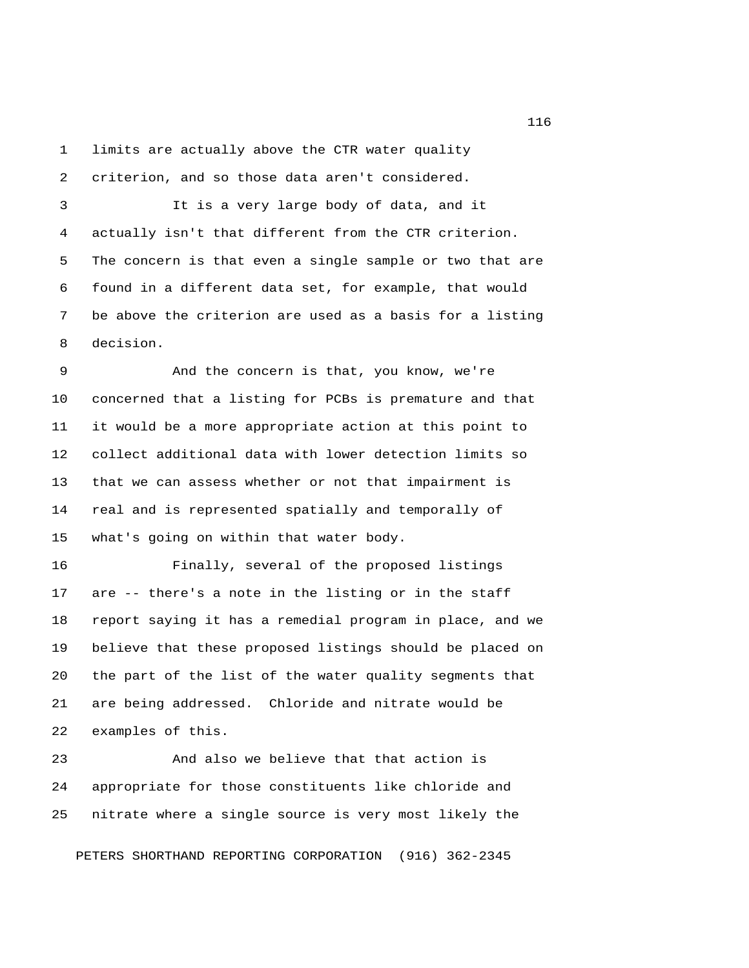1 limits are actually above the CTR water quality

2 criterion, and so those data aren't considered.

 3 It is a very large body of data, and it 4 actually isn't that different from the CTR criterion. 5 The concern is that even a single sample or two that are 6 found in a different data set, for example, that would 7 be above the criterion are used as a basis for a listing 8 decision.

 9 And the concern is that, you know, we're 10 concerned that a listing for PCBs is premature and that 11 it would be a more appropriate action at this point to 12 collect additional data with lower detection limits so 13 that we can assess whether or not that impairment is 14 real and is represented spatially and temporally of 15 what's going on within that water body.

16 Finally, several of the proposed listings 17 are -- there's a note in the listing or in the staff 18 report saying it has a remedial program in place, and we 19 believe that these proposed listings should be placed on 20 the part of the list of the water quality segments that 21 are being addressed. Chloride and nitrate would be 22 examples of this.

23 And also we believe that that action is 24 appropriate for those constituents like chloride and 25 nitrate where a single source is very most likely the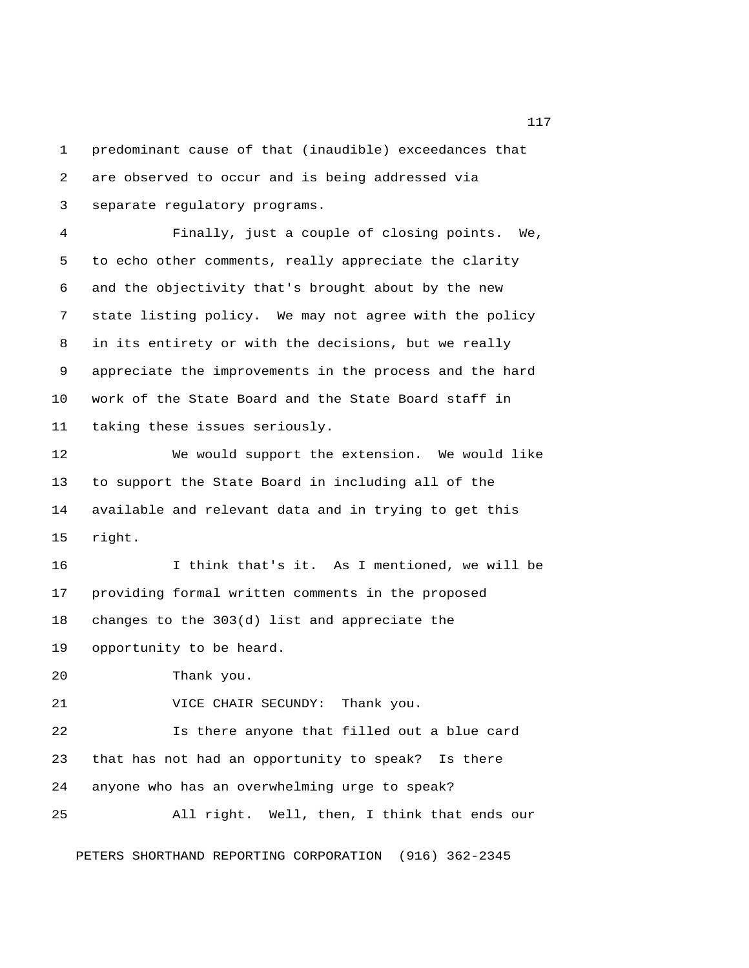1 predominant cause of that (inaudible) exceedances that 2 are observed to occur and is being addressed via 3 separate regulatory programs. 4 Finally, just a couple of closing points. We, 5 to echo other comments, really appreciate the clarity 6 and the objectivity that's brought about by the new 7 state listing policy. We may not agree with the policy 8 in its entirety or with the decisions, but we really 9 appreciate the improvements in the process and the hard 10 work of the State Board and the State Board staff in 11 taking these issues seriously. 12 We would support the extension. We would like 13 to support the State Board in including all of the 14 available and relevant data and in trying to get this 15 right. 16 I think that's it. As I mentioned, we will be 17 providing formal written comments in the proposed 18 changes to the 303(d) list and appreciate the 19 opportunity to be heard. 20 Thank you. 21 VICE CHAIR SECUNDY: Thank you. 22 Is there anyone that filled out a blue card 23 that has not had an opportunity to speak? Is there 24 anyone who has an overwhelming urge to speak? 25 All right. Well, then, I think that ends our

PETERS SHORTHAND REPORTING CORPORATION (916) 362-2345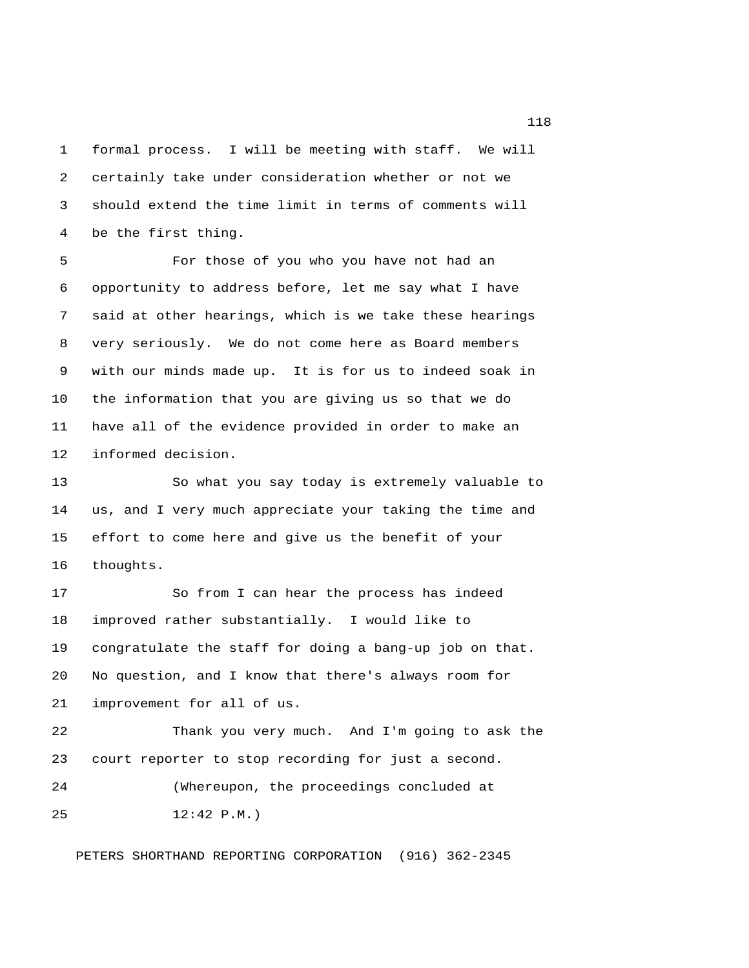1 formal process. I will be meeting with staff. We will 2 certainly take under consideration whether or not we 3 should extend the time limit in terms of comments will 4 be the first thing.

 5 For those of you who you have not had an 6 opportunity to address before, let me say what I have 7 said at other hearings, which is we take these hearings 8 very seriously. We do not come here as Board members 9 with our minds made up. It is for us to indeed soak in 10 the information that you are giving us so that we do 11 have all of the evidence provided in order to make an 12 informed decision.

13 So what you say today is extremely valuable to 14 us, and I very much appreciate your taking the time and 15 effort to come here and give us the benefit of your 16 thoughts.

17 So from I can hear the process has indeed 18 improved rather substantially. I would like to 19 congratulate the staff for doing a bang-up job on that. 20 No question, and I know that there's always room for 21 improvement for all of us.

22 Thank you very much. And I'm going to ask the 23 court reporter to stop recording for just a second. 24 (Whereupon, the proceedings concluded at 25 12:42 P.M.)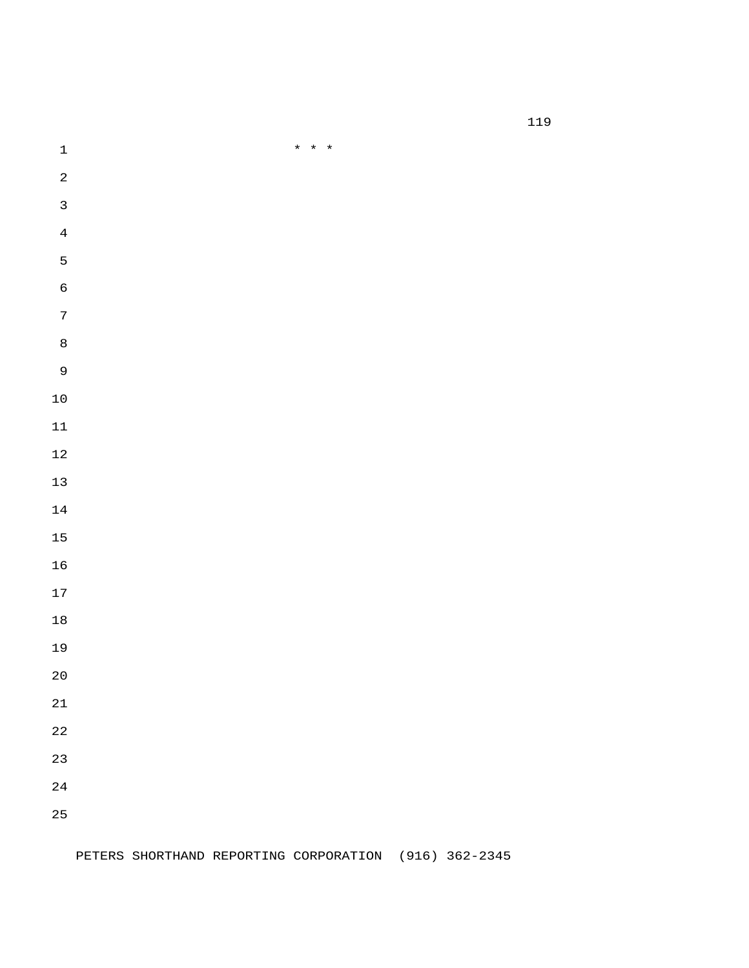$* * *$ 

- 
- 
- 
- 
- 
- 
- 
- 
- 
- 
- 
- 
- 
- 
- 
- 
- 
- 
- 
- 
- 
- 
- 
- 
- 
-